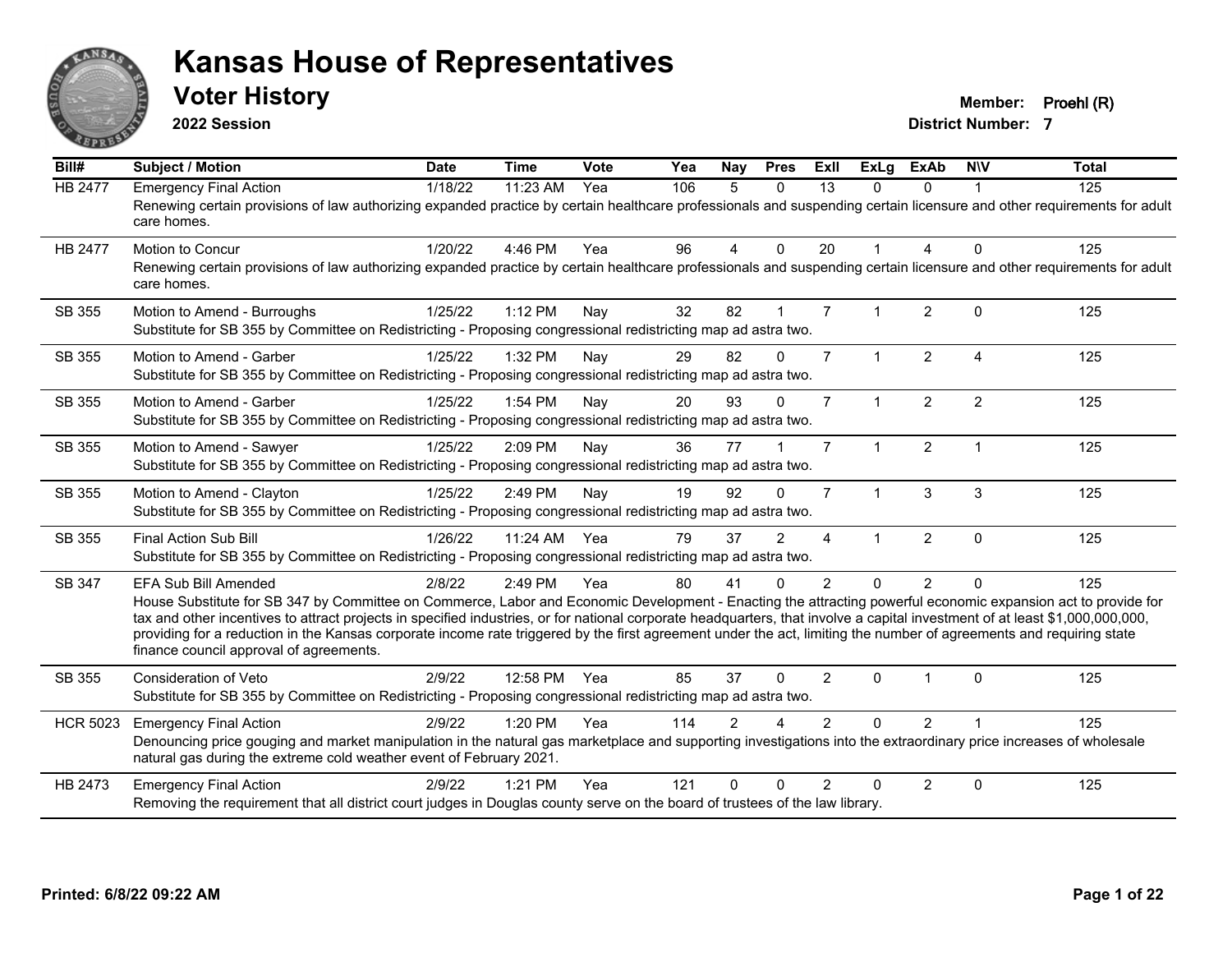

**2022 Session**

**Voter History Member: Proehl (R)** 

| Bill#           | <b>Subject / Motion</b>                                                                                                                                                                                                                                                                                                                                                                                                                                                                                                                                                                            | <b>Date</b> | <b>Time</b> | Vote | Yea | <b>Nay</b>     | <b>Pres</b>    | Exll           | <b>ExLg</b>    | <b>ExAb</b>    | <b>NIV</b>     | <b>Total</b> |
|-----------------|----------------------------------------------------------------------------------------------------------------------------------------------------------------------------------------------------------------------------------------------------------------------------------------------------------------------------------------------------------------------------------------------------------------------------------------------------------------------------------------------------------------------------------------------------------------------------------------------------|-------------|-------------|------|-----|----------------|----------------|----------------|----------------|----------------|----------------|--------------|
| <b>HB 2477</b>  | <b>Emergency Final Action</b><br>Renewing certain provisions of law authorizing expanded practice by certain healthcare professionals and suspending certain licensure and other requirements for adult<br>care homes.                                                                                                                                                                                                                                                                                                                                                                             | 1/18/22     | 11:23 AM    | Yea  | 106 | 5              | $\Omega$       | 13             | $\Omega$       | $\Omega$       |                | 125          |
| <b>HB 2477</b>  | Motion to Concur<br>Renewing certain provisions of law authorizing expanded practice by certain healthcare professionals and suspending certain licensure and other requirements for adult<br>care homes.                                                                                                                                                                                                                                                                                                                                                                                          | 1/20/22     | 4:46 PM     | Yea  | 96  | $\overline{4}$ | $\mathbf{0}$   | 20             |                | 4              | $\Omega$       | 125          |
| SB 355          | Motion to Amend - Burroughs<br>Substitute for SB 355 by Committee on Redistricting - Proposing congressional redistricting map ad astra two.                                                                                                                                                                                                                                                                                                                                                                                                                                                       | 1/25/22     | 1:12 PM     | Nay  | 32  | 82             | $\mathbf{1}$   | $\overline{7}$ |                | 2              | $\Omega$       | 125          |
| SB 355          | Motion to Amend - Garber<br>Substitute for SB 355 by Committee on Redistricting - Proposing congressional redistricting map ad astra two.                                                                                                                                                                                                                                                                                                                                                                                                                                                          | 1/25/22     | 1:32 PM     | Nay  | 29  | 82             | $\Omega$       | $\overline{7}$ | $\mathbf{1}$   | 2              | $\overline{4}$ | 125          |
| SB 355          | Motion to Amend - Garber<br>Substitute for SB 355 by Committee on Redistricting - Proposing congressional redistricting map ad astra two.                                                                                                                                                                                                                                                                                                                                                                                                                                                          | 1/25/22     | 1:54 PM     | Nay  | 20  | 93             | $\Omega$       | $\overline{7}$ | $\mathbf{1}$   | $\overline{2}$ | 2              | 125          |
| SB 355          | Motion to Amend - Sawyer<br>Substitute for SB 355 by Committee on Redistricting - Proposing congressional redistricting map ad astra two.                                                                                                                                                                                                                                                                                                                                                                                                                                                          | 1/25/22     | 2:09 PM     | Nay  | 36  | 77             |                | $\overline{7}$ | $\mathbf 1$    | $\overline{2}$ | $\overline{1}$ | 125          |
| SB 355          | Motion to Amend - Clayton<br>Substitute for SB 355 by Committee on Redistricting - Proposing congressional redistricting map ad astra two.                                                                                                                                                                                                                                                                                                                                                                                                                                                         | 1/25/22     | 2:49 PM     | Nay  | 19  | 92             | $\Omega$       | $\overline{7}$ | $\mathbf{1}$   | 3              | 3              | 125          |
| SB 355          | Final Action Sub Bill<br>Substitute for SB 355 by Committee on Redistricting - Proposing congressional redistricting map ad astra two.                                                                                                                                                                                                                                                                                                                                                                                                                                                             | 1/26/22     | 11:24 AM    | Yea  | 79  | 37             | $\overline{2}$ | $\overline{4}$ | 1              | $\overline{2}$ | $\mathbf{0}$   | 125          |
| SB 347          | <b>EFA Sub Bill Amended</b><br>House Substitute for SB 347 by Committee on Commerce, Labor and Economic Development - Enacting the attracting powerful economic expansion act to provide for<br>tax and other incentives to attract projects in specified industries, or for national corporate headquarters, that involve a capital investment of at least \$1,000,000,000,000,<br>providing for a reduction in the Kansas corporate income rate triggered by the first agreement under the act, limiting the number of agreements and requiring state<br>finance council approval of agreements. | 2/8/22      | 2:49 PM     | Yea  | 80  | 41             | $\Omega$       | $\overline{2}$ | $\overline{0}$ | 2              | $\Omega$       | 125          |
| SB 355          | <b>Consideration of Veto</b><br>Substitute for SB 355 by Committee on Redistricting - Proposing congressional redistricting map ad astra two.                                                                                                                                                                                                                                                                                                                                                                                                                                                      | 2/9/22      | 12:58 PM    | Yea  | 85  | 37             | $\Omega$       | $\mathcal{P}$  | $\Omega$       |                | $\Omega$       | 125          |
| <b>HCR 5023</b> | <b>Emergency Final Action</b><br>Denouncing price gouging and market manipulation in the natural gas marketplace and supporting investigations into the extraordinary price increases of wholesale<br>natural gas during the extreme cold weather event of February 2021.                                                                                                                                                                                                                                                                                                                          | 2/9/22      | 1:20 PM     | Yea  | 114 | $\mathfrak{p}$ |                | $\mathcal{P}$  | $\Omega$       | $\overline{2}$ |                | 125          |
| HB 2473         | <b>Emergency Final Action</b><br>Removing the requirement that all district court judges in Douglas county serve on the board of trustees of the law library.                                                                                                                                                                                                                                                                                                                                                                                                                                      | 2/9/22      | $1:21$ PM   | Yea  | 121 | O              | $\Omega$       | $\mathcal{P}$  | U              | $\overline{2}$ | $\Omega$       | 125          |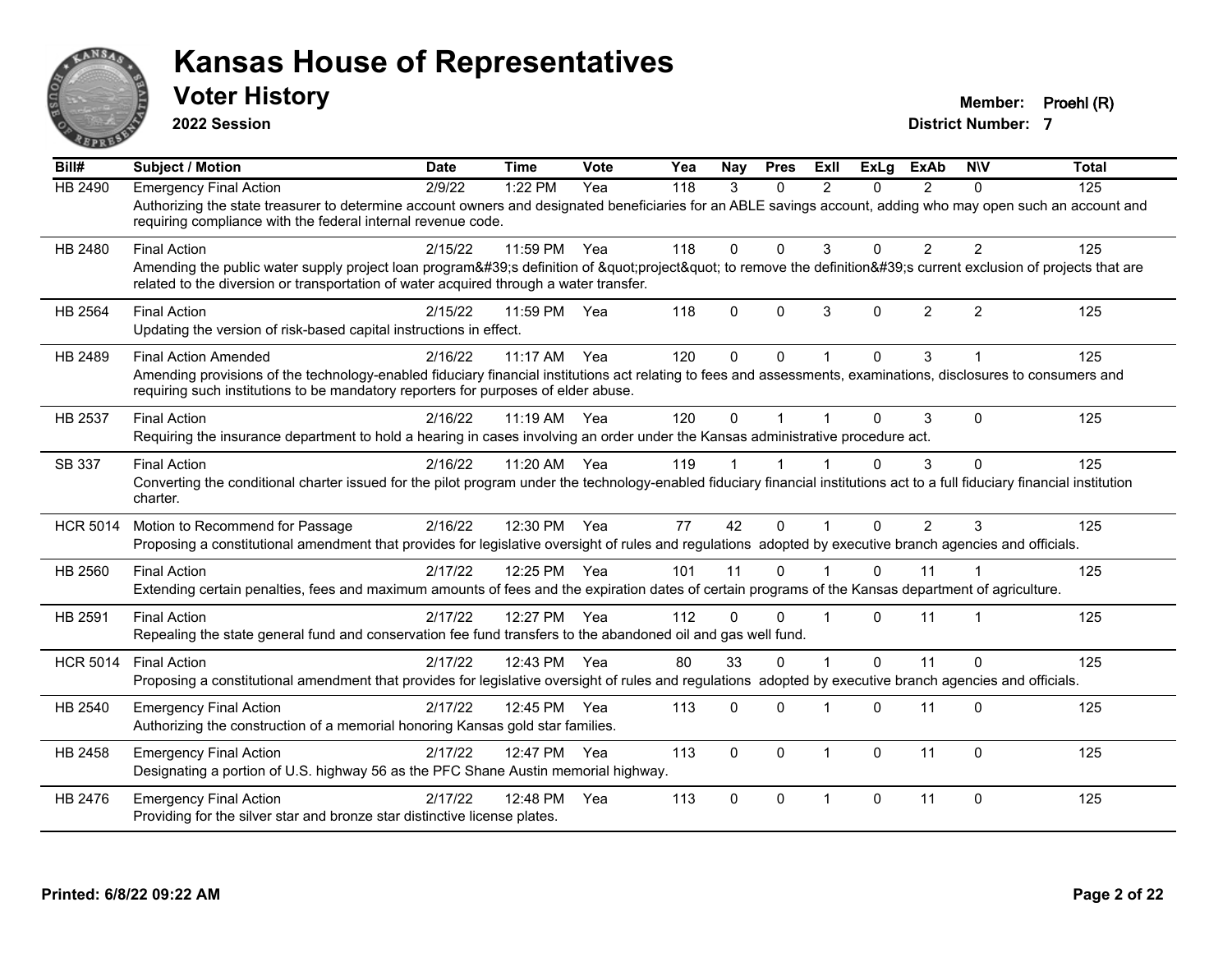

**2022 Session**

**Voter History Member: Proehl (R)** 

| $\overline{Bill#}$ | <b>Subject / Motion</b>                                                                                                                                                                                                                                                              | <b>Date</b> | <b>Time</b> | Vote | Yea | <b>Nav</b> | <b>Pres</b>  | ExII           | ExLa     | <b>ExAb</b>    | <b>NIV</b>              | <b>Total</b> |
|--------------------|--------------------------------------------------------------------------------------------------------------------------------------------------------------------------------------------------------------------------------------------------------------------------------------|-------------|-------------|------|-----|------------|--------------|----------------|----------|----------------|-------------------------|--------------|
| <b>HB 2490</b>     | <b>Emergency Final Action</b><br>Authorizing the state treasurer to determine account owners and designated beneficiaries for an ABLE savings account, adding who may open such an account and<br>requiring compliance with the federal internal revenue code.                       | 2/9/22      | 1:22 PM     | Yea  | 118 | 3          | $\Omega$     | $\mathfrak{p}$ | 0        | $\mathcal{P}$  | $\Omega$                | 125          |
| HB 2480            | <b>Final Action</b><br>Amending the public water supply project loan program's definition of "project" to remove the definition's current exclusion of projects that are<br>related to the diversion or transportation of water acquired through a water transfer.                   | 2/15/22     | 11:59 PM    | Yea  | 118 | 0          | $\Omega$     | 3              | 0        | $\overline{2}$ | $\overline{2}$          | 125          |
| HB 2564            | <b>Final Action</b><br>Updating the version of risk-based capital instructions in effect.                                                                                                                                                                                            | 2/15/22     | 11:59 PM    | Yea  | 118 | 0          | $\Omega$     | 3              | 0        | $\overline{2}$ | $\overline{2}$          | 125          |
| HB 2489            | <b>Final Action Amended</b><br>Amending provisions of the technology-enabled fiduciary financial institutions act relating to fees and assessments, examinations, disclosures to consumers and<br>requiring such institutions to be mandatory reporters for purposes of elder abuse. | 2/16/22     | $11:17$ AM  | Yea  | 120 | 0          | $\Omega$     |                | 0        | 3              |                         | 125          |
| HB 2537            | <b>Final Action</b><br>Requiring the insurance department to hold a hearing in cases involving an order under the Kansas administrative procedure act.                                                                                                                               | 2/16/22     | 11:19 AM    | Yea  | 120 | 0          |              |                | 0        | 3              | $\Omega$                | 125          |
| SB 337             | <b>Final Action</b><br>Converting the conditional charter issued for the pilot program under the technology-enabled fiduciary financial institutions act to a full fiduciary financial institution<br>charter.                                                                       | 2/16/22     | 11:20 AM    | Yea  | 119 |            |              |                | 0        | 3              | $\Omega$                | 125          |
| <b>HCR 5014</b>    | Motion to Recommend for Passage<br>Proposing a constitutional amendment that provides for legislative oversight of rules and regulations adopted by executive branch agencies and officials.                                                                                         | 2/16/22     | 12:30 PM    | Yea  | 77  | 42         | $\Omega$     |                | 0        | 2              | 3                       | 125          |
| HB 2560            | <b>Final Action</b><br>Extending certain penalties, fees and maximum amounts of fees and the expiration dates of certain programs of the Kansas department of agriculture.                                                                                                           | 2/17/22     | 12:25 PM    | Yea  | 101 | 11         | $\Omega$     |                | 0        | 11             |                         | 125          |
| HB 2591            | <b>Final Action</b><br>Repealing the state general fund and conservation fee fund transfers to the abandoned oil and gas well fund.                                                                                                                                                  | 2/17/22     | 12:27 PM    | Yea  | 112 | 0          | $\Omega$     |                | 0        | 11             | $\overline{\mathbf{1}}$ | 125          |
| <b>HCR 5014</b>    | <b>Final Action</b><br>Proposing a constitutional amendment that provides for legislative oversight of rules and regulations adopted by executive branch agencies and officials.                                                                                                     | 2/17/22     | 12:43 PM    | Yea  | 80  | 33         | $\Omega$     |                | 0        | 11             | $\Omega$                | 125          |
| HB 2540            | <b>Emergency Final Action</b><br>Authorizing the construction of a memorial honoring Kansas gold star families.                                                                                                                                                                      | 2/17/22     | 12:45 PM    | Yea  | 113 | 0          | $\Omega$     |                | 0        | 11             | $\Omega$                | 125          |
| HB 2458            | <b>Emergency Final Action</b><br>Designating a portion of U.S. highway 56 as the PFC Shane Austin memorial highway.                                                                                                                                                                  | 2/17/22     | 12:47 PM    | Yea  | 113 | 0          | $\mathbf{0}$ | $\overline{1}$ | $\Omega$ | 11             | $\mathbf 0$             | 125          |
| HB 2476            | <b>Emergency Final Action</b><br>Providing for the silver star and bronze star distinctive license plates.                                                                                                                                                                           | 2/17/22     | 12:48 PM    | Yea  | 113 | 0          | $\Omega$     | $\overline{1}$ | 0        | 11             | $\Omega$                | 125          |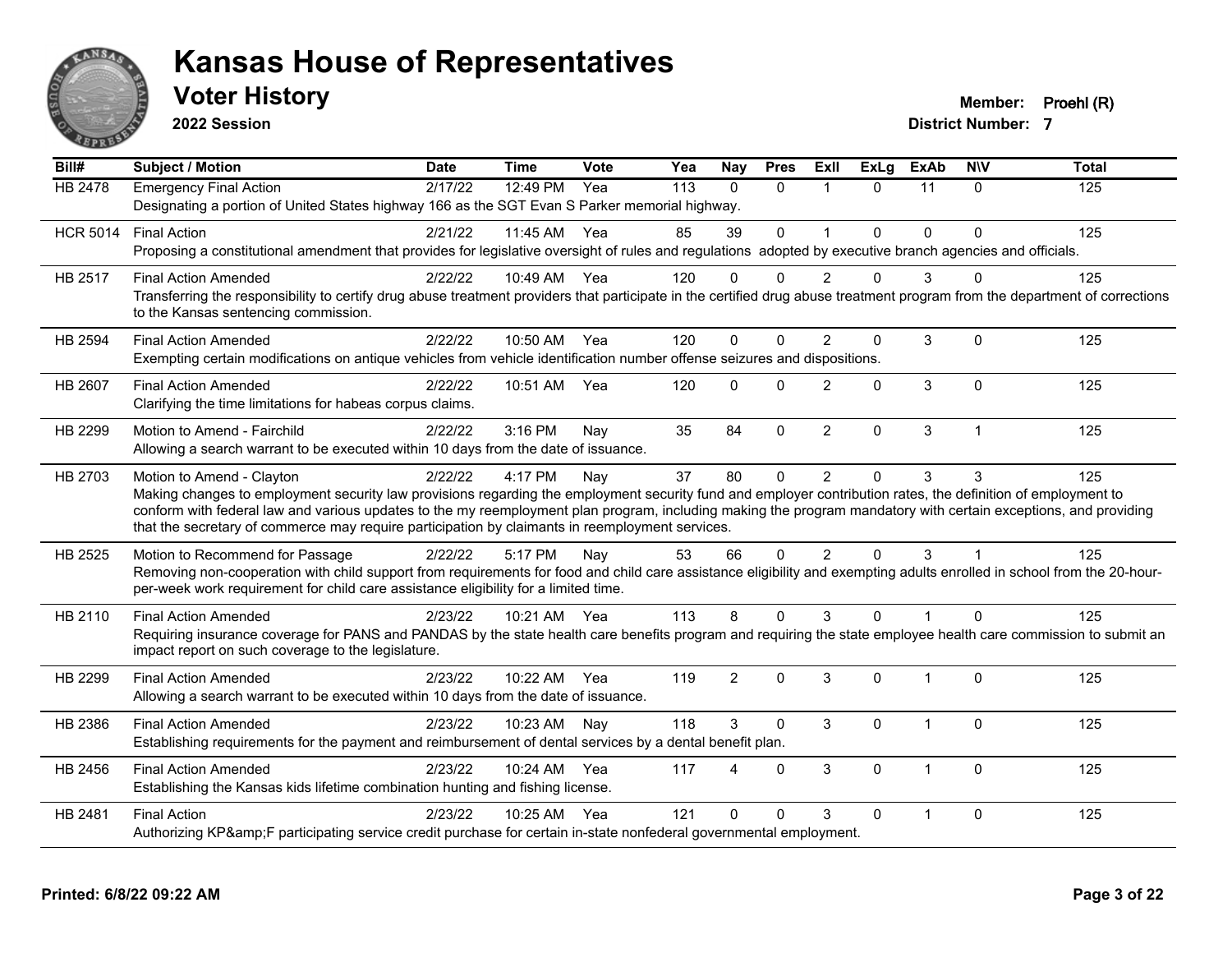

**2022 Session**

**Voter History Member: Proehl (R)** 

| Bill#           | <b>Subject / Motion</b>                                                                                                                                                                                                                                            | <b>Date</b> | <b>Time</b>  | Vote | Yea | Nay            | <b>Pres</b> | ExII           | <b>ExLg</b>  | <b>ExAb</b>    | <b>NIV</b>     | <b>Total</b> |  |  |
|-----------------|--------------------------------------------------------------------------------------------------------------------------------------------------------------------------------------------------------------------------------------------------------------------|-------------|--------------|------|-----|----------------|-------------|----------------|--------------|----------------|----------------|--------------|--|--|
| <b>HB 2478</b>  | <b>Emergency Final Action</b>                                                                                                                                                                                                                                      | 2/17/22     | 12:49 PM     | Yea  | 113 | $\Omega$       | $\Omega$    | $\mathbf{1}$   | $\Omega$     | 11             | $\mathbf{0}$   | 125          |  |  |
|                 | Designating a portion of United States highway 166 as the SGT Evan S Parker memorial highway.                                                                                                                                                                      |             |              |      |     |                |             |                |              |                |                |              |  |  |
| <b>HCR 5014</b> | <b>Final Action</b>                                                                                                                                                                                                                                                | 2/21/22     | 11:45 AM     | Yea  | 85  | 39             | $\mathbf 0$ | $\overline{1}$ | $\Omega$     | $\Omega$       | $\Omega$       | 125          |  |  |
|                 | Proposing a constitutional amendment that provides for legislative oversight of rules and regulations adopted by executive branch agencies and officials.                                                                                                          |             |              |      |     |                |             |                |              |                |                |              |  |  |
| HB 2517         | <b>Final Action Amended</b>                                                                                                                                                                                                                                        | 2/22/22     | 10:49 AM Yea |      | 120 | $\Omega$       | $\Omega$    | $\mathcal{P}$  | $\Omega$     | 3              | U              | 125          |  |  |
|                 | Transferring the responsibility to certify drug abuse treatment providers that participate in the certified drug abuse treatment program from the department of corrections                                                                                        |             |              |      |     |                |             |                |              |                |                |              |  |  |
|                 | to the Kansas sentencing commission.                                                                                                                                                                                                                               |             |              |      |     |                |             |                |              |                |                |              |  |  |
| HB 2594         | <b>Final Action Amended</b>                                                                                                                                                                                                                                        | 2/22/22     | 10:50 AM Yea |      | 120 | $\Omega$       | $\Omega$    | $\mathcal{P}$  | $\mathbf{0}$ | 3              | $\Omega$       | 125          |  |  |
|                 | Exempting certain modifications on antique vehicles from vehicle identification number offense seizures and dispositions.                                                                                                                                          |             |              |      |     |                |             |                |              |                |                |              |  |  |
| <b>HB 2607</b>  | <b>Final Action Amended</b>                                                                                                                                                                                                                                        | 2/22/22     | 10:51 AM     | Yea  | 120 | $\Omega$       | $\Omega$    | $\mathcal{P}$  | $\Omega$     | 3              | $\Omega$       | 125          |  |  |
|                 | Clarifying the time limitations for habeas corpus claims.                                                                                                                                                                                                          |             |              |      |     |                |             |                |              |                |                |              |  |  |
| HB 2299         | Motion to Amend - Fairchild                                                                                                                                                                                                                                        | 2/22/22     | 3:16 PM      | Nay  | 35  | 84             | $\mathbf 0$ | $\overline{2}$ | $\mathbf 0$  | 3              | $\overline{1}$ | 125          |  |  |
|                 | Allowing a search warrant to be executed within 10 days from the date of issuance.                                                                                                                                                                                 |             |              |      |     |                |             |                |              |                |                |              |  |  |
| HB 2703         | Motion to Amend - Clayton                                                                                                                                                                                                                                          | 2/22/22     | 4:17 PM      | Nay  | 37  | 80             | $\mathbf 0$ | $\overline{2}$ | $\mathbf 0$  | 3              | 3              | 125          |  |  |
|                 | Making changes to employment security law provisions regarding the employment security fund and employer contribution rates, the definition of employment to                                                                                                       |             |              |      |     |                |             |                |              |                |                |              |  |  |
|                 | conform with federal law and various updates to the my reemployment plan program, including making the program mandatory with certain exceptions, and providing<br>that the secretary of commerce may require participation by claimants in reemployment services. |             |              |      |     |                |             |                |              |                |                |              |  |  |
|                 |                                                                                                                                                                                                                                                                    |             |              |      |     |                |             |                |              |                |                |              |  |  |
| HB 2525         | Motion to Recommend for Passage                                                                                                                                                                                                                                    | 2/22/22     | 5:17 PM      | Nay  | 53  | 66             | $\Omega$    | $\overline{2}$ | $\Omega$     | 3              |                | 125          |  |  |
|                 | Removing non-cooperation with child support from requirements for food and child care assistance eligibility and exempting adults enrolled in school from the 20-hour-<br>per-week work requirement for child care assistance eligibility for a limited time.      |             |              |      |     |                |             |                |              |                |                |              |  |  |
|                 |                                                                                                                                                                                                                                                                    |             |              |      |     | 8              | $\Omega$    | 3              |              | $\overline{1}$ | $\Omega$       |              |  |  |
| HB 2110         | <b>Final Action Amended</b><br>Requiring insurance coverage for PANS and PANDAS by the state health care benefits program and requiring the state employee health care commission to submit an                                                                     | 2/23/22     | 10:21 AM Yea |      | 113 |                |             |                | $\Omega$     |                |                | 125          |  |  |
|                 | impact report on such coverage to the legislature.                                                                                                                                                                                                                 |             |              |      |     |                |             |                |              |                |                |              |  |  |
| HB 2299         | <b>Final Action Amended</b>                                                                                                                                                                                                                                        | 2/23/22     | 10:22 AM     | Yea  | 119 | $\overline{2}$ | $\Omega$    | 3              | $\Omega$     | $\mathbf 1$    | $\Omega$       | 125          |  |  |
|                 | Allowing a search warrant to be executed within 10 days from the date of issuance.                                                                                                                                                                                 |             |              |      |     |                |             |                |              |                |                |              |  |  |
| HB 2386         |                                                                                                                                                                                                                                                                    | 2/23/22     | 10:23 AM     |      | 118 | 3              | $\mathbf 0$ | 3              | 0            | $\mathbf 1$    | $\mathbf 0$    | 125          |  |  |
|                 | <b>Final Action Amended</b><br>Establishing requirements for the payment and reimbursement of dental services by a dental benefit plan.                                                                                                                            |             |              | Nay  |     |                |             |                |              |                |                |              |  |  |
|                 |                                                                                                                                                                                                                                                                    |             |              |      |     |                |             |                |              |                |                |              |  |  |
| HB 2456         | <b>Final Action Amended</b>                                                                                                                                                                                                                                        | 2/23/22     | 10:24 AM     | Yea  | 117 | 4              | $\Omega$    | 3              | $\mathbf{0}$ | $\mathbf 1$    | $\mathbf{0}$   | 125          |  |  |
|                 | Establishing the Kansas kids lifetime combination hunting and fishing license.                                                                                                                                                                                     |             |              |      |     |                |             |                |              |                |                |              |  |  |
| HB 2481         | <b>Final Action</b>                                                                                                                                                                                                                                                | 2/23/22     | 10:25 AM     | Yea  | 121 | $\Omega$       | $\Omega$    | 3              | $\Omega$     |                | $\Omega$       | 125          |  |  |
|                 | Authorizing KP&F participating service credit purchase for certain in-state nonfederal governmental employment.                                                                                                                                                    |             |              |      |     |                |             |                |              |                |                |              |  |  |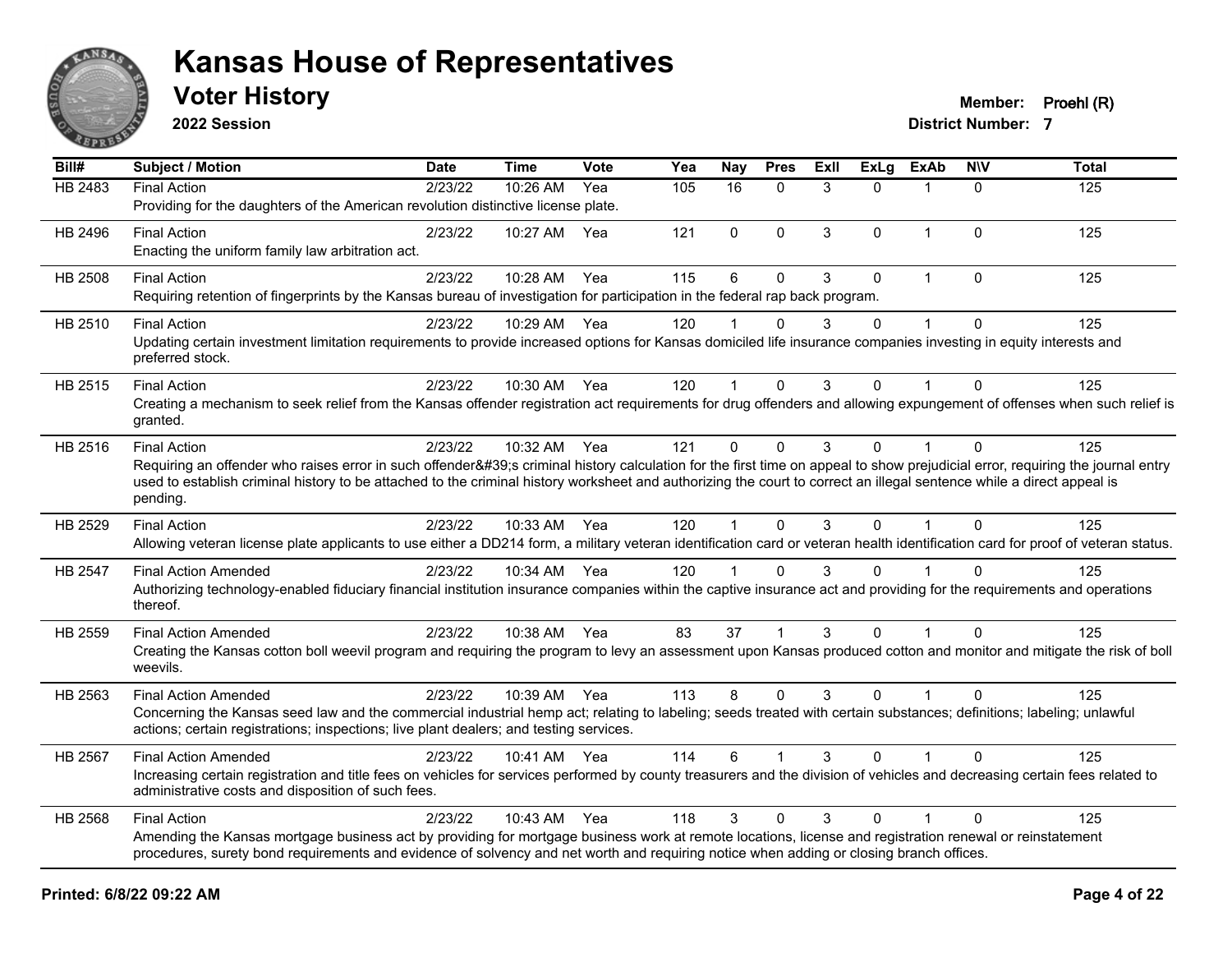

**2022 Session**

| Bill#          | <b>Subject / Motion</b>                                                                                                                                                                                                                                                                                                                                         | <b>Date</b> | Time         | <b>Vote</b> | Yea | <b>Nay</b>     | <b>Pres</b>  | ExII | <b>ExLg</b> | <b>ExAb</b>    | <b>NIV</b>   | <b>Total</b> |
|----------------|-----------------------------------------------------------------------------------------------------------------------------------------------------------------------------------------------------------------------------------------------------------------------------------------------------------------------------------------------------------------|-------------|--------------|-------------|-----|----------------|--------------|------|-------------|----------------|--------------|--------------|
| <b>HB 2483</b> | <b>Final Action</b>                                                                                                                                                                                                                                                                                                                                             | 2/23/22     | 10:26 AM     | Yea         | 105 | 16             | $\Omega$     | 3    | $\Omega$    | $\mathbf{1}$   | $\Omega$     | 125          |
|                | Providing for the daughters of the American revolution distinctive license plate.                                                                                                                                                                                                                                                                               |             |              |             |     |                |              |      |             |                |              |              |
| HB 2496        | <b>Final Action</b>                                                                                                                                                                                                                                                                                                                                             | 2/23/22     | 10:27 AM     | Yea         | 121 | $\Omega$       | $\mathbf{0}$ | 3    | $\Omega$    | $\mathbf{1}$   | $\Omega$     | 125          |
|                | Enacting the uniform family law arbitration act.                                                                                                                                                                                                                                                                                                                |             |              |             |     |                |              |      |             |                |              |              |
| HB 2508        | <b>Final Action</b>                                                                                                                                                                                                                                                                                                                                             | 2/23/22     | 10:28 AM     | Yea         | 115 | $6\phantom{1}$ | $\pmb{0}$    | 3    | $\mathbf 0$ | $\mathbf{1}$   | $\mathbf 0$  | 125          |
|                | Requiring retention of fingerprints by the Kansas bureau of investigation for participation in the federal rap back program.                                                                                                                                                                                                                                    |             |              |             |     |                |              |      |             |                |              |              |
| HB 2510        | <b>Final Action</b>                                                                                                                                                                                                                                                                                                                                             | 2/23/22     | 10:29 AM     | Yea         | 120 |                | $\mathbf{0}$ | 3    | 0           | $\mathbf 1$    | $\mathbf 0$  | 125          |
|                | Updating certain investment limitation requirements to provide increased options for Kansas domiciled life insurance companies investing in equity interests and<br>preferred stock.                                                                                                                                                                            |             |              |             |     |                |              |      |             |                |              |              |
| HB 2515        | <b>Final Action</b>                                                                                                                                                                                                                                                                                                                                             | 2/23/22     | 10:30 AM Yea |             | 120 |                | $\mathbf 0$  | 3    | $\Omega$    |                | $\Omega$     | 125          |
|                | Creating a mechanism to seek relief from the Kansas offender registration act requirements for drug offenders and allowing expungement of offenses when such relief is<br>granted.                                                                                                                                                                              |             |              |             |     |                |              |      |             |                |              |              |
| HB 2516        | <b>Final Action</b>                                                                                                                                                                                                                                                                                                                                             | 2/23/22     | 10:32 AM Yea |             | 121 | $\mathbf 0$    | $\mathbf 0$  | 3    | $\mathbf 0$ | $\overline{1}$ | $\mathbf{0}$ | 125          |
|                | Requiring an offender who raises error in such offender's criminal history calculation for the first time on appeal to show prejudicial error, requiring the journal entry<br>used to establish criminal history to be attached to the criminal history worksheet and authorizing the court to correct an illegal sentence while a direct appeal is<br>pending. |             |              |             |     |                |              |      |             |                |              |              |
| HB 2529        | <b>Final Action</b>                                                                                                                                                                                                                                                                                                                                             | 2/23/22     | 10:33 AM Yea |             | 120 | $\mathbf{1}$   | $\Omega$     | 3    | $\Omega$    | $\mathbf{1}$   | $\Omega$     | 125          |
|                | Allowing veteran license plate applicants to use either a DD214 form, a military veteran identification card or veteran health identification card for proof of veteran status.                                                                                                                                                                                 |             |              |             |     |                |              |      |             |                |              |              |
| HB 2547        | <b>Final Action Amended</b>                                                                                                                                                                                                                                                                                                                                     | 2/23/22     | 10:34 AM Yea |             | 120 |                | $\mathbf 0$  | 3    | $\Omega$    |                | $\Omega$     | 125          |
|                | Authorizing technology-enabled fiduciary financial institution insurance companies within the captive insurance act and providing for the requirements and operations<br>thereof.                                                                                                                                                                               |             |              |             |     |                |              |      |             |                |              |              |
| HB 2559        | <b>Final Action Amended</b>                                                                                                                                                                                                                                                                                                                                     | 2/23/22     | 10:38 AM Yea |             | 83  | 37             |              | 3    | $\Omega$    |                | $\Omega$     | 125          |
|                | Creating the Kansas cotton boll weevil program and requiring the program to levy an assessment upon Kansas produced cotton and monitor and mitigate the risk of boll<br>weevils.                                                                                                                                                                                |             |              |             |     |                |              |      |             |                |              |              |
| HB 2563        | <b>Final Action Amended</b>                                                                                                                                                                                                                                                                                                                                     | 2/23/22     | 10:39 AM Yea |             | 113 | 8              | $\mathbf 0$  | 3    | $\mathbf 0$ | $\mathbf{1}$   | $\Omega$     | 125          |
|                | Concerning the Kansas seed law and the commercial industrial hemp act; relating to labeling; seeds treated with certain substances; definitions; labeling; unlawful<br>actions; certain registrations; inspections; live plant dealers; and testing services.                                                                                                   |             |              |             |     |                |              |      |             |                |              |              |
| HB 2567        | <b>Final Action Amended</b>                                                                                                                                                                                                                                                                                                                                     | 2/23/22     | 10:41 AM Yea |             | 114 | 6              |              | 3    | $\Omega$    |                | $\Omega$     | 125          |
|                | Increasing certain registration and title fees on vehicles for services performed by county treasurers and the division of vehicles and decreasing certain fees related to<br>administrative costs and disposition of such fees.                                                                                                                                |             |              |             |     |                |              |      |             |                |              |              |
| HB 2568        | <b>Final Action</b>                                                                                                                                                                                                                                                                                                                                             | 2/23/22     | 10:43 AM Yea |             | 118 | 3              | $\Omega$     | 3    | $\Omega$    | $\mathbf{1}$   | $\Omega$     | 125          |
|                | Amending the Kansas mortgage business act by providing for mortgage business work at remote locations, license and registration renewal or reinstatement<br>procedures, surety bond requirements and evidence of solvency and net worth and requiring notice when adding or closing branch offices.                                                             |             |              |             |     |                |              |      |             |                |              |              |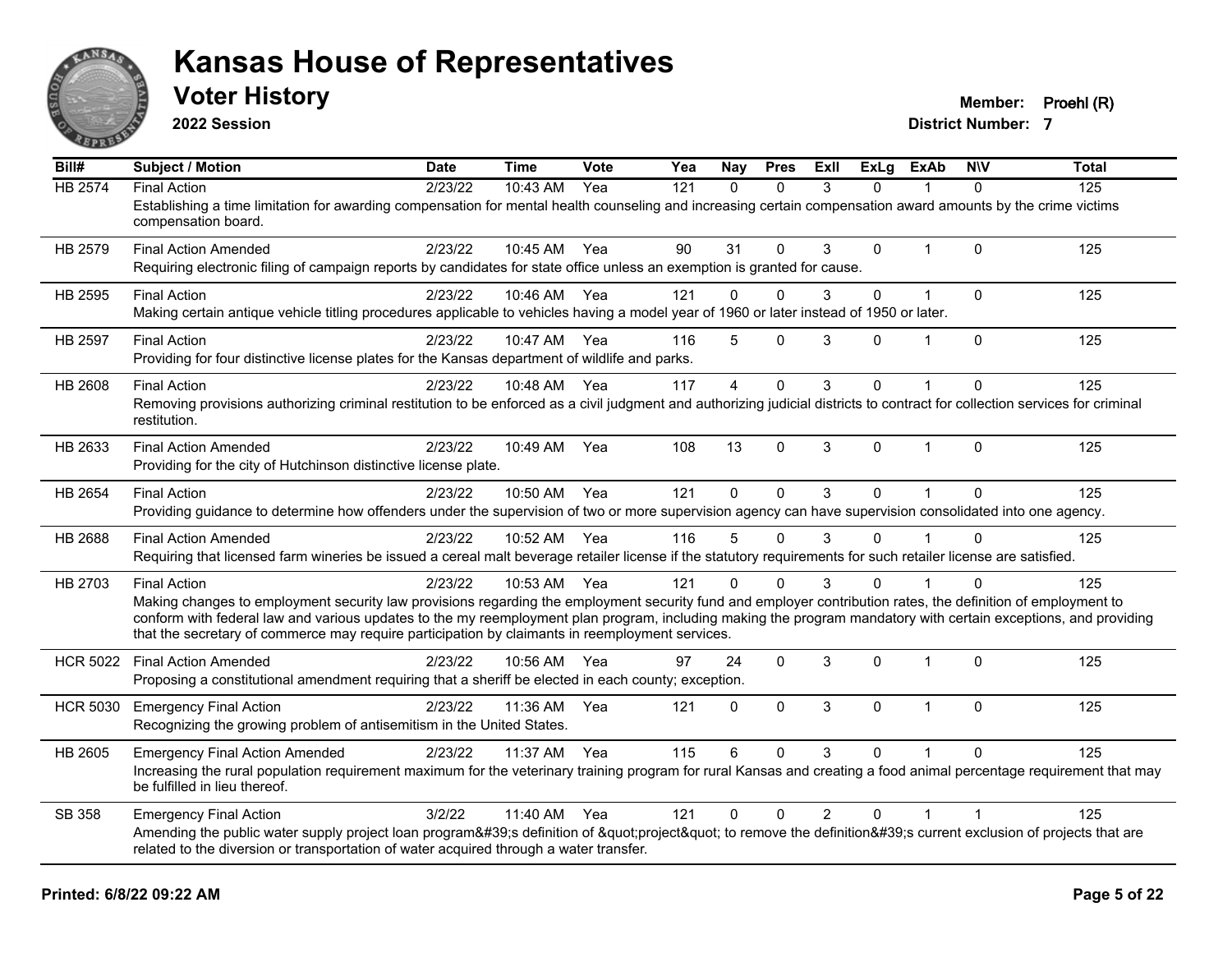

**2022 Session**

**Voter History Member: Proehl (R)** 

| Bill#           | Subject / Motion                                                                                                                                                                                                                                                                                                                                                                                                                                          | <b>Date</b> | <b>Time</b> | Vote | Yea | Nay      | <b>Pres</b>  | ExIl           | <b>ExLg</b>  | <b>ExAb</b>    | <b>NIV</b>   | <b>Total</b> |
|-----------------|-----------------------------------------------------------------------------------------------------------------------------------------------------------------------------------------------------------------------------------------------------------------------------------------------------------------------------------------------------------------------------------------------------------------------------------------------------------|-------------|-------------|------|-----|----------|--------------|----------------|--------------|----------------|--------------|--------------|
| <b>HB 2574</b>  | <b>Final Action</b><br>Establishing a time limitation for awarding compensation for mental health counseling and increasing certain compensation award amounts by the crime victims<br>compensation board.                                                                                                                                                                                                                                                | 2/23/22     | 10:43 AM    | Yea  | 121 | $\Omega$ | $\Omega$     | 3              | 0            |                | $\Omega$     | 125          |
| HB 2579         | <b>Final Action Amended</b><br>Requiring electronic filing of campaign reports by candidates for state office unless an exemption is granted for cause.                                                                                                                                                                                                                                                                                                   | 2/23/22     | 10:45 AM    | Yea  | 90  | 31       | $\Omega$     | 3              | $\Omega$     | $\overline{1}$ | $\Omega$     | 125          |
| HB 2595         | <b>Final Action</b><br>Making certain antique vehicle titling procedures applicable to vehicles having a model year of 1960 or later instead of 1950 or later.                                                                                                                                                                                                                                                                                            | 2/23/22     | 10:46 AM    | Yea  | 121 | 0        | $\Omega$     | 3              | 0            | 1              | $\mathbf 0$  | 125          |
| HB 2597         | <b>Final Action</b><br>Providing for four distinctive license plates for the Kansas department of wildlife and parks.                                                                                                                                                                                                                                                                                                                                     | 2/23/22     | 10:47 AM    | Yea  | 116 | 5        | $\Omega$     | 3              | $\Omega$     | $\overline{1}$ | $\mathbf 0$  | 125          |
| <b>HB 2608</b>  | <b>Final Action</b><br>Removing provisions authorizing criminal restitution to be enforced as a civil judgment and authorizing judicial districts to contract for collection services for criminal<br>restitution.                                                                                                                                                                                                                                        | 2/23/22     | 10:48 AM    | Yea  | 117 | 4        | $\mathbf{0}$ | 3              | $\Omega$     |                | $\Omega$     | 125          |
| HB 2633         | <b>Final Action Amended</b><br>Providing for the city of Hutchinson distinctive license plate.                                                                                                                                                                                                                                                                                                                                                            | 2/23/22     | 10:49 AM    | Yea  | 108 | 13       | $\Omega$     | 3              | $\mathbf{0}$ | $\mathbf{1}$   | $\mathbf{0}$ | 125          |
| HB 2654         | <b>Final Action</b><br>Providing guidance to determine how offenders under the supervision of two or more supervision agency can have supervision consolidated into one agency.                                                                                                                                                                                                                                                                           | 2/23/22     | 10:50 AM    | Yea  | 121 | $\Omega$ | $\Omega$     | 3              | $\Omega$     | $\overline{1}$ | $\mathbf{0}$ | 125          |
| HB 2688         | <b>Final Action Amended</b><br>Requiring that licensed farm wineries be issued a cereal malt beverage retailer license if the statutory requirements for such retailer license are satisfied.                                                                                                                                                                                                                                                             | 2/23/22     | 10:52 AM    | Yea  | 116 | 5        | $\mathbf{0}$ | 3              | $\mathbf{0}$ |                | $\Omega$     | 125          |
| HB 2703         | <b>Final Action</b><br>Making changes to employment security law provisions regarding the employment security fund and employer contribution rates, the definition of employment to<br>conform with federal law and various updates to the my reemployment plan program, including making the program mandatory with certain exceptions, and providing<br>that the secretary of commerce may require participation by claimants in reemployment services. | 2/23/22     | 10:53 AM    | Yea  | 121 | $\Omega$ | $\Omega$     | 3              | 0            |                | ∩            | 125          |
| <b>HCR 5022</b> | <b>Final Action Amended</b><br>Proposing a constitutional amendment requiring that a sheriff be elected in each county; exception.                                                                                                                                                                                                                                                                                                                        | 2/23/22     | 10:56 AM    | Yea  | 97  | 24       | $\Omega$     | 3              | $\Omega$     | $\overline{1}$ | $\Omega$     | 125          |
| <b>HCR 5030</b> | <b>Emergency Final Action</b><br>Recognizing the growing problem of antisemitism in the United States.                                                                                                                                                                                                                                                                                                                                                    | 2/23/22     | 11:36 AM    | Yea  | 121 | $\Omega$ | $\mathbf{0}$ | 3              | $\Omega$     | $\mathbf{1}$   | $\Omega$     | 125          |
| HB 2605         | <b>Emergency Final Action Amended</b><br>Increasing the rural population requirement maximum for the veterinary training program for rural Kansas and creating a food animal percentage requirement that may<br>be fulfilled in lieu thereof.                                                                                                                                                                                                             | 2/23/22     | 11:37 AM    | Yea  | 115 | 6        | $\Omega$     | 3              | $\Omega$     |                | $\Omega$     | 125          |
| SB 358          | <b>Emergency Final Action</b><br>Amending the public water supply project loan program's definition of "project" to remove the definition's current exclusion of projects that are<br>related to the diversion or transportation of water acquired through a water transfer.                                                                                                                                                                              | 3/2/22      | 11:40 AM    | Yea  | 121 | $\Omega$ | $\Omega$     | $\overline{2}$ | $\Omega$     | $\overline{1}$ |              | 125          |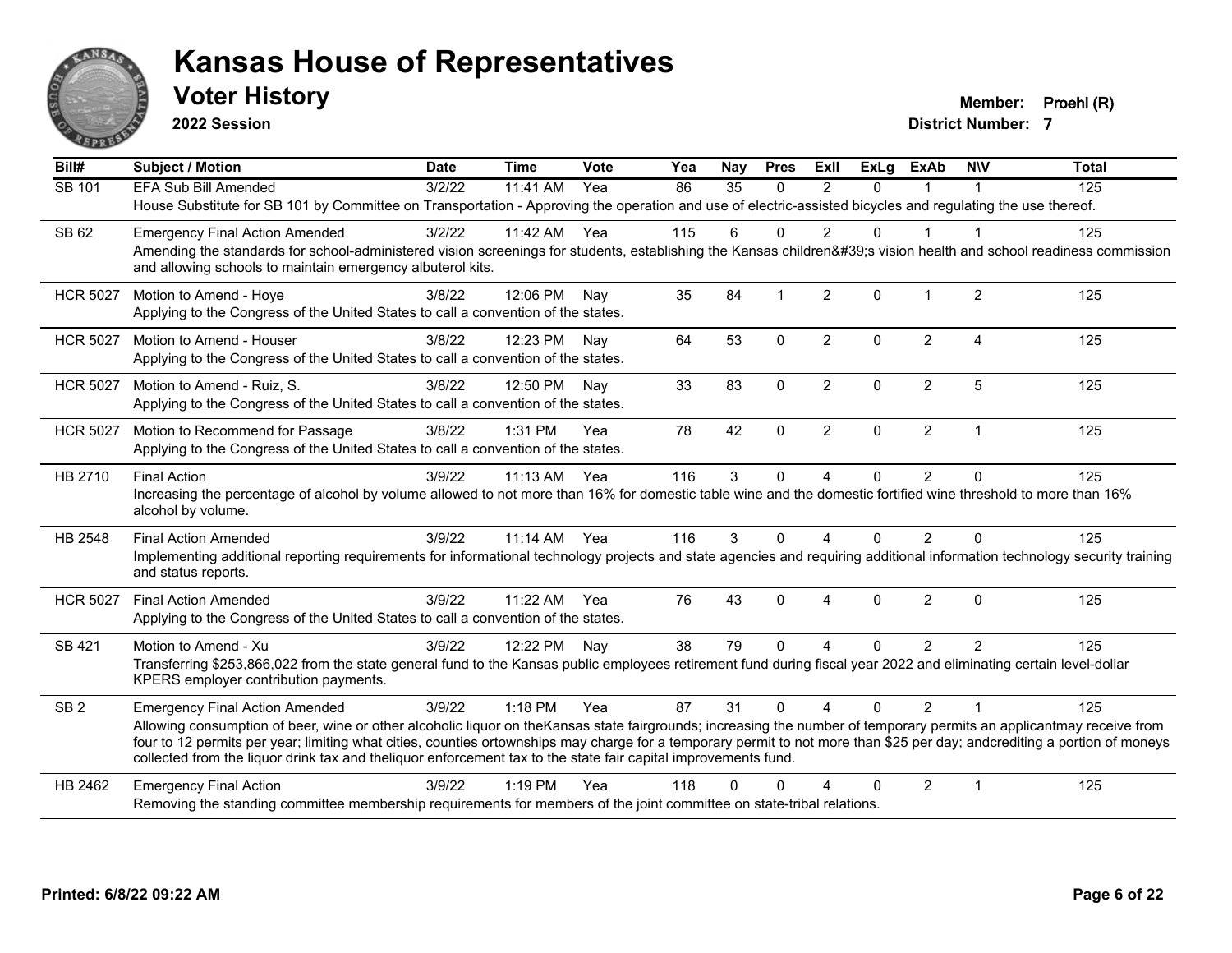

**2022 Session**

**Voter History Member: Proehl (R)** 

| Bill#           | <b>Subject / Motion</b>                                                                                                                                                                                                                                                                                                                            | <b>Date</b> | <b>Time</b>  | Vote | Yea | Nay          | <b>Pres</b>  | ExII           | <b>ExLg</b> | <b>ExAb</b>    | <b>NIV</b>              | <b>Total</b> |
|-----------------|----------------------------------------------------------------------------------------------------------------------------------------------------------------------------------------------------------------------------------------------------------------------------------------------------------------------------------------------------|-------------|--------------|------|-----|--------------|--------------|----------------|-------------|----------------|-------------------------|--------------|
| SB 101          | <b>EFA Sub Bill Amended</b>                                                                                                                                                                                                                                                                                                                        | 3/2/22      | 11:41 AM     | Yea  | 86  | 35           | $\mathbf{0}$ | 2              | $\Omega$    | 1              | $\overline{1}$          | 125          |
|                 | House Substitute for SB 101 by Committee on Transportation - Approving the operation and use of electric-assisted bicycles and regulating the use thereof.                                                                                                                                                                                         |             |              |      |     |              |              |                |             |                |                         |              |
| SB 62           | <b>Emergency Final Action Amended</b>                                                                                                                                                                                                                                                                                                              | 3/2/22      | 11:42 AM     | Yea  | 115 | 6            | $\Omega$     | $\mathfrak{p}$ | 0           |                |                         | 125          |
|                 | Amending the standards for school-administered vision screenings for students, establishing the Kansas children's vision health and school readiness commission<br>and allowing schools to maintain emergency albuterol kits.                                                                                                                      |             |              |      |     |              |              |                |             |                |                         |              |
| <b>HCR 5027</b> | Motion to Amend - Hoye                                                                                                                                                                                                                                                                                                                             | 3/8/22      | 12:06 PM     | Nay  | 35  | 84           |              | $\overline{2}$ | $\Omega$    |                | $\overline{2}$          | 125          |
|                 | Applying to the Congress of the United States to call a convention of the states.                                                                                                                                                                                                                                                                  |             |              |      |     |              |              |                |             |                |                         |              |
| <b>HCR 5027</b> | Motion to Amend - Houser                                                                                                                                                                                                                                                                                                                           | 3/8/22      | 12:23 PM Nay |      | 64  | 53           | $\Omega$     | $\overline{2}$ | $\Omega$    | $\overline{2}$ | $\boldsymbol{\Lambda}$  | 125          |
|                 | Applying to the Congress of the United States to call a convention of the states.                                                                                                                                                                                                                                                                  |             |              |      |     |              |              |                |             |                |                         |              |
| <b>HCR 5027</b> | Motion to Amend - Ruiz, S.                                                                                                                                                                                                                                                                                                                         | 3/8/22      | 12:50 PM     | Nav  | 33  | 83           | $\Omega$     | $\overline{2}$ | $\Omega$    | $\overline{2}$ | 5                       | 125          |
|                 | Applying to the Congress of the United States to call a convention of the states.                                                                                                                                                                                                                                                                  |             |              |      |     |              |              |                |             |                |                         |              |
| <b>HCR 5027</b> | Motion to Recommend for Passage                                                                                                                                                                                                                                                                                                                    | 3/8/22      | 1:31 PM      | Yea  | 78  | 42           | 0            | $\overline{2}$ | 0           | $\overline{2}$ | $\overline{1}$          | 125          |
|                 | Applying to the Congress of the United States to call a convention of the states.                                                                                                                                                                                                                                                                  |             |              |      |     |              |              |                |             |                |                         |              |
| HB 2710         | <b>Final Action</b>                                                                                                                                                                                                                                                                                                                                | 3/9/22      | 11:13 AM     | Yea  | 116 | $\mathbf{3}$ | 0            | 4              | 0           | $\overline{2}$ | $\Omega$                | 125          |
|                 | Increasing the percentage of alcohol by volume allowed to not more than 16% for domestic table wine and the domestic fortified wine threshold to more than 16%<br>alcohol by volume.                                                                                                                                                               |             |              |      |     |              |              |                |             |                |                         |              |
| HB 2548         | <b>Final Action Amended</b>                                                                                                                                                                                                                                                                                                                        | 3/9/22      | 11:14 AM Yea |      | 116 | 3            | $\Omega$     | 4              | $\Omega$    | $\overline{2}$ | $\Omega$                | 125          |
|                 | Implementing additional reporting requirements for informational technology projects and state agencies and requiring additional information technology security training<br>and status reports.                                                                                                                                                   |             |              |      |     |              |              |                |             |                |                         |              |
| <b>HCR 5027</b> | <b>Final Action Amended</b>                                                                                                                                                                                                                                                                                                                        | 3/9/22      | 11:22 AM     | Yea  | 76  | 43           | $\Omega$     | 4              | $\Omega$    | $\overline{2}$ | $\Omega$                | 125          |
|                 | Applying to the Congress of the United States to call a convention of the states.                                                                                                                                                                                                                                                                  |             |              |      |     |              |              |                |             |                |                         |              |
| SB 421          | Motion to Amend - Xu                                                                                                                                                                                                                                                                                                                               | 3/9/22      | 12:22 PM     | Nay  | 38  | 79           | $\Omega$     | 4              | $\Omega$    | $\overline{2}$ | $\mathcal{P}$           | 125          |
|                 | Transferring \$253,866,022 from the state general fund to the Kansas public employees retirement fund during fiscal year 2022 and eliminating certain level-dollar<br>KPERS employer contribution payments.                                                                                                                                        |             |              |      |     |              |              |                |             |                |                         |              |
| SB <sub>2</sub> | <b>Emergency Final Action Amended</b>                                                                                                                                                                                                                                                                                                              | 3/9/22      | 1:18 PM      | Yea  | 87  | 31           | $\Omega$     | $\overline{A}$ | $\Omega$    | $\mathcal{P}$  | $\overline{1}$          | 125          |
|                 | Allowing consumption of beer, wine or other alcoholic liquor on the Kansas state fairgrounds; increasing the number of temporary permits an applicantmay receive from<br>four to 12 permits per year; limiting what cities, counties ortownships may charge for a temporary permit to not more than \$25 per day; andcrediting a portion of moneys |             |              |      |     |              |              |                |             |                |                         |              |
|                 | collected from the liquor drink tax and theliquor enforcement tax to the state fair capital improvements fund.                                                                                                                                                                                                                                     |             |              |      |     |              |              |                |             |                |                         |              |
| HB 2462         | <b>Emergency Final Action</b>                                                                                                                                                                                                                                                                                                                      | 3/9/22      | $1:19$ PM    | Yea  | 118 | $\Omega$     | O            |                | 0           | $\overline{2}$ | $\overline{\mathbf{1}}$ | 125          |
|                 | Removing the standing committee membership requirements for members of the joint committee on state-tribal relations.                                                                                                                                                                                                                              |             |              |      |     |              |              |                |             |                |                         |              |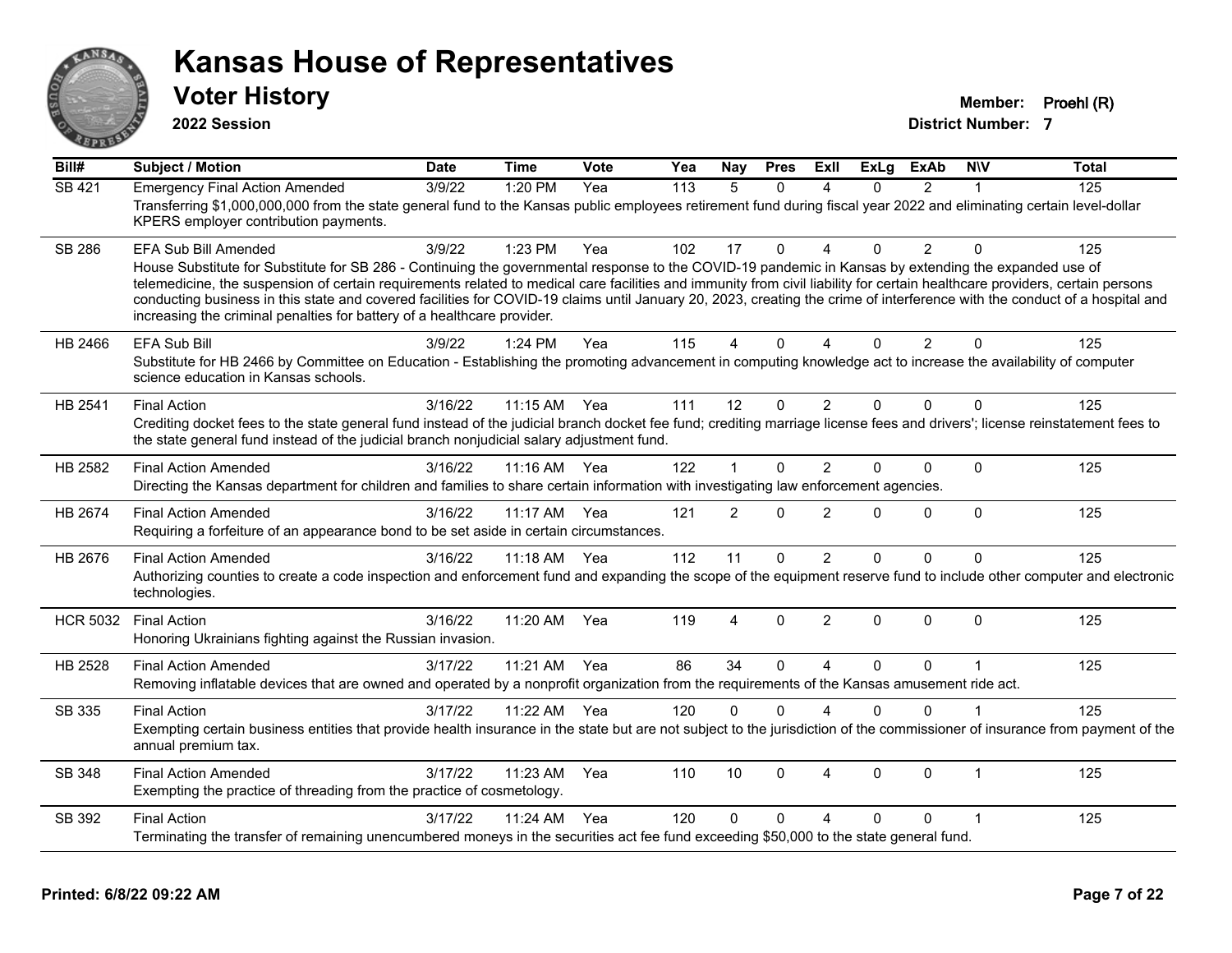

**2022 Session**

**Voter History Member: Proehl (R)** 

| Bill#           | <b>Subject / Motion</b>                                                                                                                                                                                                                                                                                                                                                                                                                                                                                                                                                                       | <b>Date</b> | <b>Time</b> | Vote | Yea | Nay            | <b>Pres</b>  | ExII                      | <b>ExLg</b> | <b>ExAb</b>    | <b>NIV</b>   | <b>Total</b> |
|-----------------|-----------------------------------------------------------------------------------------------------------------------------------------------------------------------------------------------------------------------------------------------------------------------------------------------------------------------------------------------------------------------------------------------------------------------------------------------------------------------------------------------------------------------------------------------------------------------------------------------|-------------|-------------|------|-----|----------------|--------------|---------------------------|-------------|----------------|--------------|--------------|
| SB 421          | <b>Emergency Final Action Amended</b>                                                                                                                                                                                                                                                                                                                                                                                                                                                                                                                                                         | 3/9/22      | 1:20 PM     | Yea  | 113 | 5              | $\Omega$     | Δ                         | 0           | $\overline{2}$ | -1           | 125          |
|                 | Transferring \$1,000,000,000 from the state general fund to the Kansas public employees retirement fund during fiscal year 2022 and eliminating certain level-dollar<br>KPERS employer contribution payments.                                                                                                                                                                                                                                                                                                                                                                                 |             |             |      |     |                |              |                           |             |                |              |              |
| <b>SB 286</b>   | EFA Sub Bill Amended                                                                                                                                                                                                                                                                                                                                                                                                                                                                                                                                                                          | 3/9/22      | 1:23 PM     | Yea  | 102 | 17             | $\Omega$     | $\boldsymbol{\varDelta}$  | 0           | $\overline{2}$ | $\Omega$     | 125          |
|                 | House Substitute for Substitute for SB 286 - Continuing the governmental response to the COVID-19 pandemic in Kansas by extending the expanded use of<br>telemedicine, the suspension of certain requirements related to medical care facilities and immunity from civil liability for certain healthcare providers, certain persons<br>conducting business in this state and covered facilities for COVID-19 claims until January 20, 2023, creating the crime of interference with the conduct of a hospital and<br>increasing the criminal penalties for battery of a healthcare provider. |             |             |      |     |                |              |                           |             |                |              |              |
| HB 2466         | <b>EFA Sub Bill</b>                                                                                                                                                                                                                                                                                                                                                                                                                                                                                                                                                                           | 3/9/22      | 1:24 PM     | Yea  | 115 | 4              | $\mathbf{0}$ | $\boldsymbol{\varLambda}$ | $\Omega$    | 2              | $\Omega$     | 125          |
|                 | Substitute for HB 2466 by Committee on Education - Establishing the promoting advancement in computing knowledge act to increase the availability of computer<br>science education in Kansas schools.                                                                                                                                                                                                                                                                                                                                                                                         |             |             |      |     |                |              |                           |             |                |              |              |
| HB 2541         | <b>Final Action</b>                                                                                                                                                                                                                                                                                                                                                                                                                                                                                                                                                                           | 3/16/22     | 11:15 AM    | Yea  | 111 | 12             | $\Omega$     | 2                         | $\Omega$    | $\Omega$       | $\Omega$     | 125          |
|                 | Crediting docket fees to the state general fund instead of the judicial branch docket fee fund; crediting marriage license fees and drivers'; license reinstatement fees to<br>the state general fund instead of the judicial branch nonjudicial salary adjustment fund.                                                                                                                                                                                                                                                                                                                      |             |             |      |     |                |              |                           |             |                |              |              |
| HB 2582         | <b>Final Action Amended</b>                                                                                                                                                                                                                                                                                                                                                                                                                                                                                                                                                                   | 3/16/22     | $11:16$ AM  | Yea  | 122 | 1              | $\Omega$     | $\overline{2}$            | $\Omega$    | $\Omega$       | $\Omega$     | 125          |
|                 | Directing the Kansas department for children and families to share certain information with investigating law enforcement agencies.                                                                                                                                                                                                                                                                                                                                                                                                                                                           |             |             |      |     |                |              |                           |             |                |              |              |
| HB 2674         | <b>Final Action Amended</b><br>Requiring a forfeiture of an appearance bond to be set aside in certain circumstances.                                                                                                                                                                                                                                                                                                                                                                                                                                                                         | 3/16/22     | 11:17 AM    | Yea  | 121 | $\overline{2}$ | $\mathbf{0}$ | $\overline{2}$            | 0           | 0              | $\mathbf{0}$ | 125          |
| HB 2676         | <b>Final Action Amended</b>                                                                                                                                                                                                                                                                                                                                                                                                                                                                                                                                                                   | 3/16/22     | 11:18 AM    | Yea  | 112 | 11             | $\Omega$     | 2                         | $\Omega$    | 0              | $\Omega$     | 125          |
|                 | Authorizing counties to create a code inspection and enforcement fund and expanding the scope of the equipment reserve fund to include other computer and electronic<br>technologies.                                                                                                                                                                                                                                                                                                                                                                                                         |             |             |      |     |                |              |                           |             |                |              |              |
| <b>HCR 5032</b> | <b>Final Action</b>                                                                                                                                                                                                                                                                                                                                                                                                                                                                                                                                                                           | 3/16/22     | 11:20 AM    | Yea  | 119 | 4              | $\mathbf 0$  | $\overline{2}$            | $\Omega$    | 0              | $\Omega$     | 125          |
|                 | Honoring Ukrainians fighting against the Russian invasion.                                                                                                                                                                                                                                                                                                                                                                                                                                                                                                                                    |             |             |      |     |                |              |                           |             |                |              |              |
| HB 2528         | <b>Final Action Amended</b>                                                                                                                                                                                                                                                                                                                                                                                                                                                                                                                                                                   | 3/17/22     | 11:21 AM    | Yea  | 86  | 34             | $\Omega$     | $\Delta$                  | $\Omega$    | $\Omega$       | $\mathbf 1$  | 125          |
|                 | Removing inflatable devices that are owned and operated by a nonprofit organization from the requirements of the Kansas amusement ride act.                                                                                                                                                                                                                                                                                                                                                                                                                                                   |             |             |      |     |                |              |                           |             |                |              |              |
| SB 335          | <b>Final Action</b>                                                                                                                                                                                                                                                                                                                                                                                                                                                                                                                                                                           | 3/17/22     | 11:22 AM    | Yea  | 120 | $\Omega$       | $\Omega$     | $\boldsymbol{\varDelta}$  | $\Omega$    | $\Omega$       |              | 125          |
|                 | Exempting certain business entities that provide health insurance in the state but are not subject to the jurisdiction of the commissioner of insurance from payment of the<br>annual premium tax.                                                                                                                                                                                                                                                                                                                                                                                            |             |             |      |     |                |              |                           |             |                |              |              |
| SB 348          | <b>Final Action Amended</b>                                                                                                                                                                                                                                                                                                                                                                                                                                                                                                                                                                   | 3/17/22     | 11:23 AM    | Yea  | 110 | 10             | $\mathbf{0}$ | $\overline{\mathbf{A}}$   | $\Omega$    | $\Omega$       | $\mathbf 1$  | 125          |
|                 | Exempting the practice of threading from the practice of cosmetology.                                                                                                                                                                                                                                                                                                                                                                                                                                                                                                                         |             |             |      |     |                |              |                           |             |                |              |              |
| SB 392          | <b>Final Action</b>                                                                                                                                                                                                                                                                                                                                                                                                                                                                                                                                                                           | 3/17/22     | 11:24 AM    | Yea  | 120 | 0              | $\Omega$     | $\boldsymbol{\varDelta}$  | 0           | 0              |              | 125          |
|                 | Terminating the transfer of remaining unencumbered moneys in the securities act fee fund exceeding \$50,000 to the state general fund.                                                                                                                                                                                                                                                                                                                                                                                                                                                        |             |             |      |     |                |              |                           |             |                |              |              |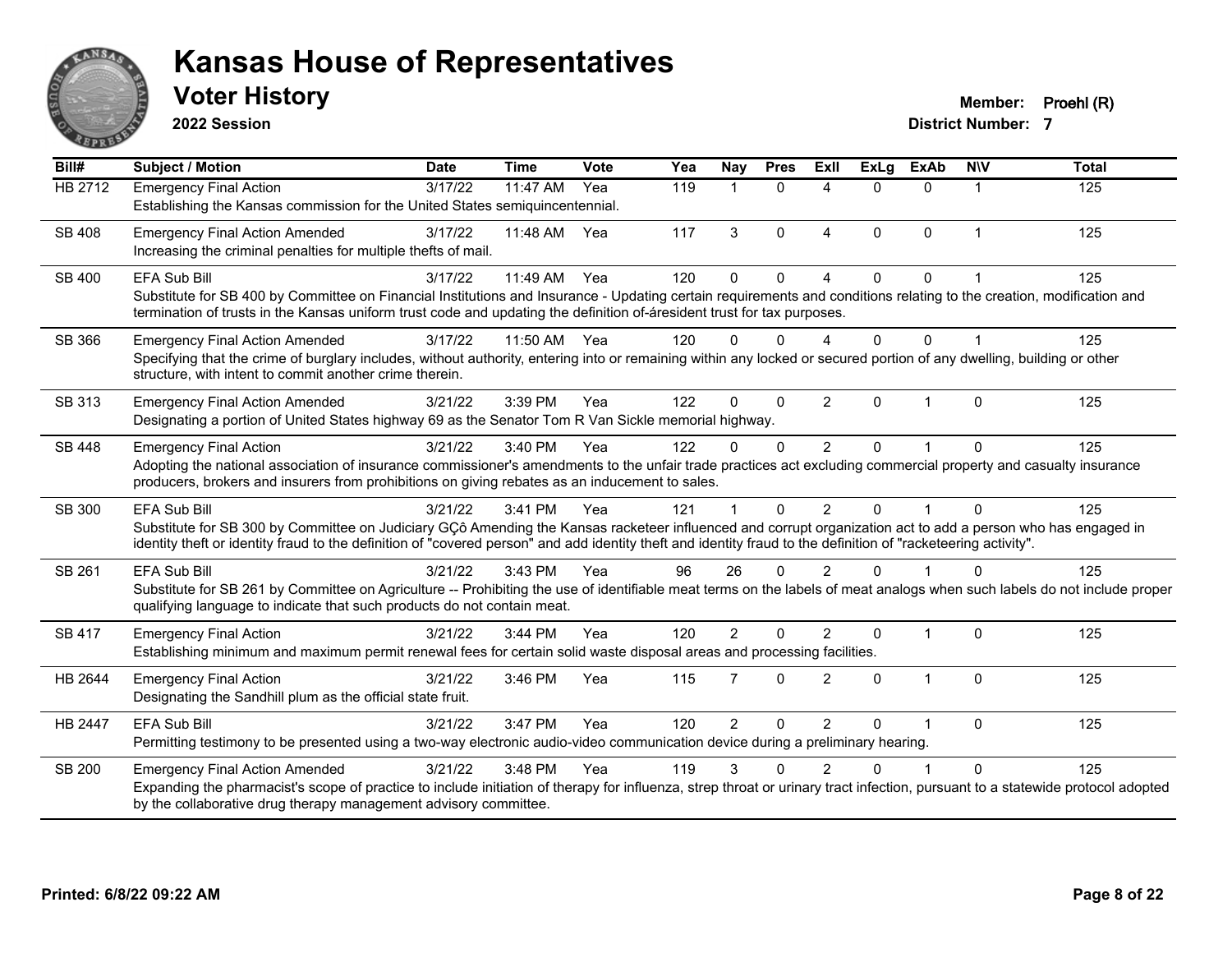

**2022 Session**

**Voter History Member: Proehl (R)** 

| Bill#         | <b>Subject / Motion</b>                                                                                                                                                                                                                                                                                                                               | <b>Date</b> | <b>Time</b> | Vote | Yea | Nay            | <b>Pres</b> | <b>Exll</b>    | <b>ExLg</b> | <b>ExAb</b>  | <b>NIV</b>     | <b>Total</b> |
|---------------|-------------------------------------------------------------------------------------------------------------------------------------------------------------------------------------------------------------------------------------------------------------------------------------------------------------------------------------------------------|-------------|-------------|------|-----|----------------|-------------|----------------|-------------|--------------|----------------|--------------|
| HB 2712       | <b>Emergency Final Action</b><br>Establishing the Kansas commission for the United States semiquincentennial.                                                                                                                                                                                                                                         | 3/17/22     | 11:47 AM    | Yea  | 119 | 1              | $\Omega$    | $\Delta$       | 0           | $\Omega$     |                | 125          |
| <b>SB 408</b> | <b>Emergency Final Action Amended</b><br>Increasing the criminal penalties for multiple thefts of mail.                                                                                                                                                                                                                                               | 3/17/22     | 11:48 AM    | Yea  | 117 | 3              | $\Omega$    | $\overline{4}$ | $\Omega$    | $\Omega$     | $\overline{1}$ | 125          |
| SB 400        | EFA Sub Bill<br>Substitute for SB 400 by Committee on Financial Institutions and Insurance - Updating certain requirements and conditions relating to the creation, modification and<br>termination of trusts in the Kansas uniform trust code and updating the definition of-áresident trust for tax purposes.                                       | 3/17/22     | 11:49 AM    | Yea  | 120 | 0              | $\Omega$    | $\Lambda$      | 0           | $\Omega$     |                | 125          |
| SB 366        | <b>Emergency Final Action Amended</b><br>Specifying that the crime of burglary includes, without authority, entering into or remaining within any locked or secured portion of any dwelling, building or other<br>structure, with intent to commit another crime therein.                                                                             | 3/17/22     | 11:50 AM    | Yea  | 120 | 0              | ∩           | Δ              | 0           | $\Omega$     |                | 125          |
| SB 313        | <b>Emergency Final Action Amended</b><br>Designating a portion of United States highway 69 as the Senator Tom R Van Sickle memorial highway.                                                                                                                                                                                                          | 3/21/22     | 3:39 PM     | Yea  | 122 | 0              | $\Omega$    | $\overline{2}$ | 0           | $\mathbf 1$  | $\Omega$       | 125          |
| SB 448        | <b>Emergency Final Action</b><br>Adopting the national association of insurance commissioner's amendments to the unfair trade practices act excluding commercial property and casualty insurance<br>producers, brokers and insurers from prohibitions on giving rebates as an inducement to sales.                                                    | 3/21/22     | 3:40 PM     | Yea  | 122 | 0              | $\Omega$    | $\overline{2}$ | 0           |              | $\Omega$       | 125          |
| SB 300        | <b>EFA Sub Bill</b><br>Substitute for SB 300 by Committee on Judiciary GCô Amending the Kansas racketeer influenced and corrupt organization act to add a person who has engaged in<br>identity theft or identity fraud to the definition of "covered person" and add identity theft and identity fraud to the definition of "racketeering activity". | 3/21/22     | 3:41 PM     | Yea  | 121 |                | $\Omega$    | $\mathcal{P}$  | 0           |              | $\Omega$       | 125          |
| SB 261        | <b>EFA Sub Bill</b><br>Substitute for SB 261 by Committee on Agriculture -- Prohibiting the use of identifiable meat terms on the labels of meat analogs when such labels do not include proper<br>qualifying language to indicate that such products do not contain meat.                                                                            | 3/21/22     | 3:43 PM     | Yea  | 96  | 26             | $\Omega$    | $\mathfrak{p}$ | U           |              | $\Omega$       | 125          |
| <b>SB 417</b> | <b>Emergency Final Action</b><br>Establishing minimum and maximum permit renewal fees for certain solid waste disposal areas and processing facilities.                                                                                                                                                                                               | 3/21/22     | 3:44 PM     | Yea  | 120 | $\overline{2}$ | $\Omega$    | $\mathcal{P}$  | 0           | $\mathbf{1}$ | $\Omega$       | 125          |
| HB 2644       | <b>Emergency Final Action</b><br>Designating the Sandhill plum as the official state fruit.                                                                                                                                                                                                                                                           | 3/21/22     | 3:46 PM     | Yea  | 115 | $\overline{7}$ | $\Omega$    | $\mathfrak{p}$ | 0           | $\mathbf{1}$ | $\Omega$       | 125          |
| HB 2447       | <b>EFA Sub Bill</b><br>Permitting testimony to be presented using a two-way electronic audio-video communication device during a preliminary hearing.                                                                                                                                                                                                 | 3/21/22     | 3:47 PM     | Yea  | 120 | $\overline{2}$ | $\Omega$    | 2              | U           |              | $\Omega$       | 125          |
| <b>SB 200</b> | <b>Emergency Final Action Amended</b><br>Expanding the pharmacist's scope of practice to include initiation of therapy for influenza, strep throat or urinary tract infection, pursuant to a statewide protocol adopted<br>by the collaborative drug therapy management advisory committee.                                                           | 3/21/22     | 3:48 PM     | Yea  | 119 | 3              |             |                |             |              | $\Omega$       | 125          |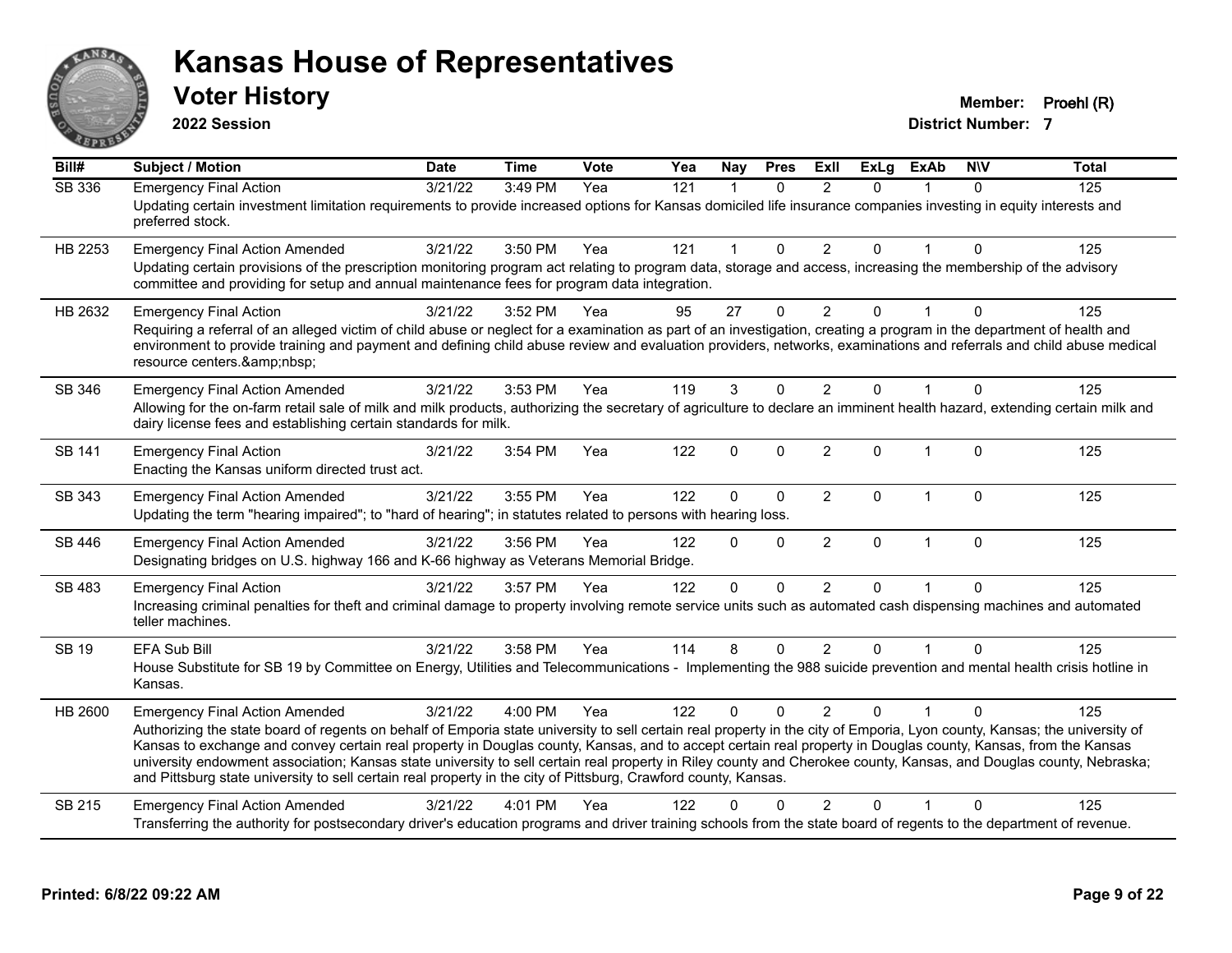

**2022 Session**

**Voter History Member: Proehl (R)** 

| Bill#         | <b>Subject / Motion</b>                                                                                                                                                                                                                                                                                                                                                                                                                                                                                                                                                                                                                                                      | <b>Date</b>      | <b>Time</b> | Vote | Yea | Nav          | <b>Pres</b>  | ExII           | <b>ExLg</b> | <b>ExAb</b>    | <b>NIV</b>   | <b>Total</b> |
|---------------|------------------------------------------------------------------------------------------------------------------------------------------------------------------------------------------------------------------------------------------------------------------------------------------------------------------------------------------------------------------------------------------------------------------------------------------------------------------------------------------------------------------------------------------------------------------------------------------------------------------------------------------------------------------------------|------------------|-------------|------|-----|--------------|--------------|----------------|-------------|----------------|--------------|--------------|
| <b>SB 336</b> | <b>Emergency Final Action</b><br>Updating certain investment limitation requirements to provide increased options for Kansas domiciled life insurance companies investing in equity interests and<br>preferred stock.                                                                                                                                                                                                                                                                                                                                                                                                                                                        | $\sqrt{3/21/22}$ | 3:49 PM     | Yea  | 121 | $\mathbf{1}$ | $\Omega$     | $\mathfrak{p}$ | $\Omega$    |                | $\Omega$     | 125          |
| HB 2253       | <b>Emergency Final Action Amended</b><br>Updating certain provisions of the prescription monitoring program act relating to program data, storage and access, increasing the membership of the advisory<br>committee and providing for setup and annual maintenance fees for program data integration.                                                                                                                                                                                                                                                                                                                                                                       | 3/21/22          | 3:50 PM     | Yea  | 121 | $\mathbf{1}$ | $\mathbf{0}$ | $\overline{2}$ | $\Omega$    |                | $\mathbf{0}$ | 125          |
| HB 2632       | <b>Emergency Final Action</b><br>Requiring a referral of an alleged victim of child abuse or neglect for a examination as part of an investigation, creating a program in the department of health and<br>environment to provide training and payment and defining child abuse review and evaluation providers, networks, examinations and referrals and child abuse medical<br>resource centers.                                                                                                                                                                                                                                                                            | 3/21/22          | 3:52 PM     | Yea  | 95  | 27           | $\mathbf{0}$ | $\overline{2}$ | 0           |                | $\Omega$     | 125          |
| SB 346        | <b>Emergency Final Action Amended</b><br>Allowing for the on-farm retail sale of milk and milk products, authorizing the secretary of agriculture to declare an imminent health hazard, extending certain milk and<br>dairy license fees and establishing certain standards for milk.                                                                                                                                                                                                                                                                                                                                                                                        | 3/21/22          | 3:53 PM     | Yea  | 119 | 3            | $\mathbf{0}$ | $\overline{2}$ | 0           |                | $\Omega$     | 125          |
| SB 141        | <b>Emergency Final Action</b><br>Enacting the Kansas uniform directed trust act.                                                                                                                                                                                                                                                                                                                                                                                                                                                                                                                                                                                             | 3/21/22          | 3:54 PM     | Yea  | 122 | $\Omega$     | $\mathbf{0}$ | 2              | 0           | $\overline{1}$ | $\mathbf{0}$ | 125          |
| SB 343        | <b>Emergency Final Action Amended</b><br>Updating the term "hearing impaired"; to "hard of hearing"; in statutes related to persons with hearing loss.                                                                                                                                                                                                                                                                                                                                                                                                                                                                                                                       | 3/21/22          | 3:55 PM     | Yea  | 122 | $\mathbf 0$  | $\mathbf 0$  | $\overline{2}$ | 0           | $\overline{1}$ | $\mathbf 0$  | 125          |
| SB 446        | <b>Emergency Final Action Amended</b><br>Designating bridges on U.S. highway 166 and K-66 highway as Veterans Memorial Bridge.                                                                                                                                                                                                                                                                                                                                                                                                                                                                                                                                               | 3/21/22          | 3:56 PM     | Yea  | 122 | $\Omega$     | $\mathbf{0}$ | $\overline{2}$ | $\Omega$    | $\mathbf{1}$   | $\mathbf 0$  | 125          |
| SB 483        | <b>Emergency Final Action</b><br>Increasing criminal penalties for theft and criminal damage to property involving remote service units such as automated cash dispensing machines and automated<br>teller machines.                                                                                                                                                                                                                                                                                                                                                                                                                                                         | 3/21/22          | 3:57 PM     | Yea  | 122 | $\Omega$     | $\Omega$     | 2              | 0           |                | $\Omega$     | 125          |
| <b>SB 19</b>  | EFA Sub Bill<br>House Substitute for SB 19 by Committee on Energy, Utilities and Telecommunications - Implementing the 988 suicide prevention and mental health crisis hotline in<br>Kansas.                                                                                                                                                                                                                                                                                                                                                                                                                                                                                 | 3/21/22          | 3:58 PM     | Yea  | 114 | 8            | $\mathbf{0}$ | $\overline{2}$ | 0           |                | $\Omega$     | 125          |
| HB 2600       | <b>Emergency Final Action Amended</b><br>Authorizing the state board of regents on behalf of Emporia state university to sell certain real property in the city of Emporia, Lyon county, Kansas; the university of<br>Kansas to exchange and convey certain real property in Douglas county, Kansas, and to accept certain real property in Douglas county, Kansas, from the Kansas<br>university endowment association; Kansas state university to sell certain real property in Riley county and Cherokee county, Kansas, and Douglas county, Nebraska;<br>and Pittsburg state university to sell certain real property in the city of Pittsburg, Crawford county, Kansas. | 3/21/22          | 4:00 PM     | Yea  | 122 | $\Omega$     | $\Omega$     | $\mathcal{P}$  | $\Omega$    |                | $\Omega$     | 125          |
| SB 215        | <b>Emergency Final Action Amended</b><br>Transferring the authority for postsecondary driver's education programs and driver training schools from the state board of regents to the department of revenue.                                                                                                                                                                                                                                                                                                                                                                                                                                                                  | 3/21/22          | 4:01 PM     | Yea  | 122 | ŋ            |              | $\overline{2}$ | 0           |                | $\Omega$     | 125          |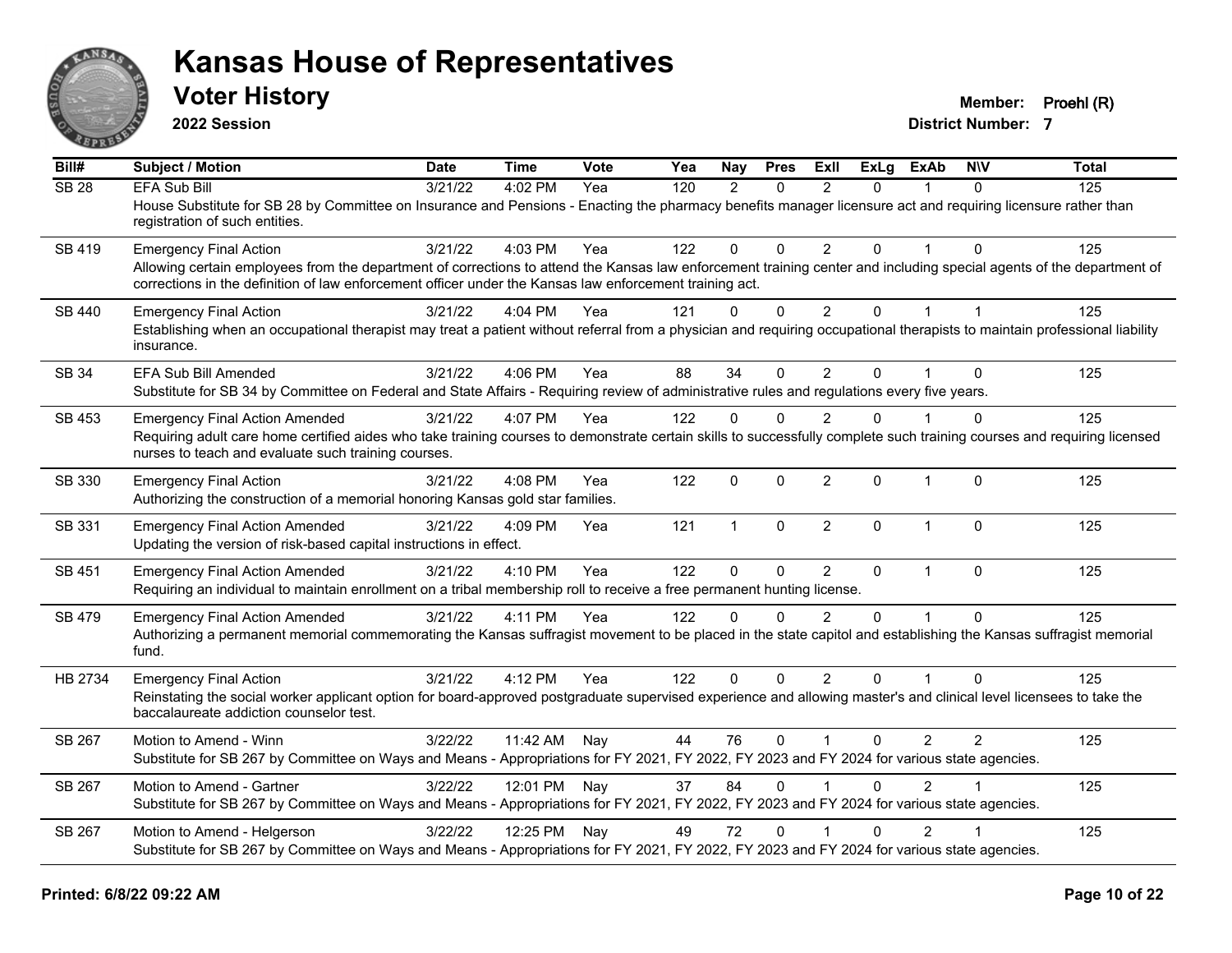

**2022 Session**

**Voter History Member: Proehl (R)** 

| Bill#         | Subject / Motion                                                                                                                                                                                                                                                                                                 | <b>Date</b> | Time         | Vote | Yea | Nay           | <b>Pres</b>  | <b>ExII</b>             | <b>ExLg</b>    | <b>ExAb</b>    | <b>NIV</b>     | <b>Total</b> |
|---------------|------------------------------------------------------------------------------------------------------------------------------------------------------------------------------------------------------------------------------------------------------------------------------------------------------------------|-------------|--------------|------|-----|---------------|--------------|-------------------------|----------------|----------------|----------------|--------------|
| <b>SB 28</b>  | <b>EFA Sub Bill</b><br>House Substitute for SB 28 by Committee on Insurance and Pensions - Enacting the pharmacy benefits manager licensure act and requiring licensure rather than<br>registration of such entities.                                                                                            | 3/21/22     | 4:02 PM      | Yea  | 120 | $\mathcal{P}$ | $\Omega$     | $\mathcal{P}$           | $\Omega$       |                | $\Omega$       | 125          |
| SB 419        | <b>Emergency Final Action</b><br>Allowing certain employees from the department of corrections to attend the Kansas law enforcement training center and including special agents of the department of<br>corrections in the definition of law enforcement officer under the Kansas law enforcement training act. | 3/21/22     | 4:03 PM      | Yea  | 122 | $\mathbf 0$   | $\mathbf{0}$ | 2                       | $\Omega$       |                | $\Omega$       | 125          |
| SB 440        | <b>Emergency Final Action</b><br>Establishing when an occupational therapist may treat a patient without referral from a physician and requiring occupational therapists to maintain professional liability<br>insurance.                                                                                        | 3/21/22     | 4:04 PM      | Yea  | 121 | $\mathbf{0}$  | $\mathbf 0$  | $\overline{2}$          | $\overline{0}$ | $\mathbf{1}$   | $\overline{1}$ | 125          |
| SB 34         | EFA Sub Bill Amended<br>Substitute for SB 34 by Committee on Federal and State Affairs - Requiring review of administrative rules and regulations every five years.                                                                                                                                              | 3/21/22     | 4:06 PM      | Yea  | 88  | 34            | $\mathbf{0}$ | $\overline{2}$          | 0              |                | $\Omega$       | 125          |
| SB 453        | <b>Emergency Final Action Amended</b><br>Requiring adult care home certified aides who take training courses to demonstrate certain skills to successfully complete such training courses and requiring licensed<br>nurses to teach and evaluate such training courses.                                          | 3/21/22     | 4:07 PM      | Yea  | 122 | $\mathbf{0}$  | $\Omega$     | 2                       | $\Omega$       |                | $\Omega$       | 125          |
| SB 330        | <b>Emergency Final Action</b><br>Authorizing the construction of a memorial honoring Kansas gold star families.                                                                                                                                                                                                  | 3/21/22     | 4:08 PM      | Yea  | 122 | $\mathbf 0$   | $\mathbf 0$  | $\overline{2}$          | 0              | $\mathbf{1}$   | $\mathbf 0$    | 125          |
| SB 331        | <b>Emergency Final Action Amended</b><br>Updating the version of risk-based capital instructions in effect.                                                                                                                                                                                                      | 3/21/22     | $4:09$ PM    | Yea  | 121 | $\mathbf{1}$  | $\mathbf{0}$ | $\overline{2}$          | $\Omega$       | $\overline{1}$ | $\Omega$       | 125          |
| SB 451        | <b>Emergency Final Action Amended</b><br>Requiring an individual to maintain enrollment on a tribal membership roll to receive a free permanent hunting license.                                                                                                                                                 | 3/21/22     | 4:10 PM      | Yea  | 122 | $\mathbf{0}$  | $\mathbf 0$  | 2                       | $\mathbf{0}$   | $\mathbf{1}$   | $\Omega$       | 125          |
| <b>SB 479</b> | <b>Emergency Final Action Amended</b><br>Authorizing a permanent memorial commemorating the Kansas suffragist movement to be placed in the state capitol and establishing the Kansas suffragist memorial<br>fund.                                                                                                | 3/21/22     | 4:11 PM      | Yea  | 122 | $\Omega$      | $\Omega$     | $\mathfrak{p}$          | $\Omega$       | $\overline{1}$ | $\Omega$       | 125          |
| HB 2734       | <b>Emergency Final Action</b><br>Reinstating the social worker applicant option for board-approved postgraduate supervised experience and allowing master's and clinical level licensees to take the<br>baccalaureate addiction counselor test.                                                                  | 3/21/22     | 4:12 PM      | Yea  | 122 | $\Omega$      | $\Omega$     | 2                       | $\Omega$       |                | $\Omega$       | 125          |
| SB 267        | Motion to Amend - Winn<br>Substitute for SB 267 by Committee on Ways and Means - Appropriations for FY 2021, FY 2022, FY 2023 and FY 2024 for various state agencies.                                                                                                                                            | 3/22/22     | 11:42 AM     | Nay  | 44  | 76            | $\mathbf{0}$ | $\overline{\mathbf{1}}$ | $\Omega$       | $\overline{2}$ | $\overline{2}$ | 125          |
| SB 267        | Motion to Amend - Gartner<br>Substitute for SB 267 by Committee on Ways and Means - Appropriations for FY 2021, FY 2022, FY 2023 and FY 2024 for various state agencies.                                                                                                                                         | 3/22/22     | 12:01 PM Nay |      | 37  | 84            | $\Omega$     | $\overline{\mathbf{1}}$ | $\Omega$       | $\mathcal{P}$  |                | 125          |
| SB 267        | Motion to Amend - Helgerson<br>Substitute for SB 267 by Committee on Ways and Means - Appropriations for FY 2021, FY 2022, FY 2023 and FY 2024 for various state agencies.                                                                                                                                       | 3/22/22     | 12:25 PM Nay |      | 49  | 72            | $\Omega$     | $\overline{1}$          | $\Omega$       | $\overline{2}$ |                | 125          |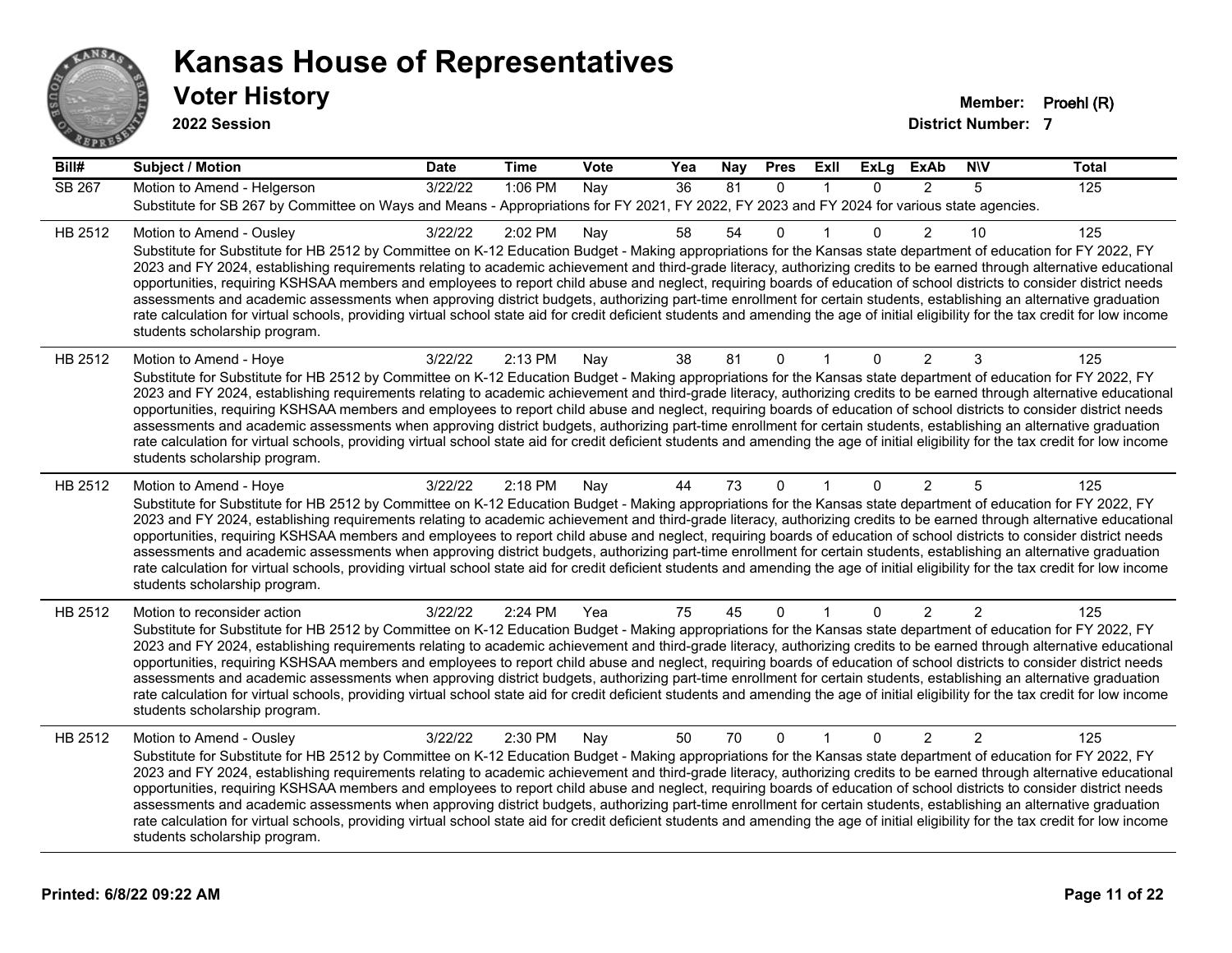

**2022 Session**

| Bill#         | <b>Subject / Motion</b>                                                                                                                                                                                                                                                                                                                                                                                                                                                                                                                                                                                                                                                                                                                                                                                                                                                                                                                             | <b>Date</b> | <b>Time</b> | Vote | Yea | Nay | <b>Pres</b>  | ExII         | ExLg     | <b>ExAb</b>    | <b>NIV</b>     | <b>Total</b> |
|---------------|-----------------------------------------------------------------------------------------------------------------------------------------------------------------------------------------------------------------------------------------------------------------------------------------------------------------------------------------------------------------------------------------------------------------------------------------------------------------------------------------------------------------------------------------------------------------------------------------------------------------------------------------------------------------------------------------------------------------------------------------------------------------------------------------------------------------------------------------------------------------------------------------------------------------------------------------------------|-------------|-------------|------|-----|-----|--------------|--------------|----------|----------------|----------------|--------------|
| <b>SB 267</b> | Motion to Amend - Helgerson                                                                                                                                                                                                                                                                                                                                                                                                                                                                                                                                                                                                                                                                                                                                                                                                                                                                                                                         | 3/22/22     | 1:06 PM     | Nay  | 36  | 81  | $\mathbf{0}$ |              | $\Omega$ | 2              | 5              | 125          |
|               | Substitute for SB 267 by Committee on Ways and Means - Appropriations for FY 2021, FY 2022, FY 2023 and FY 2024 for various state agencies.                                                                                                                                                                                                                                                                                                                                                                                                                                                                                                                                                                                                                                                                                                                                                                                                         |             |             |      |     |     |              |              |          |                |                |              |
| HB 2512       | Motion to Amend - Ousley<br>Substitute for Substitute for HB 2512 by Committee on K-12 Education Budget - Making appropriations for the Kansas state department of education for FY 2022, FY<br>2023 and FY 2024, establishing requirements relating to academic achievement and third-grade literacy, authorizing credits to be earned through alternative educational<br>opportunities, requiring KSHSAA members and employees to report child abuse and neglect, requiring boards of education of school districts to consider district needs<br>assessments and academic assessments when approving district budgets, authorizing part-time enrollment for certain students, establishing an alternative graduation<br>rate calculation for virtual schools, providing virtual school state aid for credit deficient students and amending the age of initial eligibility for the tax credit for low income<br>students scholarship program.    | 3/22/22     | 2:02 PM     | Nay  | 58  | 54  | $\mathbf{0}$ |              | 0        | $\mathcal{P}$  | 10             | 125          |
| HB 2512       | Motion to Amend - Hoye<br>Substitute for Substitute for HB 2512 by Committee on K-12 Education Budget - Making appropriations for the Kansas state department of education for FY 2022, FY<br>2023 and FY 2024, establishing requirements relating to academic achievement and third-grade literacy, authorizing credits to be earned through alternative educational<br>opportunities, requiring KSHSAA members and employees to report child abuse and neglect, requiring boards of education of school districts to consider district needs<br>assessments and academic assessments when approving district budgets, authorizing part-time enrollment for certain students, establishing an alternative graduation<br>rate calculation for virtual schools, providing virtual school state aid for credit deficient students and amending the age of initial eligibility for the tax credit for low income<br>students scholarship program.      | 3/22/22     | 2:13 PM     | Nay  | 38  | 81  | $\mathbf 0$  | 1            | 0        | 2              | 3              | 125          |
| HB 2512       | Motion to Amend - Hoye<br>Substitute for Substitute for HB 2512 by Committee on K-12 Education Budget - Making appropriations for the Kansas state department of education for FY 2022, FY<br>2023 and FY 2024, establishing requirements relating to academic achievement and third-grade literacy, authorizing credits to be earned through alternative educational<br>opportunities, requiring KSHSAA members and employees to report child abuse and neglect, requiring boards of education of school districts to consider district needs<br>assessments and academic assessments when approving district budgets, authorizing part-time enrollment for certain students, establishing an alternative graduation<br>rate calculation for virtual schools, providing virtual school state aid for credit deficient students and amending the age of initial eligibility for the tax credit for low income<br>students scholarship program.      | 3/22/22     | 2:18 PM     | Nay  | 44  | 73  | $\Omega$     |              | 0        | $\overline{2}$ | 5              | 125          |
| HB 2512       | Motion to reconsider action<br>Substitute for Substitute for HB 2512 by Committee on K-12 Education Budget - Making appropriations for the Kansas state department of education for FY 2022, FY<br>2023 and FY 2024, establishing requirements relating to academic achievement and third-grade literacy, authorizing credits to be earned through alternative educational<br>opportunities, requiring KSHSAA members and employees to report child abuse and neglect, requiring boards of education of school districts to consider district needs<br>assessments and academic assessments when approving district budgets, authorizing part-time enrollment for certain students, establishing an alternative graduation<br>rate calculation for virtual schools, providing virtual school state aid for credit deficient students and amending the age of initial eligibility for the tax credit for low income<br>students scholarship program. | 3/22/22     | 2:24 PM     | Yea  | 75  | 45  | $\mathbf{0}$ | $\mathbf{1}$ | $\Omega$ | 2              | 2              | 125          |
| HB 2512       | Motion to Amend - Ousley<br>Substitute for Substitute for HB 2512 by Committee on K-12 Education Budget - Making appropriations for the Kansas state department of education for FY 2022, FY<br>2023 and FY 2024, establishing requirements relating to academic achievement and third-grade literacy, authorizing credits to be earned through alternative educational<br>opportunities, requiring KSHSAA members and employees to report child abuse and neglect, requiring boards of education of school districts to consider district needs<br>assessments and academic assessments when approving district budgets, authorizing part-time enrollment for certain students, establishing an alternative graduation<br>rate calculation for virtual schools, providing virtual school state aid for credit deficient students and amending the age of initial eligibility for the tax credit for low income<br>students scholarship program.    | 3/22/22     | 2:30 PM     | Nay  | 50  | 70  | $\mathbf{0}$ | $\mathbf{1}$ | $\Omega$ | 2              | $\overline{2}$ | 125          |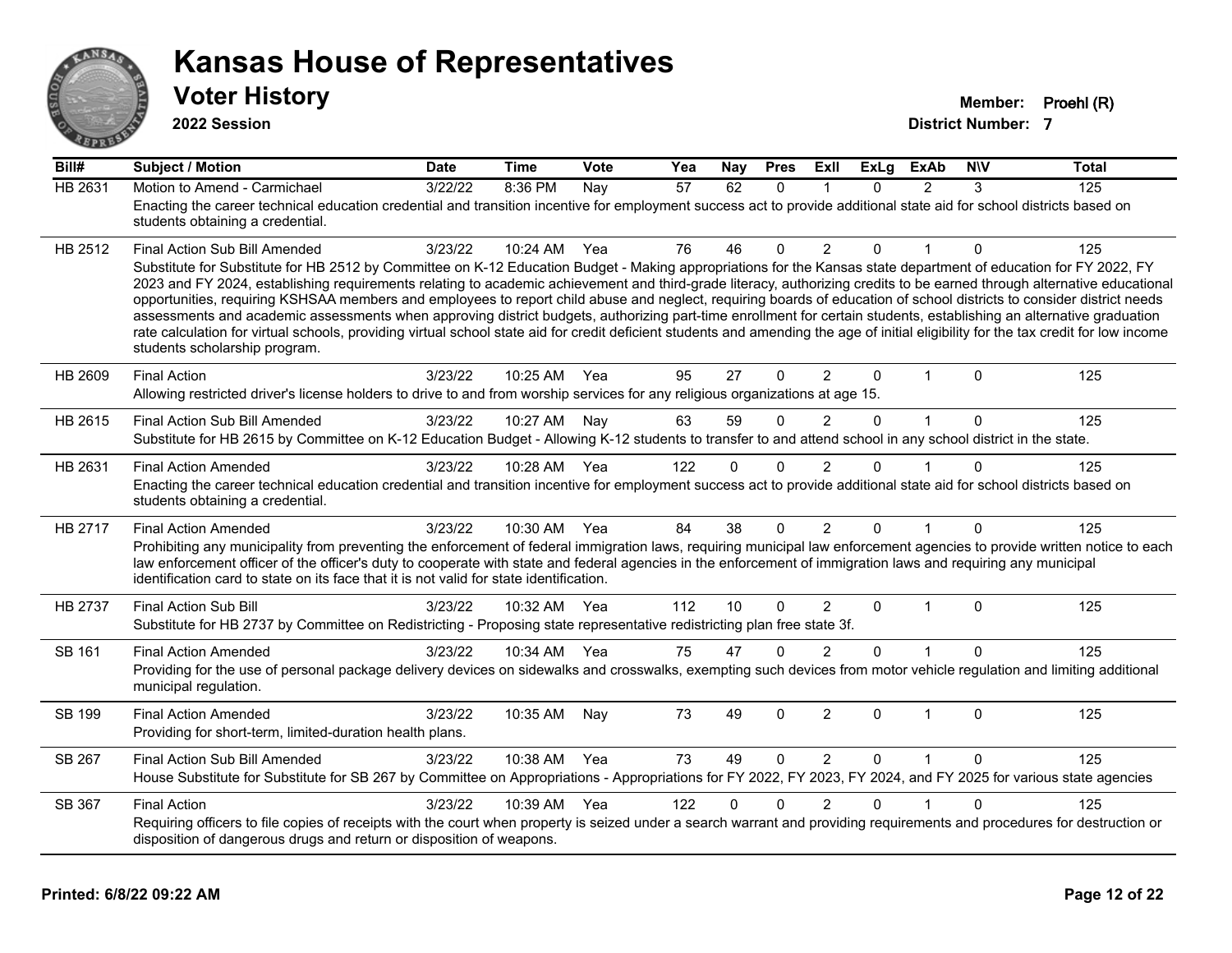

**2022 Session**

**Voter History Member: Proehl (R)** 

| Bill#          | <b>Subject / Motion</b>                                                                                                                                                                                                                                                                                                                                                                                                                                                                                                                                                                                                                                                                                                                                                                                                                                                                                                                               | <b>Date</b> | <b>Time</b>  | Vote | Yea | Nay | <b>Pres</b>  | ExIl           | $\overline{Ex}$ Lg | <b>ExAb</b>    | <b>NIV</b>   | <b>Total</b> |
|----------------|-------------------------------------------------------------------------------------------------------------------------------------------------------------------------------------------------------------------------------------------------------------------------------------------------------------------------------------------------------------------------------------------------------------------------------------------------------------------------------------------------------------------------------------------------------------------------------------------------------------------------------------------------------------------------------------------------------------------------------------------------------------------------------------------------------------------------------------------------------------------------------------------------------------------------------------------------------|-------------|--------------|------|-----|-----|--------------|----------------|--------------------|----------------|--------------|--------------|
| <b>HB 2631</b> | Motion to Amend - Carmichael<br>Enacting the career technical education credential and transition incentive for employment success act to provide additional state aid for school districts based on<br>students obtaining a credential.                                                                                                                                                                                                                                                                                                                                                                                                                                                                                                                                                                                                                                                                                                              | 3/22/22     | 8:36 PM      | Nay  | 57  | 62  | $\mathbf{0}$ | 1              | $\Omega$           | $\overline{2}$ | 3            | 125          |
| HB 2512        | Final Action Sub Bill Amended<br>Substitute for Substitute for HB 2512 by Committee on K-12 Education Budget - Making appropriations for the Kansas state department of education for FY 2022, FY<br>2023 and FY 2024, establishing requirements relating to academic achievement and third-grade literacy, authorizing credits to be earned through alternative educational<br>opportunities, requiring KSHSAA members and employees to report child abuse and neglect, requiring boards of education of school districts to consider district needs<br>assessments and academic assessments when approving district budgets, authorizing part-time enrollment for certain students, establishing an alternative graduation<br>rate calculation for virtual schools, providing virtual school state aid for credit deficient students and amending the age of initial eligibility for the tax credit for low income<br>students scholarship program. | 3/23/22     | 10:24 AM Yea |      | 76  | 46  | $\Omega$     | $\overline{2}$ | $\Omega$           |                | $\mathbf{0}$ | 125          |
| HB 2609        | <b>Final Action</b><br>Allowing restricted driver's license holders to drive to and from worship services for any religious organizations at age 15.                                                                                                                                                                                                                                                                                                                                                                                                                                                                                                                                                                                                                                                                                                                                                                                                  | 3/23/22     | 10:25 AM     | Yea  | 95  | 27  | $\Omega$     | $\overline{2}$ | $\mathbf 0$        | $\mathbf{1}$   | $\mathbf{0}$ | 125          |
| HB 2615        | Final Action Sub Bill Amended<br>Substitute for HB 2615 by Committee on K-12 Education Budget - Allowing K-12 students to transfer to and attend school in any school district in the state.                                                                                                                                                                                                                                                                                                                                                                                                                                                                                                                                                                                                                                                                                                                                                          | 3/23/22     | 10:27 AM     | Nay  | 63  | 59  | 0            | $\overline{2}$ | $\Omega$           | 1              | $\mathbf{0}$ | 125          |
| HB 2631        | <b>Final Action Amended</b><br>Enacting the career technical education credential and transition incentive for employment success act to provide additional state aid for school districts based on<br>students obtaining a credential.                                                                                                                                                                                                                                                                                                                                                                                                                                                                                                                                                                                                                                                                                                               | 3/23/22     | 10:28 AM Yea |      | 122 | 0   | 0            | 2              | ሰ                  |                | 0            | 125          |
| HB 2717        | <b>Final Action Amended</b><br>Prohibiting any municipality from preventing the enforcement of federal immigration laws, requiring municipal law enforcement agencies to provide written notice to each<br>law enforcement officer of the officer's duty to cooperate with state and federal agencies in the enforcement of immigration laws and requiring any municipal<br>identification card to state on its face that it is not valid for state identification.                                                                                                                                                                                                                                                                                                                                                                                                                                                                                   | 3/23/22     | 10:30 AM     | Yea  | 84  | 38  | 0            | $\overline{2}$ | $\Omega$           | 1              | 0            | 125          |
| HB 2737        | <b>Final Action Sub Bill</b><br>Substitute for HB 2737 by Committee on Redistricting - Proposing state representative redistricting plan free state 3f.                                                                                                                                                                                                                                                                                                                                                                                                                                                                                                                                                                                                                                                                                                                                                                                               | 3/23/22     | 10:32 AM     | Yea  | 112 | 10  | 0            | $\overline{2}$ | $\Omega$           | 1              | $\Omega$     | 125          |
| SB 161         | <b>Final Action Amended</b><br>Providing for the use of personal package delivery devices on sidewalks and crosswalks, exempting such devices from motor vehicle regulation and limiting additional<br>municipal regulation.                                                                                                                                                                                                                                                                                                                                                                                                                                                                                                                                                                                                                                                                                                                          | 3/23/22     | 10:34 AM     | Yea  | 75  | 47  | $\Omega$     | $\overline{2}$ | $\Omega$           |                | $\Omega$     | 125          |
| SB 199         | <b>Final Action Amended</b><br>Providing for short-term, limited-duration health plans.                                                                                                                                                                                                                                                                                                                                                                                                                                                                                                                                                                                                                                                                                                                                                                                                                                                               | 3/23/22     | 10:35 AM     | Nay  | 73  | 49  | $\mathbf 0$  | $\overline{2}$ | $\mathbf 0$        | $\mathbf{1}$   | $\mathbf 0$  | 125          |
| SB 267         | Final Action Sub Bill Amended<br>House Substitute for Substitute for SB 267 by Committee on Appropriations - Appropriations for FY 2022, FY 2023, FY 2024, and FY 2025 for various state agencies                                                                                                                                                                                                                                                                                                                                                                                                                                                                                                                                                                                                                                                                                                                                                     | 3/23/22     | 10:38 AM     | Yea  | 73  | 49  | $\mathbf{0}$ | $\overline{2}$ | $\mathbf{0}$       | $\mathbf{1}$   | $\mathbf{0}$ | 125          |
| SB 367         | <b>Final Action</b><br>Requiring officers to file copies of receipts with the court when property is seized under a search warrant and providing requirements and procedures for destruction or<br>disposition of dangerous drugs and return or disposition of weapons.                                                                                                                                                                                                                                                                                                                                                                                                                                                                                                                                                                                                                                                                               | 3/23/22     | 10:39 AM     | Yea  | 122 | 0   | 0            | $\overline{c}$ | 0                  |                | 0            | 125          |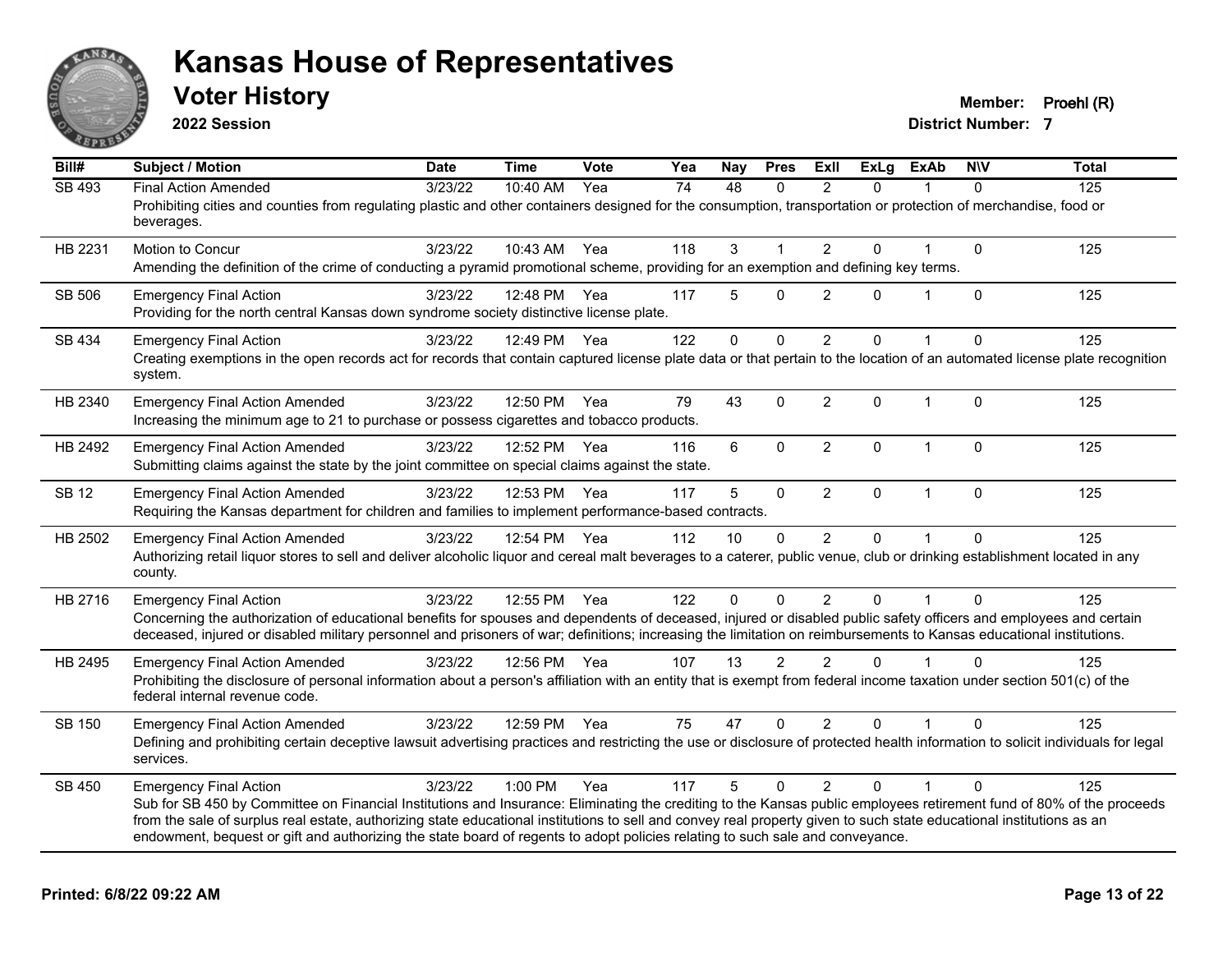

**2022 Session**

**Voter History Member: Proehl (R)** 

| $\overline{Bill#}$ | <b>Subject / Motion</b>                                                                                                                                                                                                                                                                                                                                                                                                                                                                                        | <b>Date</b> | <b>Time</b>  | Vote | Yea | Nay      | <b>Pres</b>    | ExII           | <b>ExLg</b>  | <b>ExAb</b>  | <b>NIV</b>   | <b>Total</b> |
|--------------------|----------------------------------------------------------------------------------------------------------------------------------------------------------------------------------------------------------------------------------------------------------------------------------------------------------------------------------------------------------------------------------------------------------------------------------------------------------------------------------------------------------------|-------------|--------------|------|-----|----------|----------------|----------------|--------------|--------------|--------------|--------------|
| <b>SB 493</b>      | <b>Final Action Amended</b><br>Prohibiting cities and counties from regulating plastic and other containers designed for the consumption, transportation or protection of merchandise, food or<br>beverages.                                                                                                                                                                                                                                                                                                   | 3/23/22     | 10:40 AM     | Yea  | 74  | 48       | $\Omega$       | $\mathfrak{p}$ | $\Omega$     |              | $\Omega$     | 125          |
| HB 2231            | Motion to Concur<br>Amending the definition of the crime of conducting a pyramid promotional scheme, providing for an exemption and defining key terms.                                                                                                                                                                                                                                                                                                                                                        | 3/23/22     | 10:43 AM     | Yea  | 118 | 3        |                | $\overline{2}$ | 0            |              | $\mathbf{0}$ | 125          |
| <b>SB 506</b>      | <b>Emergency Final Action</b><br>Providing for the north central Kansas down syndrome society distinctive license plate.                                                                                                                                                                                                                                                                                                                                                                                       | 3/23/22     | 12:48 PM Yea |      | 117 | 5        | $\Omega$       | $\overline{2}$ | $\Omega$     |              | $\Omega$     | 125          |
| SB 434             | <b>Emergency Final Action</b><br>Creating exemptions in the open records act for records that contain captured license plate data or that pertain to the location of an automated license plate recognition<br>system.                                                                                                                                                                                                                                                                                         | 3/23/22     | 12:49 PM Yea |      | 122 | $\Omega$ | $\Omega$       | 2              | $\Omega$     |              | $\Omega$     | 125          |
| HB 2340            | <b>Emergency Final Action Amended</b><br>Increasing the minimum age to 21 to purchase or possess cigarettes and tobacco products.                                                                                                                                                                                                                                                                                                                                                                              | 3/23/22     | 12:50 PM Yea |      | 79  | 43       | $\Omega$       | $\overline{2}$ | $\Omega$     | $\mathbf{1}$ | $\Omega$     | 125          |
| HB 2492            | <b>Emergency Final Action Amended</b><br>Submitting claims against the state by the joint committee on special claims against the state.                                                                                                                                                                                                                                                                                                                                                                       | 3/23/22     | 12:52 PM Yea |      | 116 | 6        | $\mathbf 0$    | $\overline{2}$ | $\mathbf 0$  | $\mathbf{1}$ | $\mathbf{0}$ | 125          |
| <b>SB 12</b>       | <b>Emergency Final Action Amended</b><br>Requiring the Kansas department for children and families to implement performance-based contracts.                                                                                                                                                                                                                                                                                                                                                                   | 3/23/22     | 12:53 PM     | Yea  | 117 | 5        | $\mathbf 0$    | $\overline{2}$ | $\mathbf{0}$ | $\mathbf{1}$ | $\mathbf{0}$ | 125          |
| HB 2502            | <b>Emergency Final Action Amended</b><br>Authorizing retail liquor stores to sell and deliver alcoholic liquor and cereal malt beverages to a caterer, public venue, club or drinking establishment located in any<br>county.                                                                                                                                                                                                                                                                                  | 3/23/22     | 12:54 PM Yea |      | 112 | 10       | $\mathbf{0}$   | $\overline{2}$ | 0            |              | $\Omega$     | 125          |
| HB 2716            | <b>Emergency Final Action</b><br>Concerning the authorization of educational benefits for spouses and dependents of deceased, injured or disabled public safety officers and employees and certain<br>deceased, injured or disabled military personnel and prisoners of war; definitions; increasing the limitation on reimbursements to Kansas educational institutions.                                                                                                                                      | 3/23/22     | 12:55 PM Yea |      | 122 | $\Omega$ | $\mathbf{0}$   | $\overline{2}$ | 0            |              | $\Omega$     | 125          |
| HB 2495            | <b>Emergency Final Action Amended</b><br>Prohibiting the disclosure of personal information about a person's affiliation with an entity that is exempt from federal income taxation under section 501(c) of the<br>federal internal revenue code.                                                                                                                                                                                                                                                              | 3/23/22     | 12:56 PM Yea |      | 107 | 13       | $\mathfrak{p}$ | $\mathcal{P}$  | $\Omega$     |              | $\Omega$     | 125          |
| SB 150             | <b>Emergency Final Action Amended</b><br>Defining and prohibiting certain deceptive lawsuit advertising practices and restricting the use or disclosure of protected health information to solicit individuals for legal<br>services.                                                                                                                                                                                                                                                                          | 3/23/22     | 12:59 PM Yea |      | 75  | 47       | $\mathbf{0}$   | $\overline{2}$ | 0            |              | 0            | 125          |
| SB 450             | <b>Emergency Final Action</b><br>Sub for SB 450 by Committee on Financial Institutions and Insurance: Eliminating the crediting to the Kansas public employees retirement fund of 80% of the proceeds<br>from the sale of surplus real estate, authorizing state educational institutions to sell and convey real property given to such state educational institutions as an<br>endowment, bequest or gift and authorizing the state board of regents to adopt policies relating to such sale and conveyance. | 3/23/22     | $1:00$ PM    | Yea  | 117 | 5        | $\Omega$       | $\mathcal{P}$  | $\Omega$     |              | $\Omega$     | 125          |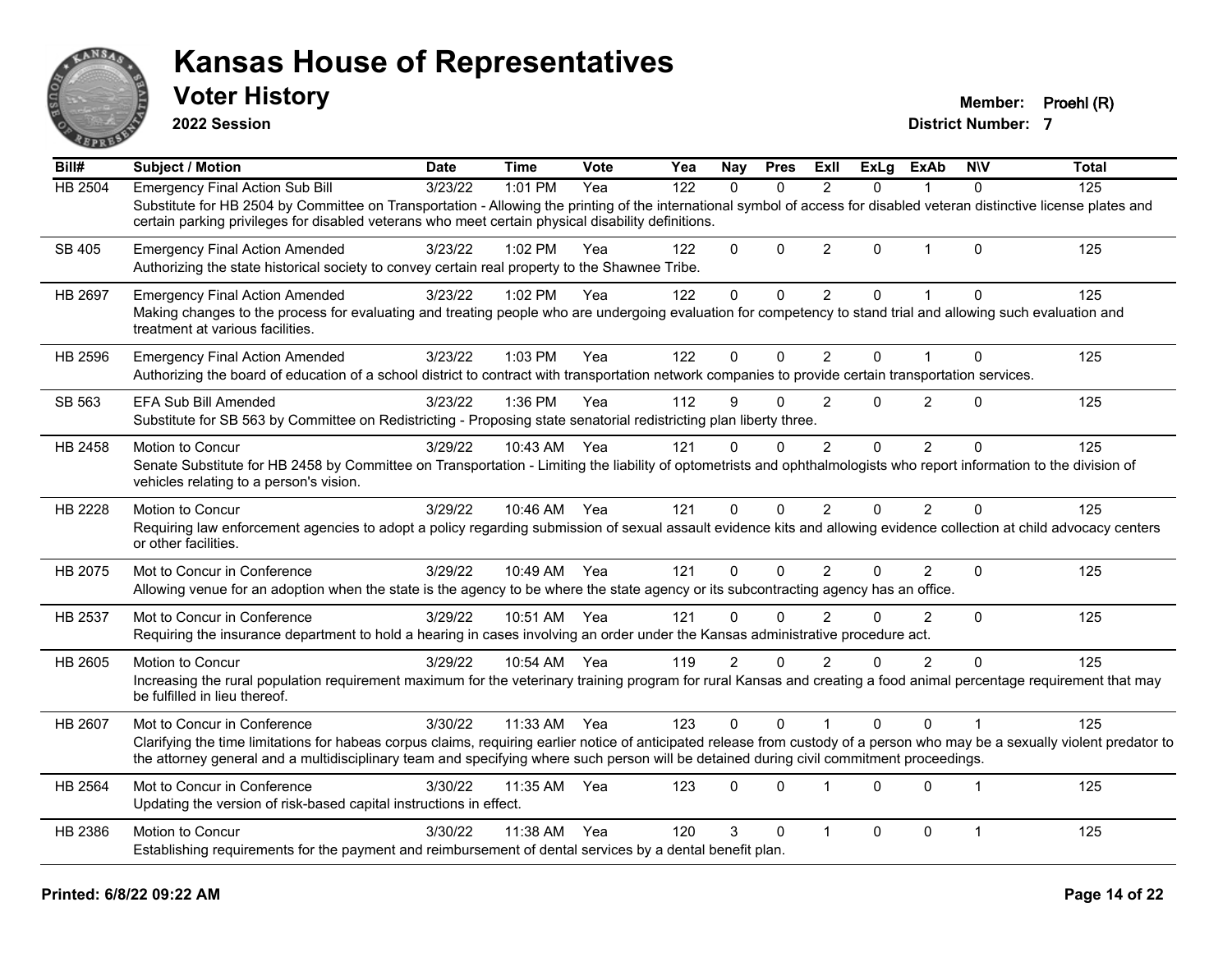

**2022 Session**

**Voter History Member: Proehl (R)** 

| Bill#          | <b>Subject / Motion</b>                                                                                                                                                                                                                                                                                                  | <b>Date</b> | <b>Time</b>  | Vote | Yea | Nay            | <b>Pres</b> | ExII           | <b>ExLg</b> | <b>ExAb</b>    | <b>NIV</b>     | <b>Total</b> |
|----------------|--------------------------------------------------------------------------------------------------------------------------------------------------------------------------------------------------------------------------------------------------------------------------------------------------------------------------|-------------|--------------|------|-----|----------------|-------------|----------------|-------------|----------------|----------------|--------------|
| <b>HB 2504</b> | <b>Emergency Final Action Sub Bill</b>                                                                                                                                                                                                                                                                                   | 3/23/22     | 1:01 PM      | Yea  | 122 | $\mathbf{0}$   | $\Omega$    | 2              | $\Omega$    | 1              | $\Omega$       | 125          |
|                | Substitute for HB 2504 by Committee on Transportation - Allowing the printing of the international symbol of access for disabled veteran distinctive license plates and<br>certain parking privileges for disabled veterans who meet certain physical disability definitions.                                            |             |              |      |     |                |             |                |             |                |                |              |
| SB 405         | <b>Emergency Final Action Amended</b><br>Authorizing the state historical society to convey certain real property to the Shawnee Tribe.                                                                                                                                                                                  | 3/23/22     | $1:02$ PM    | Yea  | 122 | $\Omega$       | $\Omega$    | $\overline{2}$ | $\Omega$    | $\mathbf{1}$   | $\Omega$       | 125          |
| HB 2697        | <b>Emergency Final Action Amended</b>                                                                                                                                                                                                                                                                                    | 3/23/22     | 1:02 PM      | Yea  | 122 | $\mathbf 0$    | $\mathbf 0$ | $\overline{2}$ | $\Omega$    | 1              | $\Omega$       | 125          |
|                | Making changes to the process for evaluating and treating people who are undergoing evaluation for competency to stand trial and allowing such evaluation and<br>treatment at various facilities.                                                                                                                        |             |              |      |     |                |             |                |             |                |                |              |
| HB 2596        | <b>Emergency Final Action Amended</b>                                                                                                                                                                                                                                                                                    | 3/23/22     | 1:03 PM      | Yea  | 122 | $\Omega$       | $\Omega$    | 2              | 0           |                | $\Omega$       | 125          |
|                | Authorizing the board of education of a school district to contract with transportation network companies to provide certain transportation services.                                                                                                                                                                    |             |              |      |     |                |             |                |             |                |                |              |
| SB 563         | EFA Sub Bill Amended                                                                                                                                                                                                                                                                                                     | 3/23/22     | 1:36 PM      | Yea  | 112 | 9              | $\Omega$    | $\overline{2}$ | 0           | $\overline{2}$ | $\Omega$       | 125          |
|                | Substitute for SB 563 by Committee on Redistricting - Proposing state senatorial redistricting plan liberty three.                                                                                                                                                                                                       |             |              |      |     |                |             |                |             |                |                |              |
| HB 2458        | Motion to Concur                                                                                                                                                                                                                                                                                                         | 3/29/22     | 10:43 AM     | Yea  | 121 | $\Omega$       | $\Omega$    | $\overline{2}$ | $\Omega$    | $\overline{2}$ | $\Omega$       | 125          |
|                | Senate Substitute for HB 2458 by Committee on Transportation - Limiting the liability of optometrists and ophthalmologists who report information to the division of<br>vehicles relating to a person's vision.                                                                                                          |             |              |      |     |                |             |                |             |                |                |              |
| HB 2228        | Motion to Concur                                                                                                                                                                                                                                                                                                         | 3/29/22     | 10:46 AM Yea |      | 121 | $\Omega$       | $\Omega$    | $\overline{2}$ | 0           | $\overline{2}$ | $\Omega$       | 125          |
|                | Requiring law enforcement agencies to adopt a policy regarding submission of sexual assault evidence kits and allowing evidence collection at child advocacy centers<br>or other facilities.                                                                                                                             |             |              |      |     |                |             |                |             |                |                |              |
| HB 2075        | Mot to Concur in Conference                                                                                                                                                                                                                                                                                              | 3/29/22     | 10:49 AM     | Yea  | 121 | 0              | $\Omega$    | $\overline{2}$ | 0           | 2              | $\mathbf{0}$   | 125          |
|                | Allowing venue for an adoption when the state is the agency to be where the state agency or its subcontracting agency has an office.                                                                                                                                                                                     |             |              |      |     |                |             |                |             |                |                |              |
| HB 2537        | Mot to Concur in Conference                                                                                                                                                                                                                                                                                              | 3/29/22     | 10:51 AM     | Yea  | 121 | $\Omega$       | $\Omega$    | $\mathfrak{p}$ | $\Omega$    | $\overline{2}$ | $\Omega$       | 125          |
|                | Requiring the insurance department to hold a hearing in cases involving an order under the Kansas administrative procedure act.                                                                                                                                                                                          |             |              |      |     |                |             |                |             |                |                |              |
| HB 2605        | Motion to Concur                                                                                                                                                                                                                                                                                                         | 3/29/22     | 10:54 AM     | Yea  | 119 | $\overline{2}$ | $\Omega$    | $\mathfrak{p}$ | 0           | $\overline{2}$ | $\Omega$       | 125          |
|                | Increasing the rural population requirement maximum for the veterinary training program for rural Kansas and creating a food animal percentage requirement that may<br>be fulfilled in lieu thereof.                                                                                                                     |             |              |      |     |                |             |                |             |                |                |              |
| <b>HB 2607</b> | Mot to Concur in Conference                                                                                                                                                                                                                                                                                              | 3/30/22     | 11:33 AM     | Yea  | 123 | $\Omega$       | $\Omega$    |                | $\Omega$    | $\Omega$       |                | 125          |
|                | Clarifying the time limitations for habeas corpus claims, requiring earlier notice of anticipated release from custody of a person who may be a sexually violent predator to<br>the attorney general and a multidisciplinary team and specifying where such person will be detained during civil commitment proceedings. |             |              |      |     |                |             |                |             |                |                |              |
| <b>HB 2564</b> | Mot to Concur in Conference                                                                                                                                                                                                                                                                                              | 3/30/22     | 11:35 AM     | Yea  | 123 | $\Omega$       | $\Omega$    |                | $\Omega$    | $\Omega$       | $\overline{1}$ | 125          |
|                | Updating the version of risk-based capital instructions in effect.                                                                                                                                                                                                                                                       |             |              |      |     |                |             |                |             |                |                |              |
| HB 2386        | Motion to Concur                                                                                                                                                                                                                                                                                                         | 3/30/22     | 11:38 AM     | Yea  | 120 | 3              | $\Omega$    | $\overline{1}$ | $\Omega$    | $\mathbf 0$    | $\mathbf 1$    | 125          |
|                | Establishing requirements for the payment and reimbursement of dental services by a dental benefit plan.                                                                                                                                                                                                                 |             |              |      |     |                |             |                |             |                |                |              |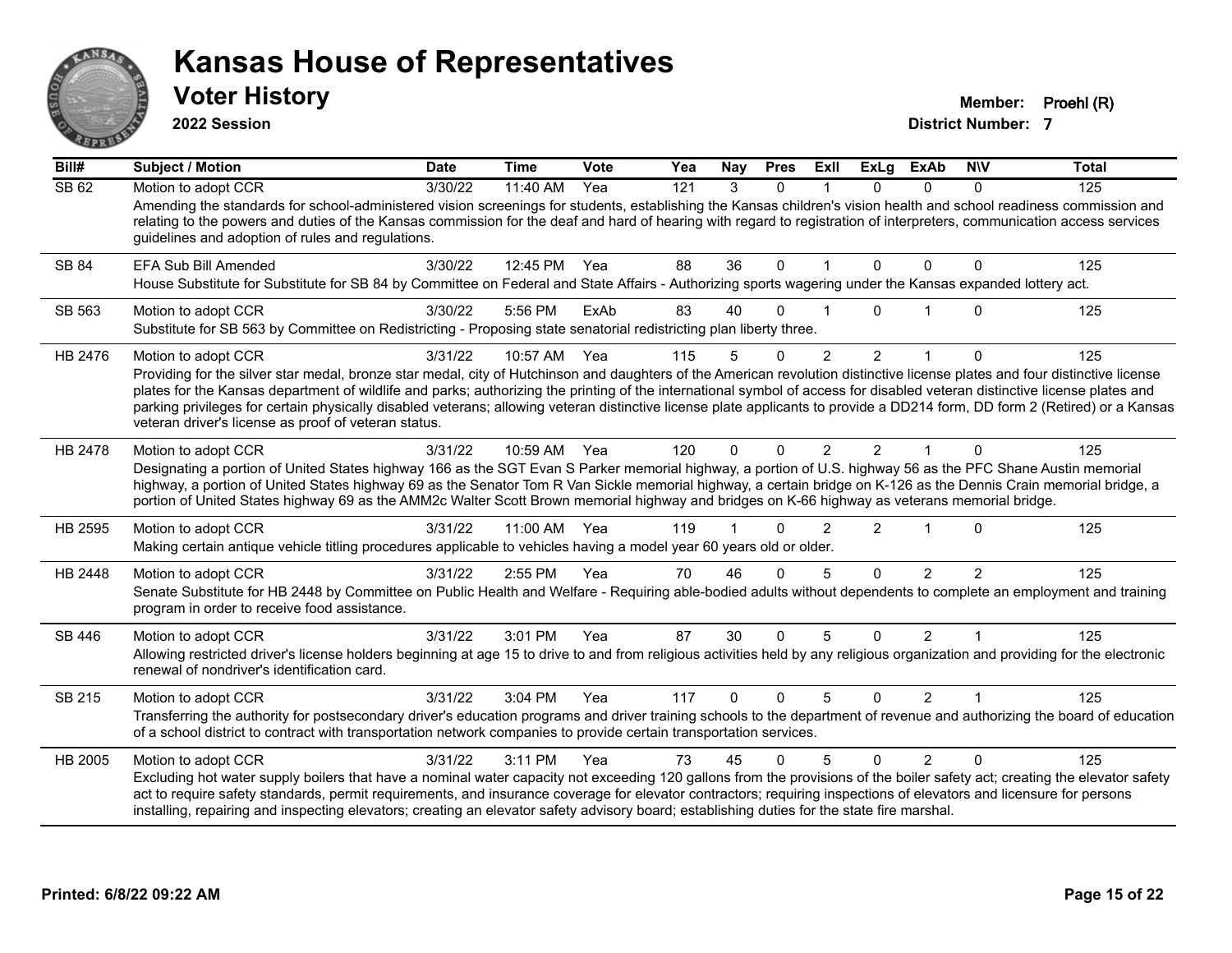

**2022 Session**

**Voter History Member: Proehl (R)** 

| Bill#        | <b>Subject / Motion</b>                                                                                                                                                                                                                                                                                                                                                                                                                                                                                                                                                                                                 | <b>Date</b> | <b>Time</b> | Vote | Yea | Nay      | <b>Pres</b> | ExII           | <b>ExLg</b>    | <b>ExAb</b>    | <b>NIV</b>     | <b>Total</b> |
|--------------|-------------------------------------------------------------------------------------------------------------------------------------------------------------------------------------------------------------------------------------------------------------------------------------------------------------------------------------------------------------------------------------------------------------------------------------------------------------------------------------------------------------------------------------------------------------------------------------------------------------------------|-------------|-------------|------|-----|----------|-------------|----------------|----------------|----------------|----------------|--------------|
| <b>SB 62</b> | Motion to adopt CCR<br>Amending the standards for school-administered vision screenings for students, establishing the Kansas children's vision health and school readiness commission and<br>relating to the powers and duties of the Kansas commission for the deaf and hard of hearing with regard to registration of interpreters, communication access services<br>guidelines and adoption of rules and regulations.                                                                                                                                                                                               | 3/30/22     | 11:40 AM    | Yea  | 121 | 3        | $\Omega$    |                | $\Omega$       | 0              | $\Omega$       | 125          |
| SB 84        | EFA Sub Bill Amended<br>House Substitute for Substitute for SB 84 by Committee on Federal and State Affairs - Authorizing sports wagering under the Kansas expanded lottery act.                                                                                                                                                                                                                                                                                                                                                                                                                                        | 3/30/22     | 12:45 PM    | Yea  | 88  | 36       | 0           |                | 0              | $\Omega$       | 0              | 125          |
| SB 563       | Motion to adopt CCR<br>Substitute for SB 563 by Committee on Redistricting - Proposing state senatorial redistricting plan liberty three.                                                                                                                                                                                                                                                                                                                                                                                                                                                                               | 3/30/22     | 5:56 PM     | ExAb | 83  | 40       | 0           |                | U              |                | $\Omega$       | 125          |
| HB 2476      | Motion to adopt CCR<br>Providing for the silver star medal, bronze star medal, city of Hutchinson and daughters of the American revolution distinctive license plates and four distinctive license<br>plates for the Kansas department of wildlife and parks; authorizing the printing of the international symbol of access for disabled veteran distinctive license plates and<br>parking privileges for certain physically disabled veterans; allowing veteran distinctive license plate applicants to provide a DD214 form, DD form 2 (Retired) or a Kansas<br>veteran driver's license as proof of veteran status. | 3/31/22     | 10:57 AM    | Yea  | 115 | 5        | $\Omega$    | $\overline{2}$ | $\overline{2}$ | 1              | $\Omega$       | 125          |
| HB 2478      | Motion to adopt CCR<br>Designating a portion of United States highway 166 as the SGT Evan S Parker memorial highway, a portion of U.S. highway 56 as the PFC Shane Austin memorial<br>highway, a portion of United States highway 69 as the Senator Tom R Van Sickle memorial highway, a certain bridge on K-126 as the Dennis Crain memorial bridge, a<br>portion of United States highway 69 as the AMM2c Walter Scott Brown memorial highway and bridges on K-66 highway as veterans memorial bridge.                                                                                                                | 3/31/22     | 10:59 AM    | Yea  | 120 | $\Omega$ | $\Omega$    | $\overline{2}$ | $\mathcal{P}$  |                | $\Omega$       | 125          |
| HB 2595      | Motion to adopt CCR<br>Making certain antique vehicle titling procedures applicable to vehicles having a model year 60 years old or older.                                                                                                                                                                                                                                                                                                                                                                                                                                                                              | 3/31/22     | 11:00 AM    | Yea  | 119 |          | U           | $\mathfrak{p}$ | 2              | 1              | $\Omega$       | 125          |
| HB 2448      | Motion to adopt CCR<br>Senate Substitute for HB 2448 by Committee on Public Health and Welfare - Requiring able-bodied adults without dependents to complete an employment and training<br>program in order to receive food assistance.                                                                                                                                                                                                                                                                                                                                                                                 | 3/31/22     | 2:55 PM     | Yea  | 70  | 46       | $\Omega$    | 5              | $\Omega$       | $\overline{2}$ | $\overline{2}$ | 125          |
| SB 446       | Motion to adopt CCR<br>Allowing restricted driver's license holders beginning at age 15 to drive to and from religious activities held by any religious organization and providing for the electronic<br>renewal of nondriver's identification card.                                                                                                                                                                                                                                                                                                                                                                    | 3/31/22     | 3:01 PM     | Yea  | 87  | 30       | $\Omega$    | 5              | $\Omega$       | 2              |                | 125          |
| SB 215       | Motion to adopt CCR<br>Transferring the authority for postsecondary driver's education programs and driver training schools to the department of revenue and authorizing the board of education<br>of a school district to contract with transportation network companies to provide certain transportation services.                                                                                                                                                                                                                                                                                                   | 3/31/22     | 3:04 PM     | Yea  | 117 | $\Omega$ | $\mathbf 0$ | 5              | $\Omega$       | 2              |                | 125          |
| HB 2005      | Motion to adopt CCR<br>Excluding hot water supply boilers that have a nominal water capacity not exceeding 120 gallons from the provisions of the boiler safety act; creating the elevator safety<br>act to require safety standards, permit requirements, and insurance coverage for elevator contractors; requiring inspections of elevators and licensure for persons<br>installing, repairing and inspecting elevators; creating an elevator safety advisory board; establishing duties for the state fire marshal.                                                                                                 | 3/31/22     | 3:11 PM     | Yea  | 73  | 45       | $\Omega$    | 5              | $\Omega$       | $\mathcal{P}$  | $\Omega$       | 125          |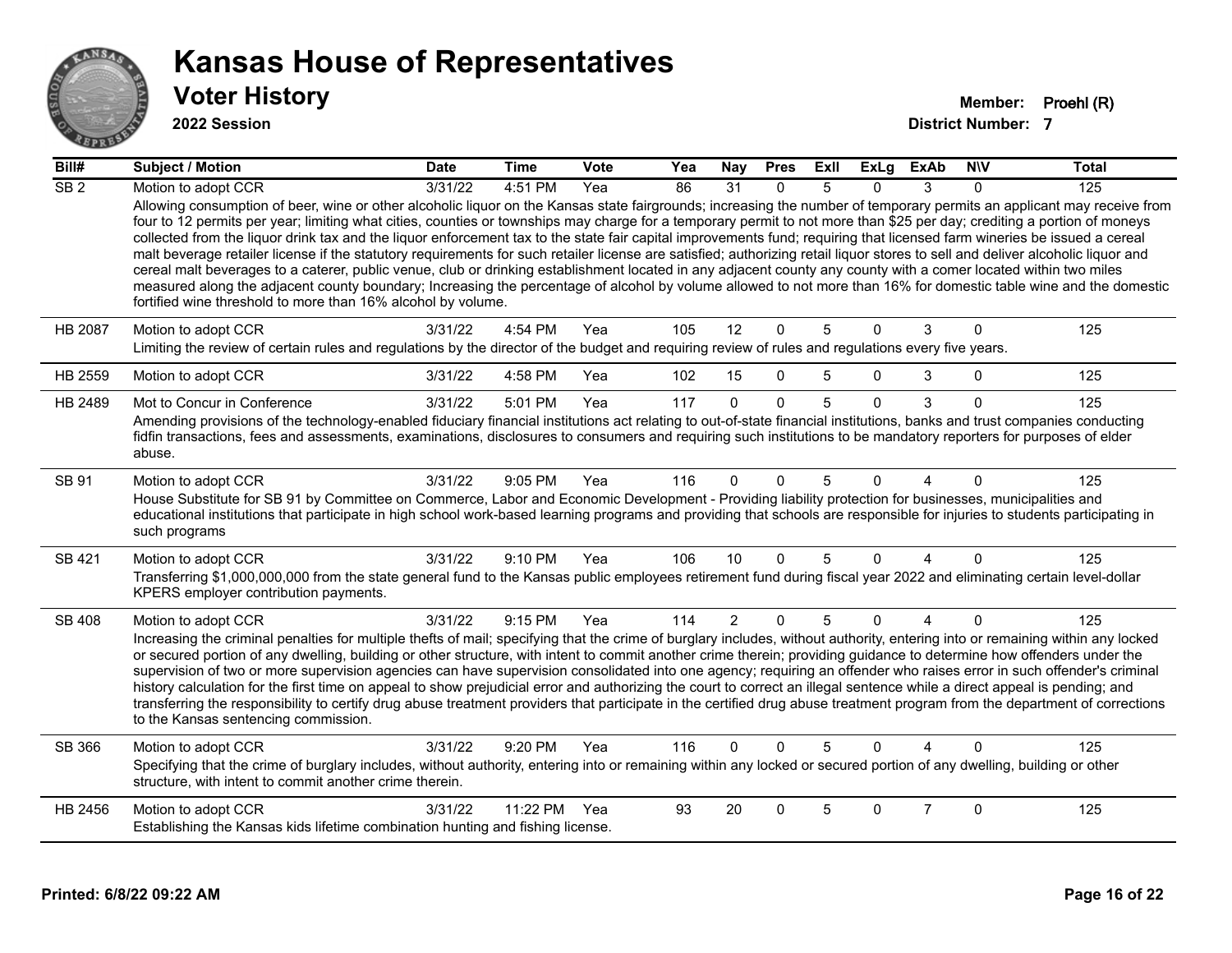

#### **2022 Session**

| Bill#            | <b>Subject / Motion</b>                                                                                                                                                                                                                                                                                                                                                                                                                                                                                                                                                                                                                                                                                                                                                                                                                                                                                                                                                                                                                                                                                                   | <b>Date</b> | Time         | <b>Vote</b> | Yea | <b>Nay</b>     | <b>Pres</b>  | ExII | ExLg         | ExAb           | <b>NIV</b>   | <b>Total</b> |
|------------------|---------------------------------------------------------------------------------------------------------------------------------------------------------------------------------------------------------------------------------------------------------------------------------------------------------------------------------------------------------------------------------------------------------------------------------------------------------------------------------------------------------------------------------------------------------------------------------------------------------------------------------------------------------------------------------------------------------------------------------------------------------------------------------------------------------------------------------------------------------------------------------------------------------------------------------------------------------------------------------------------------------------------------------------------------------------------------------------------------------------------------|-------------|--------------|-------------|-----|----------------|--------------|------|--------------|----------------|--------------|--------------|
| $\overline{SB2}$ | Motion to adopt CCR                                                                                                                                                                                                                                                                                                                                                                                                                                                                                                                                                                                                                                                                                                                                                                                                                                                                                                                                                                                                                                                                                                       | 3/31/22     | 4:51 PM      | Yea         | 86  | 31             | $\Omega$     | 5    | $\Omega$     | $\mathcal{R}$  | $\Omega$     | 125          |
|                  | Allowing consumption of beer, wine or other alcoholic liquor on the Kansas state fairgrounds; increasing the number of temporary permits an applicant may receive from<br>four to 12 permits per year; limiting what cities, counties or townships may charge for a temporary permit to not more than \$25 per day; crediting a portion of moneys<br>collected from the liquor drink tax and the liquor enforcement tax to the state fair capital improvements fund; requiring that licensed farm wineries be issued a cereal<br>malt beverage retailer license if the statutory requirements for such retailer license are satisfied; authorizing retail liquor stores to sell and deliver alcoholic liquor and<br>cereal malt beverages to a caterer, public venue, club or drinking establishment located in any adjacent county any county with a comer located within two miles<br>measured along the adjacent county boundary; Increasing the percentage of alcohol by volume allowed to not more than 16% for domestic table wine and the domestic<br>fortified wine threshold to more than 16% alcohol by volume. |             |              |             |     |                |              |      |              |                |              |              |
| <b>HB 2087</b>   | Motion to adopt CCR                                                                                                                                                                                                                                                                                                                                                                                                                                                                                                                                                                                                                                                                                                                                                                                                                                                                                                                                                                                                                                                                                                       | 3/31/22     | 4:54 PM      | Yea         | 105 | 12             | $\mathbf{0}$ | 5    | $\Omega$     | 3              | $\mathbf 0$  | 125          |
|                  | Limiting the review of certain rules and regulations by the director of the budget and requiring review of rules and regulations every five years.                                                                                                                                                                                                                                                                                                                                                                                                                                                                                                                                                                                                                                                                                                                                                                                                                                                                                                                                                                        |             |              |             |     |                |              |      |              |                |              |              |
| HB 2559          | Motion to adopt CCR                                                                                                                                                                                                                                                                                                                                                                                                                                                                                                                                                                                                                                                                                                                                                                                                                                                                                                                                                                                                                                                                                                       | 3/31/22     | 4:58 PM      | Yea         | 102 | 15             | $\mathbf{0}$ | 5    | $\mathbf{0}$ | 3              | 0            | 125          |
| HB 2489          | Mot to Concur in Conference                                                                                                                                                                                                                                                                                                                                                                                                                                                                                                                                                                                                                                                                                                                                                                                                                                                                                                                                                                                                                                                                                               | 3/31/22     | 5:01 PM      | Yea         | 117 | $\Omega$       | $\mathbf{0}$ | 5    | $\Omega$     | 3              | $\mathbf{0}$ | 125          |
|                  | Amending provisions of the technology-enabled fiduciary financial institutions act relating to out-of-state financial institutions, banks and trust companies conducting<br>fidfin transactions, fees and assessments, examinations, disclosures to consumers and requiring such institutions to be mandatory reporters for purposes of elder<br>abuse.                                                                                                                                                                                                                                                                                                                                                                                                                                                                                                                                                                                                                                                                                                                                                                   |             |              |             |     |                |              |      |              |                |              |              |
| SB 91            | Motion to adopt CCR                                                                                                                                                                                                                                                                                                                                                                                                                                                                                                                                                                                                                                                                                                                                                                                                                                                                                                                                                                                                                                                                                                       | 3/31/22     | 9:05 PM      | Yea         | 116 | $\Omega$       | $\Omega$     | 5    | $\Omega$     | $\Delta$       | $\Omega$     | 125          |
|                  | House Substitute for SB 91 by Committee on Commerce, Labor and Economic Development - Providing liability protection for businesses, municipalities and<br>educational institutions that participate in high school work-based learning programs and providing that schools are responsible for injuries to students participating in<br>such programs                                                                                                                                                                                                                                                                                                                                                                                                                                                                                                                                                                                                                                                                                                                                                                    |             |              |             |     |                |              |      |              |                |              |              |
| SB 421           | Motion to adopt CCR                                                                                                                                                                                                                                                                                                                                                                                                                                                                                                                                                                                                                                                                                                                                                                                                                                                                                                                                                                                                                                                                                                       | 3/31/22     | 9:10 PM      | Yea         | 106 | 10             | $\mathbf{0}$ | 5    | $\Omega$     | 4              | $\Omega$     | 125          |
|                  | Transferring \$1,000,000,000 from the state general fund to the Kansas public employees retirement fund during fiscal year 2022 and eliminating certain level-dollar<br>KPERS employer contribution payments.                                                                                                                                                                                                                                                                                                                                                                                                                                                                                                                                                                                                                                                                                                                                                                                                                                                                                                             |             |              |             |     |                |              |      |              |                |              |              |
| SB 408           | Motion to adopt CCR                                                                                                                                                                                                                                                                                                                                                                                                                                                                                                                                                                                                                                                                                                                                                                                                                                                                                                                                                                                                                                                                                                       | 3/31/22     | 9:15 PM      | Yea         | 114 | $\overline{2}$ | $\mathbf 0$  | 5    | $\Omega$     | 4              | $\mathbf{0}$ | 125          |
|                  | Increasing the criminal penalties for multiple thefts of mail; specifying that the crime of burglary includes, without authority, entering into or remaining within any locked<br>or secured portion of any dwelling, building or other structure, with intent to commit another crime therein; providing guidance to determine how offenders under the<br>supervision of two or more supervision agencies can have supervision consolidated into one agency; requiring an offender who raises error in such offender's criminal<br>history calculation for the first time on appeal to show prejudicial error and authorizing the court to correct an illegal sentence while a direct appeal is pending; and<br>transferring the responsibility to certify drug abuse treatment providers that participate in the certified drug abuse treatment program from the department of corrections<br>to the Kansas sentencing commission.                                                                                                                                                                                      |             |              |             |     |                |              |      |              |                |              |              |
| SB 366           | Motion to adopt CCR                                                                                                                                                                                                                                                                                                                                                                                                                                                                                                                                                                                                                                                                                                                                                                                                                                                                                                                                                                                                                                                                                                       | 3/31/22     | 9:20 PM      | Yea         | 116 | $\Omega$       | $\Omega$     | 5    | $\Omega$     | Δ              | 0            | 125          |
|                  | Specifying that the crime of burglary includes, without authority, entering into or remaining within any locked or secured portion of any dwelling, building or other<br>structure, with intent to commit another crime therein.                                                                                                                                                                                                                                                                                                                                                                                                                                                                                                                                                                                                                                                                                                                                                                                                                                                                                          |             |              |             |     |                |              |      |              |                |              |              |
| HB 2456          | Motion to adopt CCR                                                                                                                                                                                                                                                                                                                                                                                                                                                                                                                                                                                                                                                                                                                                                                                                                                                                                                                                                                                                                                                                                                       | 3/31/22     | 11:22 PM Yea |             | 93  | 20             | $\mathbf{0}$ | 5    | $\Omega$     | $\overline{7}$ | $\mathbf{0}$ | 125          |
|                  | Establishing the Kansas kids lifetime combination hunting and fishing license.                                                                                                                                                                                                                                                                                                                                                                                                                                                                                                                                                                                                                                                                                                                                                                                                                                                                                                                                                                                                                                            |             |              |             |     |                |              |      |              |                |              |              |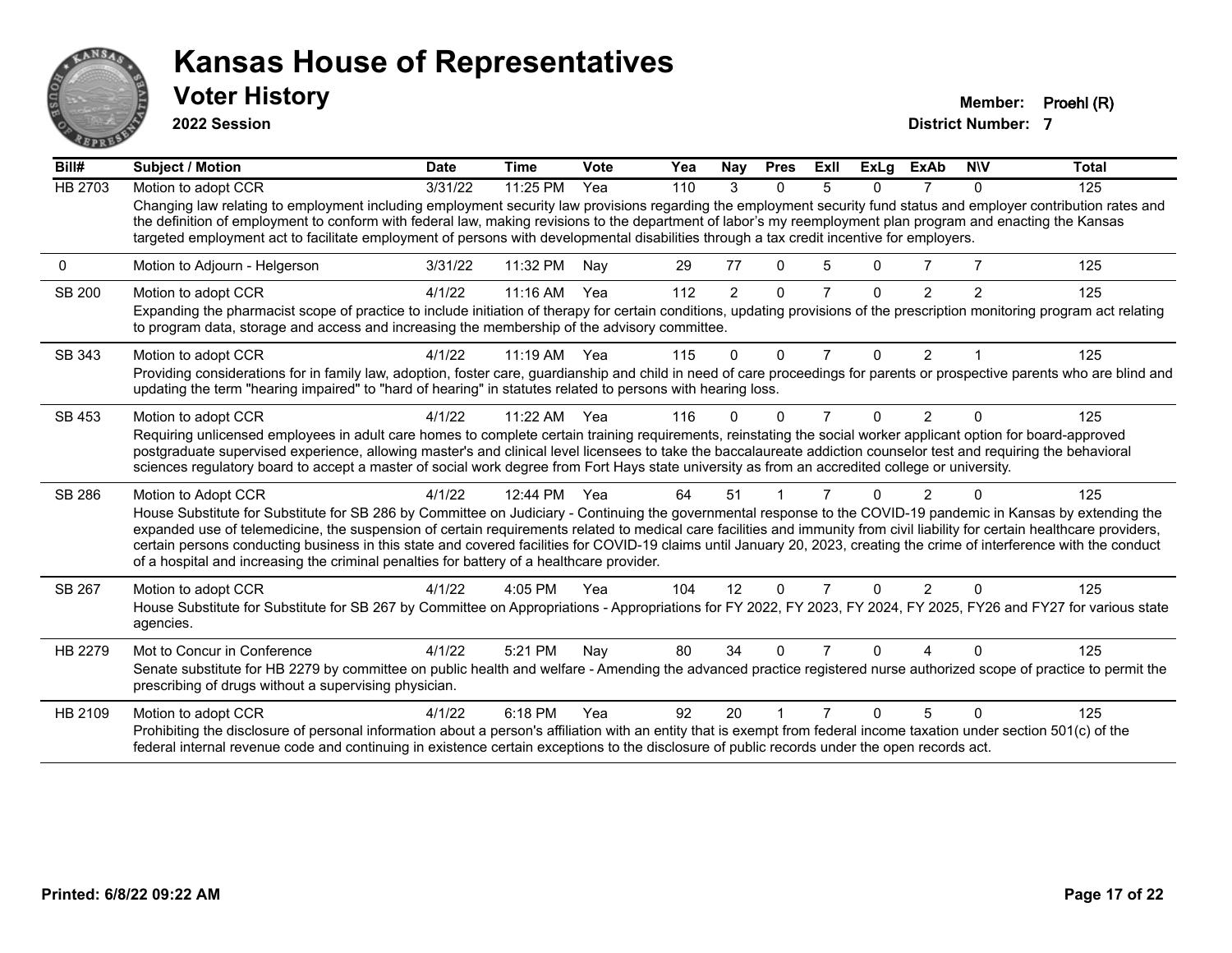

**2022 Session**

**Voter History Member: Proehl (R)** 

| Bill#   | <b>Subject / Motion</b>                                                                                                                                                                                                                                                                                                                                                                                                                                                                                                                                                                                                 | <b>Date</b> | <b>Time</b>  | Vote | Yea | Nay            | <b>Pres</b> | ExII           | <b>ExLg</b> | <b>ExAb</b>    | <b>NIV</b>   | <b>Total</b> |
|---------|-------------------------------------------------------------------------------------------------------------------------------------------------------------------------------------------------------------------------------------------------------------------------------------------------------------------------------------------------------------------------------------------------------------------------------------------------------------------------------------------------------------------------------------------------------------------------------------------------------------------------|-------------|--------------|------|-----|----------------|-------------|----------------|-------------|----------------|--------------|--------------|
| HB 2703 | Motion to adopt CCR                                                                                                                                                                                                                                                                                                                                                                                                                                                                                                                                                                                                     | 3/31/22     | 11:25 PM     | Yea  | 110 | 3              | $\Omega$    | 5              | 0           | 7              | $\Omega$     | 125          |
|         | Changing law relating to employment including employment security law provisions regarding the employment security fund status and employer contribution rates and<br>the definition of employment to conform with federal law, making revisions to the department of labor's my reemployment plan program and enacting the Kansas<br>targeted employment act to facilitate employment of persons with developmental disabilities through a tax credit incentive for employers.                                                                                                                                         |             |              |      |     |                |             |                |             |                |              |              |
| 0       | Motion to Adjourn - Helgerson                                                                                                                                                                                                                                                                                                                                                                                                                                                                                                                                                                                           | 3/31/22     | 11:32 PM     | Nav  | 29  | 77             | 0           | 5              | O.          |                |              | 125          |
| SB 200  | Motion to adopt CCR                                                                                                                                                                                                                                                                                                                                                                                                                                                                                                                                                                                                     | 4/1/22      | 11:16 AM     | Yea  | 112 | $\overline{2}$ | $\Omega$    | $\overline{7}$ | $\Omega$    | 2              | 2            | 125          |
|         | Expanding the pharmacist scope of practice to include initiation of therapy for certain conditions, updating provisions of the prescription monitoring program act relating<br>to program data, storage and access and increasing the membership of the advisory committee.                                                                                                                                                                                                                                                                                                                                             |             |              |      |     |                |             |                |             |                |              |              |
| SB 343  | Motion to adopt CCR                                                                                                                                                                                                                                                                                                                                                                                                                                                                                                                                                                                                     | 4/1/22      | $11:19$ AM   | Yea  | 115 | $\Omega$       | $\Omega$    | $\overline{7}$ | $\Omega$    | $\overline{2}$ |              | 125          |
|         | Providing considerations for in family law, adoption, foster care, guardianship and child in need of care proceedings for parents or prospective parents who are blind and<br>updating the term "hearing impaired" to "hard of hearing" in statutes related to persons with hearing loss.                                                                                                                                                                                                                                                                                                                               |             |              |      |     |                |             |                |             |                |              |              |
| SB 453  | Motion to adopt CCR                                                                                                                                                                                                                                                                                                                                                                                                                                                                                                                                                                                                     | 4/1/22      | 11:22 AM     | Yea  | 116 | 0              | 0           | 7              | 0           | $\overline{2}$ | <sup>0</sup> | 125          |
|         | Requiring unlicensed employees in adult care homes to complete certain training requirements, reinstating the social worker applicant option for board-approved                                                                                                                                                                                                                                                                                                                                                                                                                                                         |             |              |      |     |                |             |                |             |                |              |              |
|         | postgraduate supervised experience, allowing master's and clinical level licensees to take the baccalaureate addiction counselor test and requiring the behavioral<br>sciences regulatory board to accept a master of social work degree from Fort Hays state university as from an accredited college or university.                                                                                                                                                                                                                                                                                                   |             |              |      |     |                |             |                |             |                |              |              |
| SB 286  | Motion to Adopt CCR                                                                                                                                                                                                                                                                                                                                                                                                                                                                                                                                                                                                     | 4/1/22      | 12:44 PM Yea |      | 64  | 51             |             |                | U           | $\overline{2}$ |              | 125          |
|         | House Substitute for Substitute for SB 286 by Committee on Judiciary - Continuing the governmental response to the COVID-19 pandemic in Kansas by extending the<br>expanded use of telemedicine, the suspension of certain requirements related to medical care facilities and immunity from civil liability for certain healthcare providers,<br>certain persons conducting business in this state and covered facilities for COVID-19 claims until January 20, 2023, creating the crime of interference with the conduct<br>of a hospital and increasing the criminal penalties for battery of a healthcare provider. |             |              |      |     |                |             |                |             |                |              |              |
| SB 267  | Motion to adopt CCR                                                                                                                                                                                                                                                                                                                                                                                                                                                                                                                                                                                                     | 4/1/22      | 4:05 PM      | Yea  | 104 | 12             | $\Omega$    | $\overline{7}$ | 0           | $\mathcal{P}$  | $\Omega$     | 125          |
|         | House Substitute for Substitute for SB 267 by Committee on Appropriations - Appropriations for FY 2022, FY 2023, FY 2024, FY 2025, FY26 and FY27 for various state<br>agencies.                                                                                                                                                                                                                                                                                                                                                                                                                                         |             |              |      |     |                |             |                |             |                |              |              |
| HB 2279 | Mot to Concur in Conference                                                                                                                                                                                                                                                                                                                                                                                                                                                                                                                                                                                             | 4/1/22      | 5:21 PM      | Nay  | 80  | 34             | $\Omega$    |                | U           |                |              | 125          |
|         | Senate substitute for HB 2279 by committee on public health and welfare - Amending the advanced practice registered nurse authorized scope of practice to permit the<br>prescribing of drugs without a supervising physician.                                                                                                                                                                                                                                                                                                                                                                                           |             |              |      |     |                |             |                |             |                |              |              |
| HB 2109 | Motion to adopt CCR                                                                                                                                                                                                                                                                                                                                                                                                                                                                                                                                                                                                     | 4/1/22      | 6:18 PM      | Yea  | 92  | 20             |             |                | n           | 5              |              | 125          |
|         | Prohibiting the disclosure of personal information about a person's affiliation with an entity that is exempt from federal income taxation under section 501(c) of the<br>federal internal revenue code and continuing in existence certain exceptions to the disclosure of public records under the open records act.                                                                                                                                                                                                                                                                                                  |             |              |      |     |                |             |                |             |                |              |              |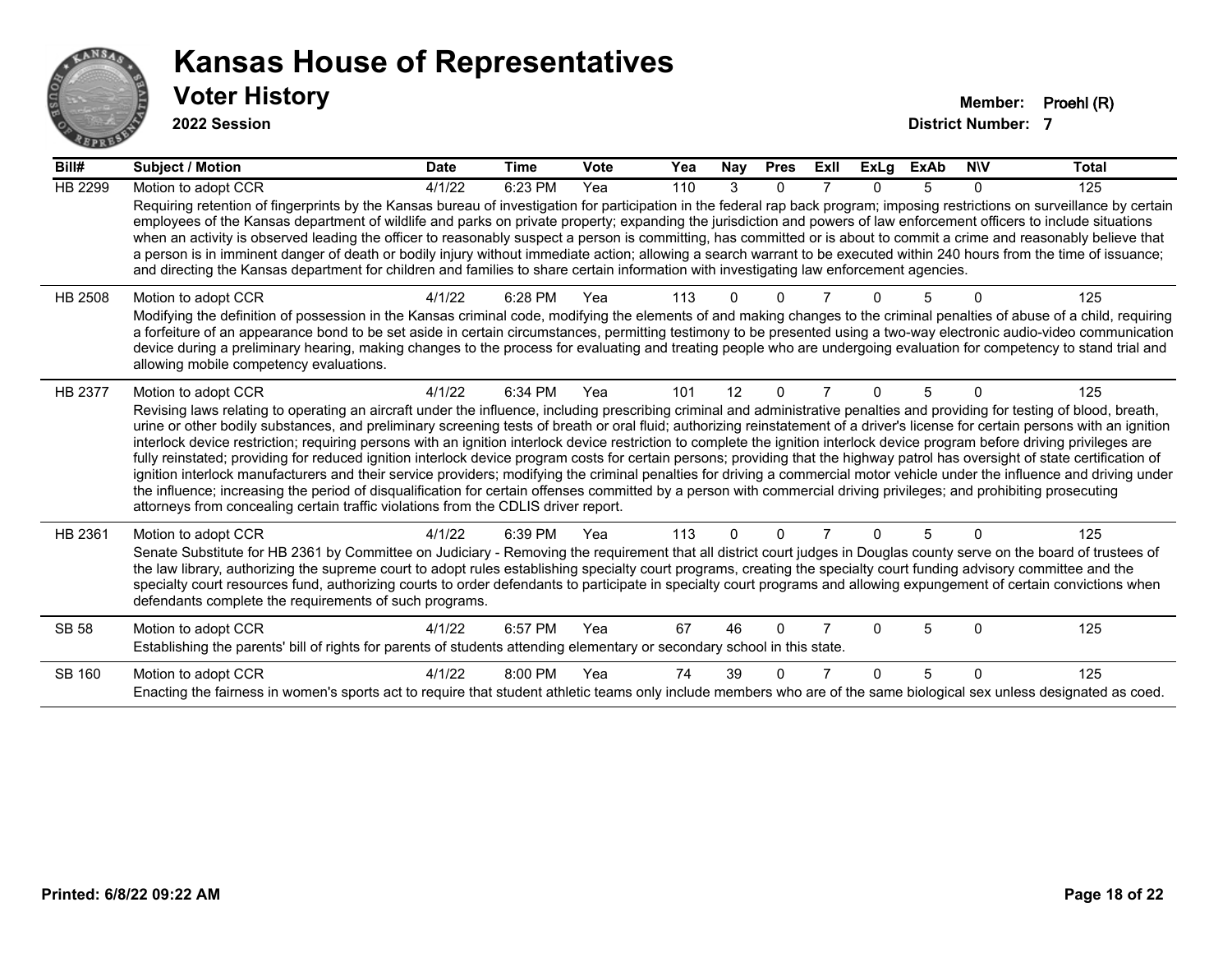

**2022 Session**

| Bill#          | <b>Subject / Motion</b>                                                                                                                                                                                                                                                                                                                                                                                                                                                                                                                                                                                                                                                                                                                                                                                                                                                                                                                                                                                                                                                                                                                                                                               | <b>Date</b> | Time    | <b>Vote</b> | Yea | Nay | <b>Pres</b> | Exll | ExLg | <b>ExAb</b> | <b>NIV</b> | <b>Total</b> |
|----------------|-------------------------------------------------------------------------------------------------------------------------------------------------------------------------------------------------------------------------------------------------------------------------------------------------------------------------------------------------------------------------------------------------------------------------------------------------------------------------------------------------------------------------------------------------------------------------------------------------------------------------------------------------------------------------------------------------------------------------------------------------------------------------------------------------------------------------------------------------------------------------------------------------------------------------------------------------------------------------------------------------------------------------------------------------------------------------------------------------------------------------------------------------------------------------------------------------------|-------------|---------|-------------|-----|-----|-------------|------|------|-------------|------------|--------------|
| <b>HB 2299</b> | Motion to adopt CCR                                                                                                                                                                                                                                                                                                                                                                                                                                                                                                                                                                                                                                                                                                                                                                                                                                                                                                                                                                                                                                                                                                                                                                                   | 4/1/22      | 6:23 PM | Yea         | 110 | 3   | $\Omega$    |      |      | 5           | $\Omega$   | 125          |
|                | Requiring retention of fingerprints by the Kansas bureau of investigation for participation in the federal rap back program; imposing restrictions on surveillance by certain<br>employees of the Kansas department of wildlife and parks on private property; expanding the jurisdiction and powers of law enforcement officers to include situations<br>when an activity is observed leading the officer to reasonably suspect a person is committing, has committed or is about to commit a crime and reasonably believe that<br>a person is in imminent danger of death or bodily injury without immediate action; allowing a search warrant to be executed within 240 hours from the time of issuance;<br>and directing the Kansas department for children and families to share certain information with investigating law enforcement agencies.                                                                                                                                                                                                                                                                                                                                                |             |         |             |     |     |             |      |      |             |            |              |
| HB 2508        | Motion to adopt CCR<br>Modifying the definition of possession in the Kansas criminal code, modifying the elements of and making changes to the criminal penalties of abuse of a child, requiring<br>a forfeiture of an appearance bond to be set aside in certain circumstances, permitting testimony to be presented using a two-way electronic audio-video communication<br>device during a preliminary hearing, making changes to the process for evaluating and treating people who are undergoing evaluation for competency to stand trial and<br>allowing mobile competency evaluations.                                                                                                                                                                                                                                                                                                                                                                                                                                                                                                                                                                                                        | 4/1/22      | 6:28 PM | Yea         | 113 |     | n           |      |      |             | 0          | 125          |
| HB 2377        | Motion to adopt CCR<br>Revising laws relating to operating an aircraft under the influence, including prescribing criminal and administrative penalties and providing for testing of blood, breath,<br>urine or other bodily substances, and preliminary screening tests of breath or oral fluid; authorizing reinstatement of a driver's license for certain persons with an ignition<br>interlock device restriction; requiring persons with an ignition interlock device restriction to complete the ignition interlock device program before driving privileges are<br>fully reinstated; providing for reduced ignition interlock device program costs for certain persons; providing that the highway patrol has oversight of state certification of<br>ignition interlock manufacturers and their service providers; modifying the criminal penalties for driving a commercial motor vehicle under the influence and driving under<br>the influence; increasing the period of disqualification for certain offenses committed by a person with commercial driving privileges; and prohibiting prosecuting<br>attorneys from concealing certain traffic violations from the CDLIS driver report. | 4/1/22      | 6:34 PM | Yea         | 101 | 12  | $\Omega$    | 7    |      | 5           | $\Omega$   | 125          |
| HB 2361        | Motion to adopt CCR<br>Senate Substitute for HB 2361 by Committee on Judiciary - Removing the requirement that all district court judges in Douglas county serve on the board of trustees of<br>the law library, authorizing the supreme court to adopt rules establishing specialty court programs, creating the specialty court funding advisory committee and the<br>specialty court resources fund, authorizing courts to order defendants to participate in specialty court programs and allowing expungement of certain convictions when<br>defendants complete the requirements of such programs.                                                                                                                                                                                                                                                                                                                                                                                                                                                                                                                                                                                              | 4/1/22      | 6:39 PM | Yea         | 113 | U   | 0           |      |      | 5           |            | 125          |
| <b>SB 58</b>   | Motion to adopt CCR<br>Establishing the parents' bill of rights for parents of students attending elementary or secondary school in this state.                                                                                                                                                                                                                                                                                                                                                                                                                                                                                                                                                                                                                                                                                                                                                                                                                                                                                                                                                                                                                                                       | 4/1/22      | 6:57 PM | Yea         | 67  | 46  | $\Omega$    |      |      | 5           | 0          | 125          |
| SB 160         | Motion to adopt CCR<br>Enacting the fairness in women's sports act to require that student athletic teams only include members who are of the same biological sex unless designated as coed.                                                                                                                                                                                                                                                                                                                                                                                                                                                                                                                                                                                                                                                                                                                                                                                                                                                                                                                                                                                                          | 4/1/22      | 8:00 PM | Yea         | 74  | 39  | 0           |      |      | 5           | $\Omega$   | 125          |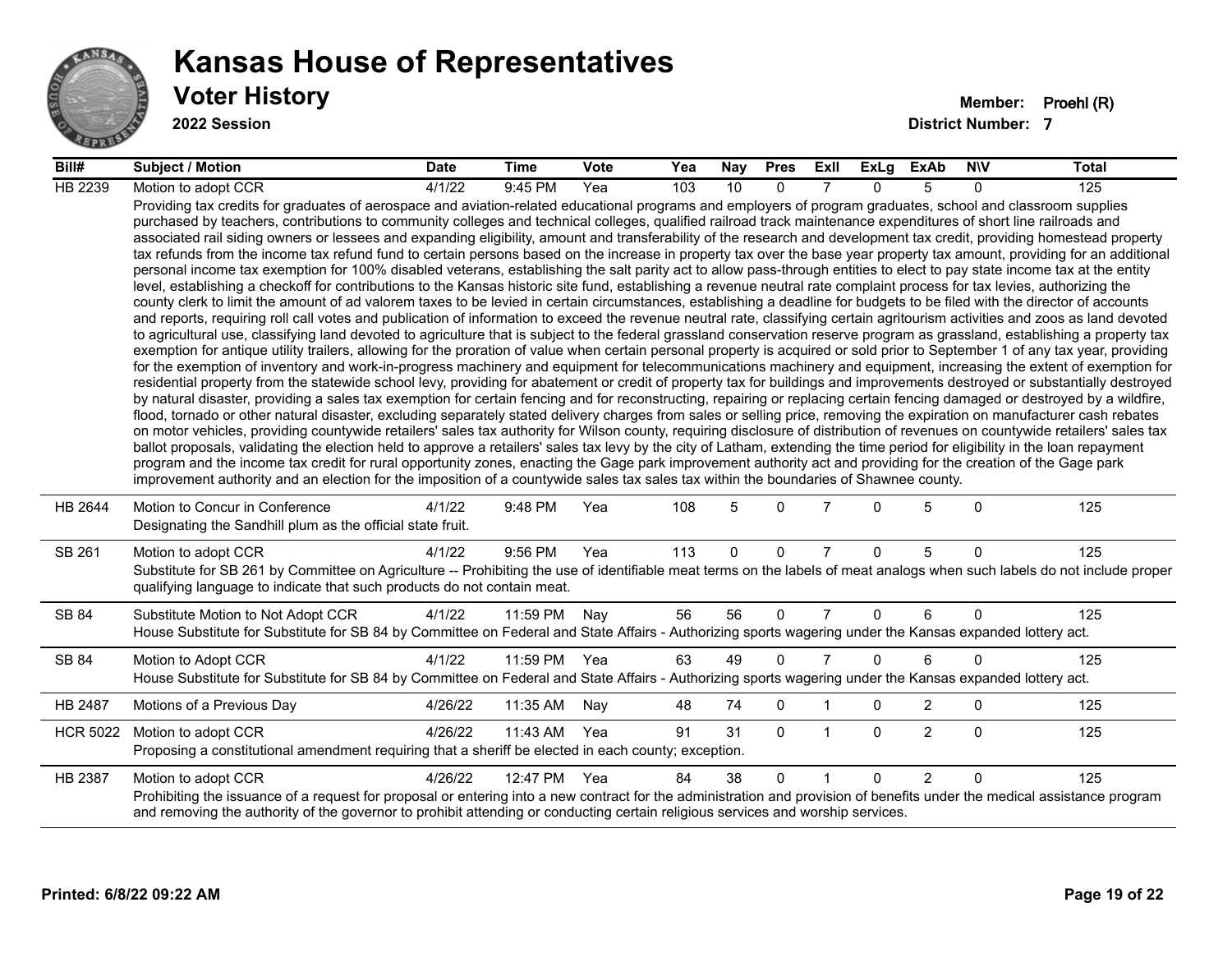

**2022 Session**

| Bill#           | <b>Subject / Motion</b>                                                                                                                                                                                                                                                                                                                                                                                                                                                                                                                                                                                                                                                                                                                                                                                                                                                                                                                                                                                                                                                                                                                                                                                                                                                                                                                                                                                                                                                                                                                                                                                                                                                                                                                                                                                                                                                                                                                                                                                                                                                                                                                                                                                                                                                                                                                                                                                                                                                                                                                                                                                                                                                                                                                                                                                                                                                                                                                                                                                                                                                                                                                                                     | <b>Date</b> | Time     | <b>Vote</b> | Yea | Nay         | <b>Pres</b>  | ExII           | ExLg     | ExAb           | <b>NIV</b>  | <b>Total</b> |
|-----------------|-----------------------------------------------------------------------------------------------------------------------------------------------------------------------------------------------------------------------------------------------------------------------------------------------------------------------------------------------------------------------------------------------------------------------------------------------------------------------------------------------------------------------------------------------------------------------------------------------------------------------------------------------------------------------------------------------------------------------------------------------------------------------------------------------------------------------------------------------------------------------------------------------------------------------------------------------------------------------------------------------------------------------------------------------------------------------------------------------------------------------------------------------------------------------------------------------------------------------------------------------------------------------------------------------------------------------------------------------------------------------------------------------------------------------------------------------------------------------------------------------------------------------------------------------------------------------------------------------------------------------------------------------------------------------------------------------------------------------------------------------------------------------------------------------------------------------------------------------------------------------------------------------------------------------------------------------------------------------------------------------------------------------------------------------------------------------------------------------------------------------------------------------------------------------------------------------------------------------------------------------------------------------------------------------------------------------------------------------------------------------------------------------------------------------------------------------------------------------------------------------------------------------------------------------------------------------------------------------------------------------------------------------------------------------------------------------------------------------------------------------------------------------------------------------------------------------------------------------------------------------------------------------------------------------------------------------------------------------------------------------------------------------------------------------------------------------------------------------------------------------------------------------------------------------------|-------------|----------|-------------|-----|-------------|--------------|----------------|----------|----------------|-------------|--------------|
| HB 2239         | Motion to adopt CCR                                                                                                                                                                                                                                                                                                                                                                                                                                                                                                                                                                                                                                                                                                                                                                                                                                                                                                                                                                                                                                                                                                                                                                                                                                                                                                                                                                                                                                                                                                                                                                                                                                                                                                                                                                                                                                                                                                                                                                                                                                                                                                                                                                                                                                                                                                                                                                                                                                                                                                                                                                                                                                                                                                                                                                                                                                                                                                                                                                                                                                                                                                                                                         | 4/1/22      | 9:45 PM  | Yea         | 103 | 10          | $\Omega$     |                | 0        | 5              | $\Omega$    | 125          |
|                 | Providing tax credits for graduates of aerospace and aviation-related educational programs and employers of program graduates, school and classroom supplies<br>purchased by teachers, contributions to community colleges and technical colleges, qualified railroad track maintenance expenditures of short line railroads and<br>associated rail siding owners or lessees and expanding eligibility, amount and transferability of the research and development tax credit, providing homestead property<br>tax refunds from the income tax refund fund to certain persons based on the increase in property tax over the base year property tax amount, providing for an additional<br>personal income tax exemption for 100% disabled veterans, establishing the salt parity act to allow pass-through entities to elect to pay state income tax at the entity<br>level, establishing a checkoff for contributions to the Kansas historic site fund, establishing a revenue neutral rate complaint process for tax levies, authorizing the<br>county clerk to limit the amount of ad valorem taxes to be levied in certain circumstances, establishing a deadline for budgets to be filed with the director of accounts<br>and reports, requiring roll call votes and publication of information to exceed the revenue neutral rate, classifying certain agritourism activities and zoos as land devoted<br>to agricultural use, classifying land devoted to agriculture that is subject to the federal grassland conservation reserve program as grassland, establishing a property tax<br>exemption for antique utility trailers, allowing for the proration of value when certain personal property is acquired or sold prior to September 1 of any tax year, providing<br>for the exemption of inventory and work-in-progress machinery and equipment for telecommunications machinery and equipment, increasing the extent of exemption for<br>residential property from the statewide school levy, providing for abatement or credit of property tax for buildings and improvements destroyed or substantially destroyed<br>by natural disaster, providing a sales tax exemption for certain fencing and for reconstructing, repairing or replacing certain fencing damaged or destroyed by a wildfire,<br>flood, tornado or other natural disaster, excluding separately stated delivery charges from sales or selling price, removing the expiration on manufacturer cash rebates<br>on motor vehicles, providing countywide retailers' sales tax authority for Wilson county, requiring disclosure of distribution of revenues on countywide retailers' sales tax<br>ballot proposals, validating the election held to approve a retailers' sales tax levy by the city of Latham, extending the time period for eligibility in the loan repayment<br>program and the income tax credit for rural opportunity zones, enacting the Gage park improvement authority act and providing for the creation of the Gage park<br>improvement authority and an election for the imposition of a countywide sales tax sales tax within the boundaries of Shawnee county. |             |          |             |     |             |              |                |          |                |             |              |
| HB 2644         | Motion to Concur in Conference<br>Designating the Sandhill plum as the official state fruit.                                                                                                                                                                                                                                                                                                                                                                                                                                                                                                                                                                                                                                                                                                                                                                                                                                                                                                                                                                                                                                                                                                                                                                                                                                                                                                                                                                                                                                                                                                                                                                                                                                                                                                                                                                                                                                                                                                                                                                                                                                                                                                                                                                                                                                                                                                                                                                                                                                                                                                                                                                                                                                                                                                                                                                                                                                                                                                                                                                                                                                                                                | 4/1/22      | 9:48 PM  | Yea         | 108 | 5           | $\Omega$     |                | U        | 5              | $\Omega$    | 125          |
| SB 261          | Motion to adopt CCR<br>Substitute for SB 261 by Committee on Agriculture -- Prohibiting the use of identifiable meat terms on the labels of meat analogs when such labels do not include proper<br>qualifying language to indicate that such products do not contain meat.                                                                                                                                                                                                                                                                                                                                                                                                                                                                                                                                                                                                                                                                                                                                                                                                                                                                                                                                                                                                                                                                                                                                                                                                                                                                                                                                                                                                                                                                                                                                                                                                                                                                                                                                                                                                                                                                                                                                                                                                                                                                                                                                                                                                                                                                                                                                                                                                                                                                                                                                                                                                                                                                                                                                                                                                                                                                                                  | 4/1/22      | 9:56 PM  | Yea         | 113 | $\mathbf 0$ | $\mathbf 0$  | $\overline{7}$ | 0        | 5              | $\mathbf 0$ | 125          |
| SB 84           | Substitute Motion to Not Adopt CCR<br>House Substitute for Substitute for SB 84 by Committee on Federal and State Affairs - Authorizing sports wagering under the Kansas expanded lottery act.                                                                                                                                                                                                                                                                                                                                                                                                                                                                                                                                                                                                                                                                                                                                                                                                                                                                                                                                                                                                                                                                                                                                                                                                                                                                                                                                                                                                                                                                                                                                                                                                                                                                                                                                                                                                                                                                                                                                                                                                                                                                                                                                                                                                                                                                                                                                                                                                                                                                                                                                                                                                                                                                                                                                                                                                                                                                                                                                                                              | 4/1/22      | 11:59 PM | Nay         | 56  | 56          | $\Omega$     | $\overline{7}$ | $\Omega$ | 6              | $\Omega$    | 125          |
| SB 84           | Motion to Adopt CCR<br>House Substitute for Substitute for SB 84 by Committee on Federal and State Affairs - Authorizing sports wagering under the Kansas expanded lottery act.                                                                                                                                                                                                                                                                                                                                                                                                                                                                                                                                                                                                                                                                                                                                                                                                                                                                                                                                                                                                                                                                                                                                                                                                                                                                                                                                                                                                                                                                                                                                                                                                                                                                                                                                                                                                                                                                                                                                                                                                                                                                                                                                                                                                                                                                                                                                                                                                                                                                                                                                                                                                                                                                                                                                                                                                                                                                                                                                                                                             | 4/1/22      | 11:59 PM | Yea         | 63  | 49          | $\Omega$     | $\overline{7}$ | 0        | 6              | $\Omega$    | 125          |
| HB 2487         | Motions of a Previous Day                                                                                                                                                                                                                                                                                                                                                                                                                                                                                                                                                                                                                                                                                                                                                                                                                                                                                                                                                                                                                                                                                                                                                                                                                                                                                                                                                                                                                                                                                                                                                                                                                                                                                                                                                                                                                                                                                                                                                                                                                                                                                                                                                                                                                                                                                                                                                                                                                                                                                                                                                                                                                                                                                                                                                                                                                                                                                                                                                                                                                                                                                                                                                   | 4/26/22     | 11:35 AM | Nay         | 48  | 74          | $\mathbf 0$  |                | 0        | $\overline{c}$ | 0           | 125          |
| <b>HCR 5022</b> | Motion to adopt CCR<br>Proposing a constitutional amendment requiring that a sheriff be elected in each county; exception.                                                                                                                                                                                                                                                                                                                                                                                                                                                                                                                                                                                                                                                                                                                                                                                                                                                                                                                                                                                                                                                                                                                                                                                                                                                                                                                                                                                                                                                                                                                                                                                                                                                                                                                                                                                                                                                                                                                                                                                                                                                                                                                                                                                                                                                                                                                                                                                                                                                                                                                                                                                                                                                                                                                                                                                                                                                                                                                                                                                                                                                  | 4/26/22     | 11:43 AM | Yea         | 91  | 31          | $\mathbf{0}$ | -1             | 0        | 2              | $\Omega$    | 125          |
| HB 2387         | Motion to adopt CCR<br>Prohibiting the issuance of a request for proposal or entering into a new contract for the administration and provision of benefits under the medical assistance program<br>and removing the authority of the governor to prohibit attending or conducting certain religious services and worship services.                                                                                                                                                                                                                                                                                                                                                                                                                                                                                                                                                                                                                                                                                                                                                                                                                                                                                                                                                                                                                                                                                                                                                                                                                                                                                                                                                                                                                                                                                                                                                                                                                                                                                                                                                                                                                                                                                                                                                                                                                                                                                                                                                                                                                                                                                                                                                                                                                                                                                                                                                                                                                                                                                                                                                                                                                                          | 4/26/22     | 12:47 PM | Yea         | 84  | 38          | $\mathbf{0}$ |                | 0        | $\overline{2}$ | $\Omega$    | 125          |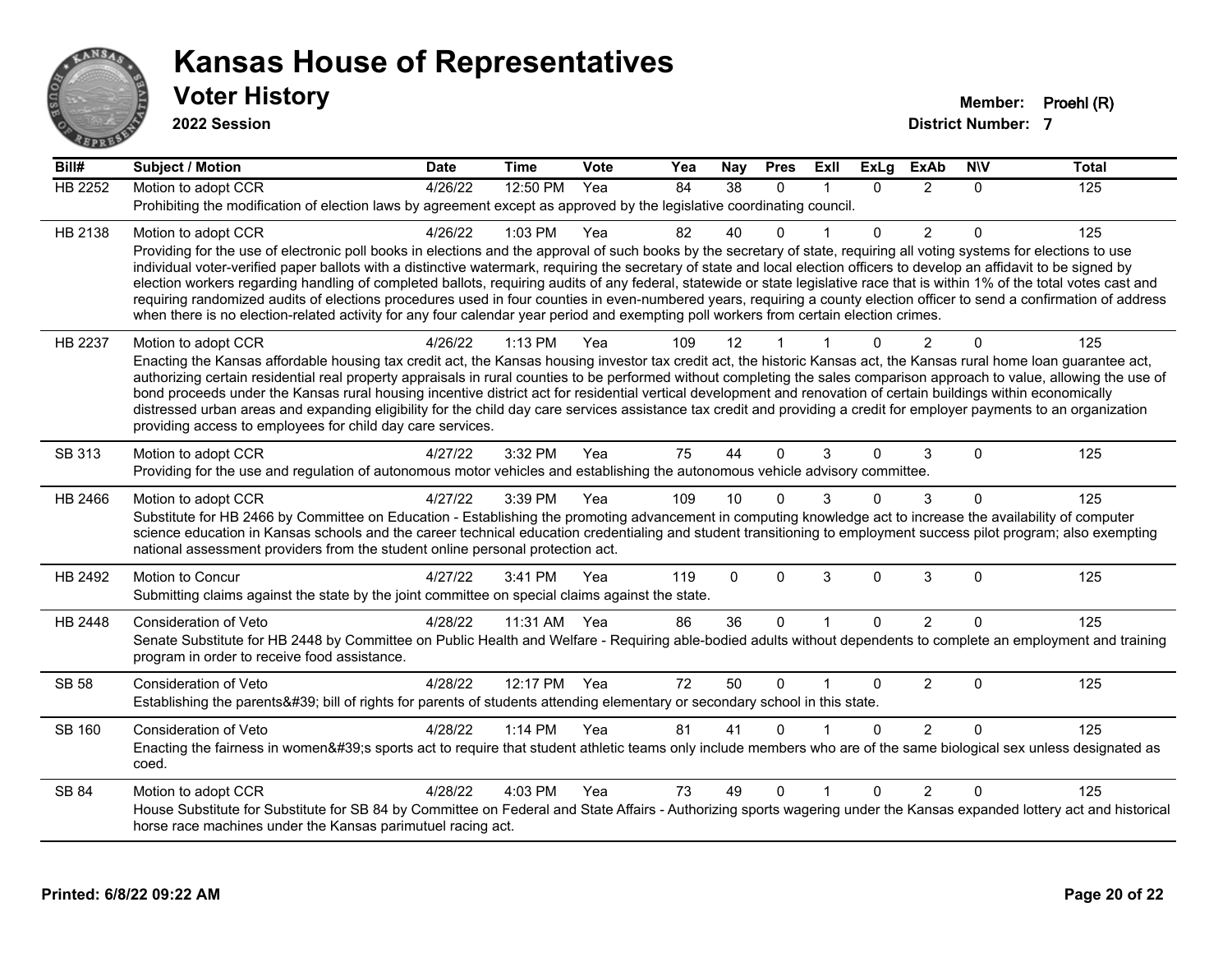

**2022 Session**

| Bill#          | <b>Subject / Motion</b>                                                                                                                                                                                                                                                                                                                               | <b>Date</b> | <b>Time</b>  | <b>Vote</b> | Yea | <b>Nay</b>   | <b>Pres</b>  | ExIl         | <b>ExLg</b>  | <b>ExAb</b>    | <b>NIV</b>   | <b>Total</b> |
|----------------|-------------------------------------------------------------------------------------------------------------------------------------------------------------------------------------------------------------------------------------------------------------------------------------------------------------------------------------------------------|-------------|--------------|-------------|-----|--------------|--------------|--------------|--------------|----------------|--------------|--------------|
| <b>HB 2252</b> | Motion to adopt CCR                                                                                                                                                                                                                                                                                                                                   | 4/26/22     | 12:50 PM     | Yea         | 84  | 38           | $\Omega$     |              | $\Omega$     | 2              | $\Omega$     | 125          |
|                | Prohibiting the modification of election laws by agreement except as approved by the legislative coordinating council.                                                                                                                                                                                                                                |             |              |             |     |              |              |              |              |                |              |              |
| HB 2138        | Motion to adopt CCR                                                                                                                                                                                                                                                                                                                                   | 4/26/22     | 1:03 PM      | Yea         | 82  | 40           | $\Omega$     |              | $\Omega$     | $\overline{2}$ | $\Omega$     | 125          |
|                | Providing for the use of electronic poll books in elections and the approval of such books by the secretary of state, requiring all voting systems for elections to use<br>individual voter-verified paper ballots with a distinctive watermark, requiring the secretary of state and local election officers to develop an affidavit to be signed by |             |              |             |     |              |              |              |              |                |              |              |
|                | election workers regarding handling of completed ballots, requiring audits of any federal, statewide or state legislative race that is within 1% of the total votes cast and                                                                                                                                                                          |             |              |             |     |              |              |              |              |                |              |              |
|                | requiring randomized audits of elections procedures used in four counties in even-numbered years, requiring a county election officer to send a confirmation of address                                                                                                                                                                               |             |              |             |     |              |              |              |              |                |              |              |
|                | when there is no election-related activity for any four calendar year period and exempting poll workers from certain election crimes.                                                                                                                                                                                                                 |             |              |             |     |              |              |              |              |                |              |              |
| HB 2237        | Motion to adopt CCR                                                                                                                                                                                                                                                                                                                                   | 4/26/22     | 1:13 PM      | Yea         | 109 | 12           |              |              |              | $\overline{2}$ | $\Omega$     | 125          |
|                | Enacting the Kansas affordable housing tax credit act, the Kansas housing investor tax credit act, the historic Kansas act, the Kansas rural home loan guarantee act,<br>authorizing certain residential real property appraisals in rural counties to be performed without completing the sales comparison approach to value, allowing the use of    |             |              |             |     |              |              |              |              |                |              |              |
|                | bond proceeds under the Kansas rural housing incentive district act for residential vertical development and renovation of certain buildings within economically                                                                                                                                                                                      |             |              |             |     |              |              |              |              |                |              |              |
|                | distressed urban areas and expanding eligibility for the child day care services assistance tax credit and providing a credit for employer payments to an organization                                                                                                                                                                                |             |              |             |     |              |              |              |              |                |              |              |
|                | providing access to employees for child day care services.                                                                                                                                                                                                                                                                                            |             |              |             |     |              |              |              |              |                |              |              |
| SB 313         | Motion to adopt CCR                                                                                                                                                                                                                                                                                                                                   | 4/27/22     | 3:32 PM      | Yea         | 75  | 44           | $\Omega$     | 3            | $\Omega$     | 3              | $\Omega$     | 125          |
|                | Providing for the use and regulation of autonomous motor vehicles and establishing the autonomous vehicle advisory committee.                                                                                                                                                                                                                         |             |              |             |     |              |              |              |              |                |              |              |
| HB 2466        | Motion to adopt CCR                                                                                                                                                                                                                                                                                                                                   | 4/27/22     | 3:39 PM      | Yea         | 109 | 10           |              | 3            | $\Omega$     | 3              | 0            | 125          |
|                | Substitute for HB 2466 by Committee on Education - Establishing the promoting advancement in computing knowledge act to increase the availability of computer<br>science education in Kansas schools and the career technical education credentialing and student transitioning to employment success pilot program; also exempting                   |             |              |             |     |              |              |              |              |                |              |              |
|                | national assessment providers from the student online personal protection act.                                                                                                                                                                                                                                                                        |             |              |             |     |              |              |              |              |                |              |              |
| HB 2492        | Motion to Concur                                                                                                                                                                                                                                                                                                                                      | 4/27/22     | 3:41 PM      | Yea         | 119 | $\mathbf{0}$ | $\mathbf{0}$ | 3            | $\mathbf{0}$ | 3              | $\mathbf{0}$ | 125          |
|                | Submitting claims against the state by the joint committee on special claims against the state.                                                                                                                                                                                                                                                       |             |              |             |     |              |              |              |              |                |              |              |
| HB 2448        | Consideration of Veto                                                                                                                                                                                                                                                                                                                                 | 4/28/22     | 11:31 AM Yea |             | 86  | 36           | $\mathbf 0$  | $\mathbf{1}$ | $\Omega$     | 2              | $\Omega$     | 125          |
|                | Senate Substitute for HB 2448 by Committee on Public Health and Welfare - Requiring able-bodied adults without dependents to complete an employment and training                                                                                                                                                                                      |             |              |             |     |              |              |              |              |                |              |              |
|                | program in order to receive food assistance.                                                                                                                                                                                                                                                                                                          |             |              |             |     |              |              |              |              |                |              |              |
| SB 58          | <b>Consideration of Veto</b>                                                                                                                                                                                                                                                                                                                          | 4/28/22     | 12:17 PM     | Yea         | 72  | 50           | $\mathbf{0}$ |              | 0            | 2              | $\mathbf{0}$ | 125          |
|                | Establishing the parents' bill of rights for parents of students attending elementary or secondary school in this state.                                                                                                                                                                                                                              |             |              |             |     |              |              |              |              |                |              |              |
| <b>SB 160</b>  | Consideration of Veto                                                                                                                                                                                                                                                                                                                                 | 4/28/22     | 1:14 PM      | Yea         | 81  | 41           | $\Omega$     |              | $\Omega$     | 2              | $\Omega$     | 125          |
|                | Enacting the fairness in women's sports act to require that student athletic teams only include members who are of the same biological sex unless designated as<br>coed.                                                                                                                                                                              |             |              |             |     |              |              |              |              |                |              |              |
| SB 84          | Motion to adopt CCR                                                                                                                                                                                                                                                                                                                                   | 4/28/22     | 4:03 PM      | Yea         | 73  | 49           | $\Omega$     |              | $\Omega$     | $\overline{2}$ | $\Omega$     | 125          |
|                | House Substitute for Substitute for SB 84 by Committee on Federal and State Affairs - Authorizing sports wagering under the Kansas expanded lottery act and historical                                                                                                                                                                                |             |              |             |     |              |              |              |              |                |              |              |
|                | horse race machines under the Kansas parimutuel racing act.                                                                                                                                                                                                                                                                                           |             |              |             |     |              |              |              |              |                |              |              |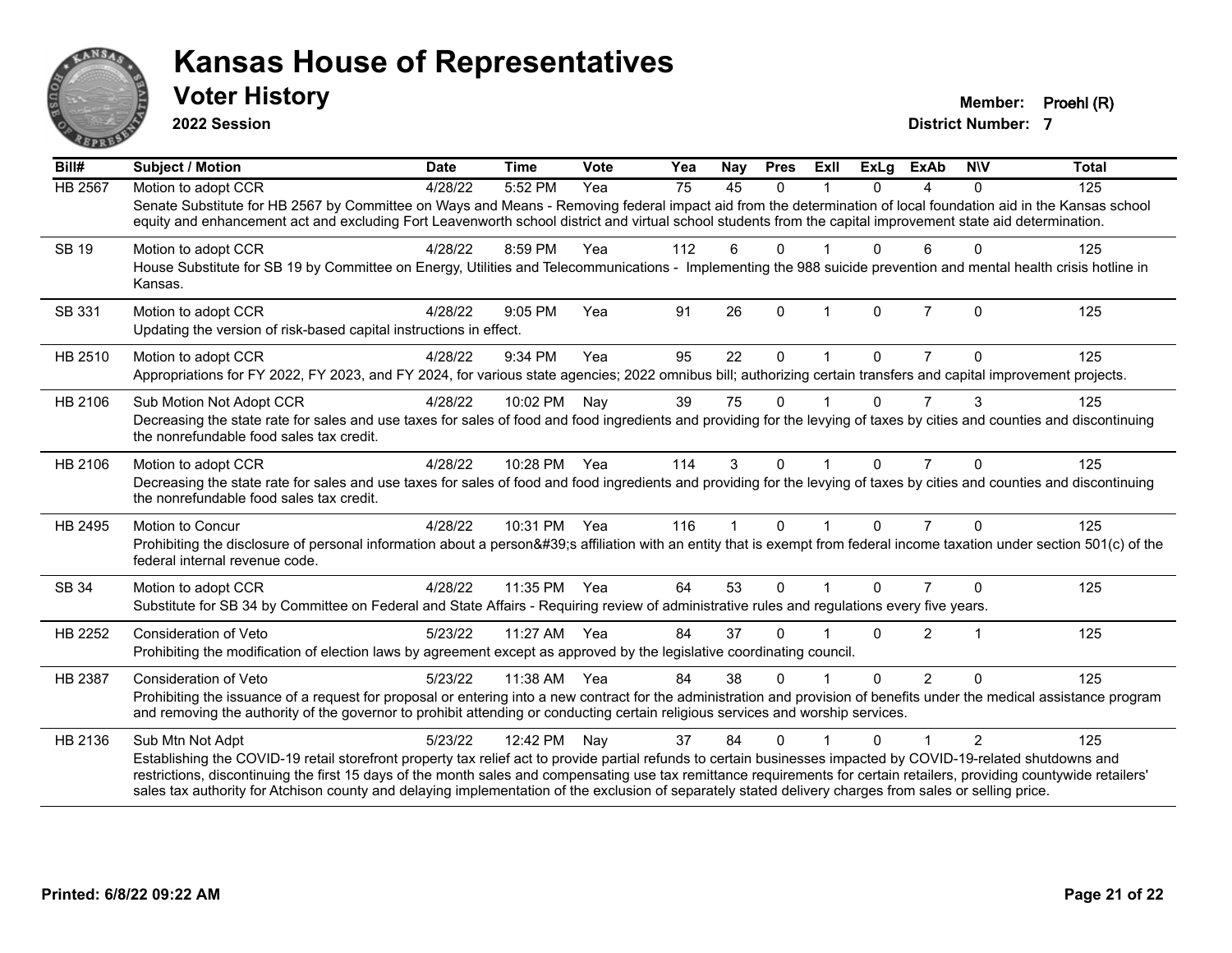

**2022 Session**

**Voter History Member: Proehl (R)** 

| Bill#          | <b>Subject / Motion</b>                                                                                                                                                                                  | <b>Date</b> | <b>Time</b>  | Vote | Yea | Nay          | <b>Pres</b>  | ExII                    | <b>ExLg</b> | <b>ExAb</b>    | <b>NIV</b> | <b>Total</b> |
|----------------|----------------------------------------------------------------------------------------------------------------------------------------------------------------------------------------------------------|-------------|--------------|------|-----|--------------|--------------|-------------------------|-------------|----------------|------------|--------------|
| <b>HB</b> 2567 | Motion to adopt CCR                                                                                                                                                                                      | 4/28/22     | 5:52 PM      | Yea  | 75  | 45           | $\mathbf{0}$ |                         | 0           | 4              | $\Omega$   | 125          |
|                | Senate Substitute for HB 2567 by Committee on Ways and Means - Removing federal impact aid from the determination of local foundation aid in the Kansas school                                           |             |              |      |     |              |              |                         |             |                |            |              |
|                | equity and enhancement act and excluding Fort Leavenworth school district and virtual school students from the capital improvement state aid determination.                                              |             |              |      |     |              |              |                         |             |                |            |              |
| SB 19          | Motion to adopt CCR                                                                                                                                                                                      | 4/28/22     | 8:59 PM      | Yea  | 112 | 6            | $\Omega$     |                         | $\Omega$    | 6              | $\Omega$   | 125          |
|                | House Substitute for SB 19 by Committee on Energy, Utilities and Telecommunications - Implementing the 988 suicide prevention and mental health crisis hotline in<br>Kansas.                             |             |              |      |     |              |              |                         |             |                |            |              |
| SB 331         | Motion to adopt CCR                                                                                                                                                                                      | 4/28/22     | $9:05$ PM    | Yea  | 91  | 26           | $\Omega$     | $\overline{1}$          | $\Omega$    | $\overline{7}$ | $\Omega$   | 125          |
|                | Updating the version of risk-based capital instructions in effect.                                                                                                                                       |             |              |      |     |              |              |                         |             |                |            |              |
| HB 2510        | Motion to adopt CCR                                                                                                                                                                                      | 4/28/22     | 9:34 PM      | Yea  | 95  | 22           | $\Omega$     | $\overline{1}$          | $\Omega$    | $\overline{7}$ | $\Omega$   | 125          |
|                | Appropriations for FY 2022, FY 2023, and FY 2024, for various state agencies; 2022 omnibus bill; authorizing certain transfers and capital improvement projects.                                         |             |              |      |     |              |              |                         |             |                |            |              |
| HB 2106        | Sub Motion Not Adopt CCR                                                                                                                                                                                 | 4/28/22     | 10:02 PM     | Nay  | 39  | 75           | $\Omega$     |                         | 0           |                | 3          | 125          |
|                | Decreasing the state rate for sales and use taxes for sales of food and food ingredients and providing for the levying of taxes by cities and counties and discontinuing                                 |             |              |      |     |              |              |                         |             |                |            |              |
|                | the nonrefundable food sales tax credit.                                                                                                                                                                 |             |              |      |     |              |              |                         |             |                |            |              |
| HB 2106        | Motion to adopt CCR                                                                                                                                                                                      | 4/28/22     | 10:28 PM     | Yea  | 114 | 3            | $\Omega$     |                         | 0           |                | $\Omega$   | 125          |
|                | Decreasing the state rate for sales and use taxes for sales of food and food ingredients and providing for the levying of taxes by cities and counties and discontinuing                                 |             |              |      |     |              |              |                         |             |                |            |              |
|                | the nonrefundable food sales tax credit.                                                                                                                                                                 |             |              |      |     |              |              |                         |             |                |            |              |
| HB 2495        | Motion to Concur                                                                                                                                                                                         | 4/28/22     | 10:31 PM     | Yea  | 116 | $\mathbf{1}$ | $\mathbf{0}$ | $\mathbf 1$             | $\Omega$    | $\overline{7}$ | $\Omega$   | 125          |
|                | Prohibiting the disclosure of personal information about a person's affiliation with an entity that is exempt from federal income taxation under section 501(c) of the<br>federal internal revenue code. |             |              |      |     |              |              |                         |             |                |            |              |
| SB 34          | Motion to adopt CCR                                                                                                                                                                                      | 4/28/22     | 11:35 PM     | Yea  | 64  | 53           | $\Omega$     | $\overline{\mathbf{1}}$ | $\Omega$    | $\overline{7}$ | $\Omega$   | 125          |
|                | Substitute for SB 34 by Committee on Federal and State Affairs - Requiring review of administrative rules and regulations every five years.                                                              |             |              |      |     |              |              |                         |             |                |            |              |
| HB 2252        | Consideration of Veto                                                                                                                                                                                    | 5/23/22     | 11:27 AM     | Yea  | 84  | 37           | $\Omega$     |                         | $\Omega$    | 2              |            | 125          |
|                | Prohibiting the modification of election laws by agreement except as approved by the legislative coordinating council.                                                                                   |             |              |      |     |              |              |                         |             |                |            |              |
| HB 2387        | <b>Consideration of Veto</b>                                                                                                                                                                             | 5/23/22     | 11:38 AM Yea |      | 84  | 38           | $\Omega$     |                         | $\Omega$    | $\overline{2}$ | $\Omega$   | 125          |
|                | Prohibiting the issuance of a request for proposal or entering into a new contract for the administration and provision of benefits under the medical assistance program                                 |             |              |      |     |              |              |                         |             |                |            |              |
|                | and removing the authority of the governor to prohibit attending or conducting certain religious services and worship services.                                                                          |             |              |      |     |              |              |                         |             |                |            |              |
| HB 2136        | Sub Mtn Not Adpt                                                                                                                                                                                         | 5/23/22     | 12:42 PM     | Nay  | 37  | 84           | $\Omega$     |                         | 0           |                | 2          | 125          |
|                | Establishing the COVID-19 retail storefront property tax relief act to provide partial refunds to certain businesses impacted by COVID-19-related shutdowns and                                          |             |              |      |     |              |              |                         |             |                |            |              |
|                | restrictions, discontinuing the first 15 days of the month sales and compensating use tax remittance requirements for certain retailers, providing countywide retailers'                                 |             |              |      |     |              |              |                         |             |                |            |              |
|                | sales tax authority for Atchison county and delaying implementation of the exclusion of separately stated delivery charges from sales or selling price.                                                  |             |              |      |     |              |              |                         |             |                |            |              |